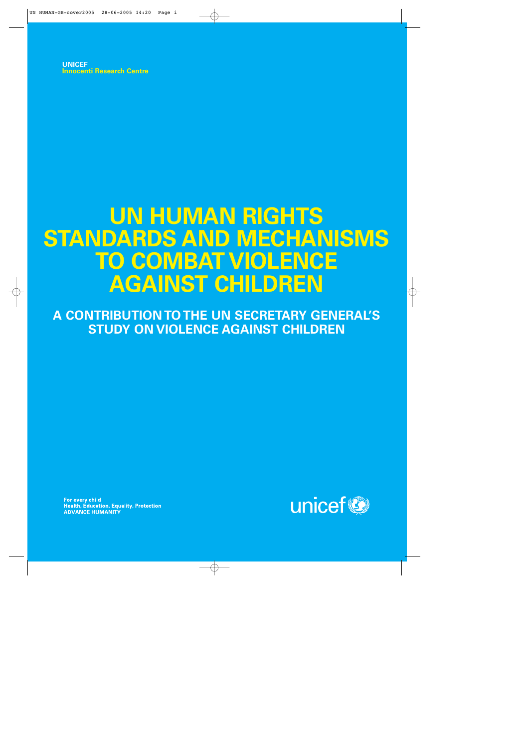**UNICEF Innocenti Research Centre**

# **UN HUMAN RIGHTS STANDARDS AND MECHANISMS TO COMBAT VIOLENCE AGAINST CHILDREN**

**A CONTRIBUTION TO THE UN SECRETARY GENERAL'S STUDY ON VIOLENCE AGAINST CHILDREN**

For every child<br>Health, Education, Equality, Protection **ADVANCE HUMANITY** 

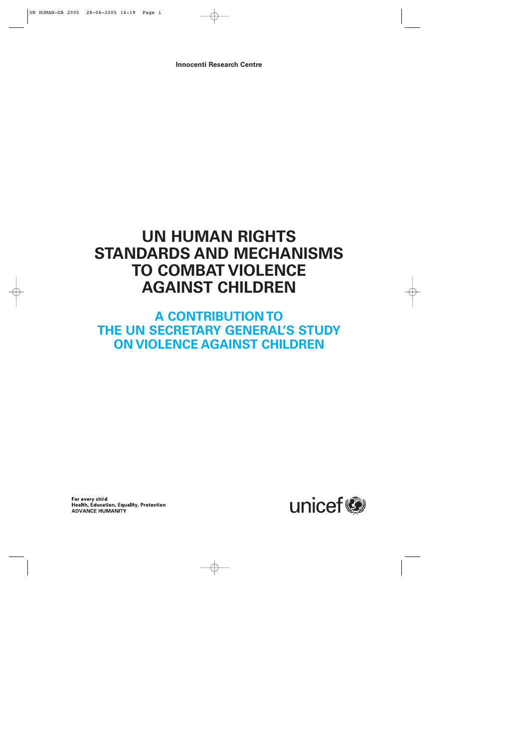**Innocenti Research Centre**

## **UN HUMAN RIGHTS STANDARDS AND MECHANISMS TO COMBAT VIOLENCE AGAINST CHILDREN**

## **A CONTRIBUTION TO THE UN SECRETARY GENERAL'S STUDY ON VIOLENCE AGAINST CHILDREN**

For every child Health, Education, Equality, Protection **ADVANCE HUMANITY** 

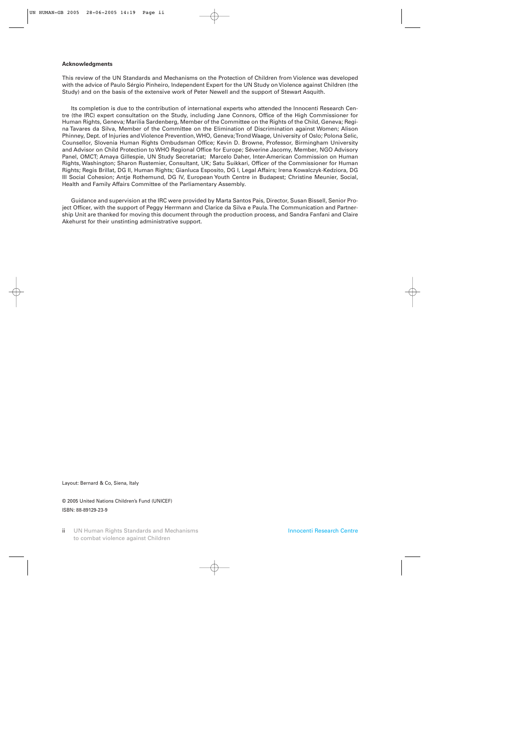#### **Acknowledgments**

This review of the UN Standards and Mechanisms on the Protection of Children from Violence was developed with the advice of Paulo Sérgio Pinheiro, Independent Expert for the UN Study on Violence against Children (the Study) and on the basis of the extensive work of Peter Newell and the support of Stewart Asquith.

Its completion is due to the contribution of international experts who attended the Innocenti Research Centre (the IRC) expert consultation on the Study, including Jane Connors, Office of the High Commissioner for Human Rights, Geneva; Marilia Sardenberg, Member of the Committee on the Rights of the Child, Geneva; Regina Tavares da Silva, Member of the Committee on the Elimination of Discrimination against Women; Alison Phinney, Dept. of Injuries and Violence Prevention, WHO, Geneva; Trond Waage, University of Oslo; Polona Selic, Counsellor, Slovenia Human Rights Ombudsman Office; Kevin D. Browne, Professor, Birmingham University and Advisor on Child Protection to WHO Regional Office for Europe; Séverine Jacomy, Member, NGO Advisory Panel, OMCT; Amaya Gillespie, UN Study Secretariat; Marcelo Daher, Inter-American Commission on Human Rights, Washington; Sharon Rustemier, Consultant, UK; Satu Suikkari, Officer of the Commissioner for Human Rights; Regis Brillat, DG II, Human Rights; Gianluca Esposito, DG I, Legal Affairs; Irena Kowalczyk-Kedziora, DG III Social Cohesion; Antje Rothemund, DG IV, European Youth Centre in Budapest; Christine Meunier, Social, Health and Family Affairs Committee of the Parliamentary Assembly.

Guidance and supervision at the IRC were provided by Marta Santos Pais, Director, Susan Bissell, Senior Project Officer, with the support of Peggy Herrmann and Clarice da Silva e Paula. The Communication and Partnership Unit are thanked for moving this document through the production process, and Sandra Fanfani and Claire Akehurst for their unstinting administrative support.

Layout: Bernard & Co, Siena, Italy

© 2005 United Nations Children's Fund (UNICEF) ISBN: 88-89129-23-9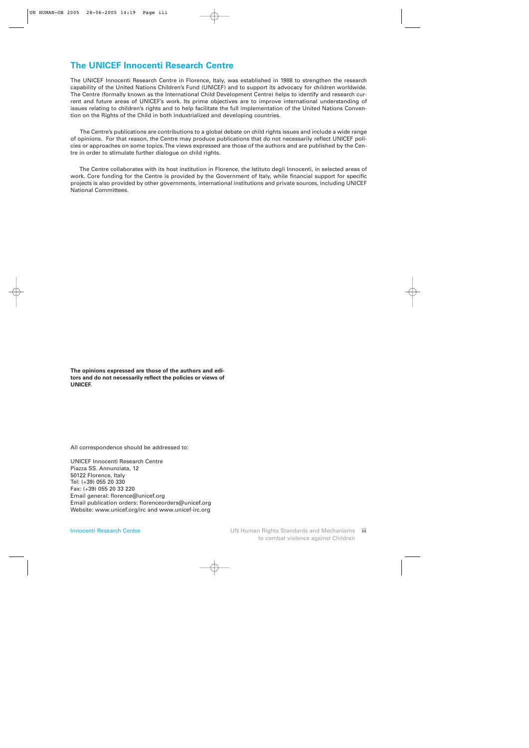## **The UNICEF Innocenti Research Centre**

The UNICEF Innocenti Research Centre in Florence, Italy, was established in 1988 to strengthen the research capability of the United Nations Children's Fund (UNICEF) and to support its advocacy for children worldwide. The Centre (formally known as the International Child Development Centre) helps to identify and research current and future areas of UNICEF's work. Its prime objectives are to improve international understanding of issues relating to children's rights and to help facilitate the full implementation of the United Nations Convention on the Rights of the Child in both industrialized and developing countries.

The Centre's publications are contributions to a global debate on child rights issues and include a wide range of opinions. For that reason, the Centre may produce publications that do not necessarily reflect UNICEF policies or approaches on some topics. The views expressed are those of the authors and are published by the Centre in order to stimulate further dialogue on child rights.

The Centre collaborates with its host institution in Florence, the Istituto degli Innocenti, in selected areas of work. Core funding for the Centre is provided by the Government of Italy, while financial support for specific projects is also provided by other governments, international institutions and private sources, including UNICEF National Committees.

**The opinions expressed are those of the authors and editors and do not necessarily reflect the policies or views of UNICEF.**

All correspondence should be addressed to:

UNICEF Innocenti Research Centre Piazza SS. Annunziata, 12 50122 Florence, Italy Tel: (+39) 055 20 330 Fax: (+39) 055 20 33 220 Email general: florence@unicef.org Email publication orders: florenceorders@unicef.org Website: www.unicef.org/irc and www.unicef-irc.org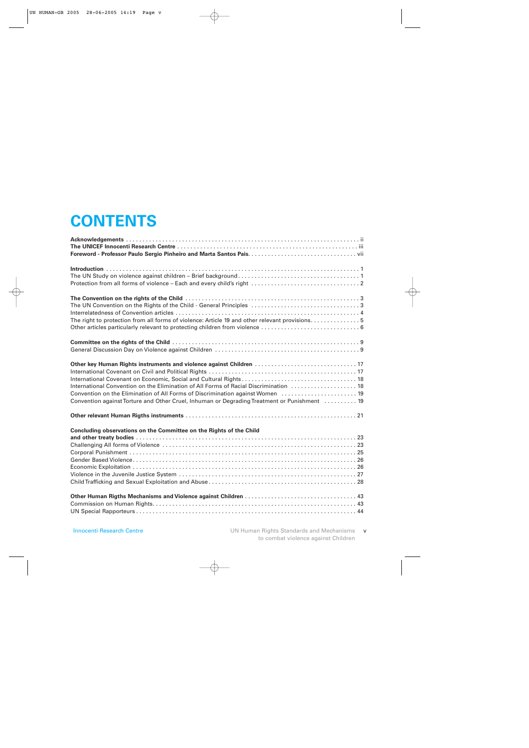## **CONTENTS**

| The right to protection from all forms of violence: Article 19 and other relevant provisions5 |
|-----------------------------------------------------------------------------------------------|
|                                                                                               |
|                                                                                               |
|                                                                                               |
| Other key Human Rights instruments and violence against Children  17                          |
|                                                                                               |
|                                                                                               |
| International Convention on the Elimination of All Forms of Racial Discrimination  18         |
| Convention on the Elimination of All Forms of Discrimination against Women  19                |
| Convention against Torture and Other Cruel, Inhuman or Degrading Treatment or Punishment  19  |
|                                                                                               |
| Concluding observations on the Committee on the Rights of the Child                           |
|                                                                                               |
|                                                                                               |
|                                                                                               |
|                                                                                               |
|                                                                                               |
|                                                                                               |
|                                                                                               |
|                                                                                               |
|                                                                                               |
|                                                                                               |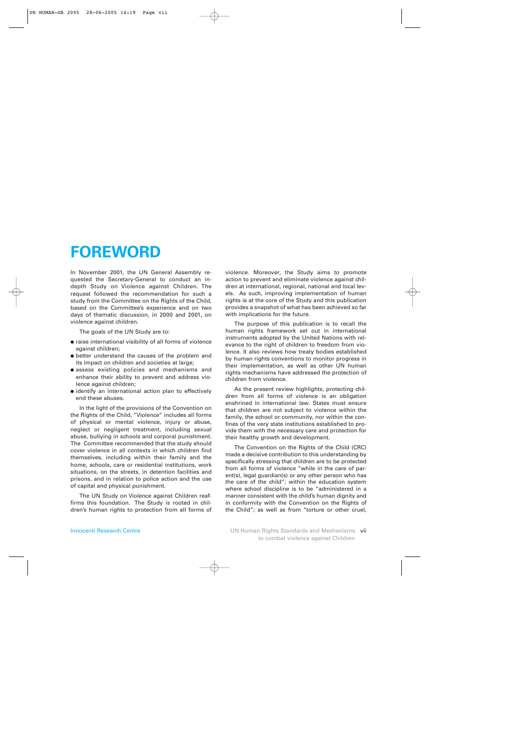## **FOREWORD**

In November 2001, the UN General Assembly requested the Secretary-General to conduct an indepth Study on Violence against Children. The request followed the recommendation for such a study from the Committee on the Rights of the Child, based on the Committee's experience and on two days of thematic discussion, in 2000 and 2001, on violence against children.

The goals of the UN Study are to:

- raise international visibility of all forms of violence against children;
- better understand the causes of the problem and its impact on children and societies at large;
- assess existing policies and mechanisms and enhance their ability to prevent and address violence against children;
- identify an international action plan to effectively end these abuses.

In the light of the provisions of the Convention on the Rights of the Child, "Violence" includes all forms of physical or mental violence, injury or abuse, neglect or negligent treatment, including sexual abuse, bullying in schools and corporal punishment. The Committee recommended that the study should cover violence in all contexts in which children find themselves, including within their family and the home, schools, care or residential institutions, work situations, on the streets, in detention facilities and prisons, and in relation to police action and the use of capital and physical punishment.

The UN Study on Violence against Children reaffirms this foundation. The Study is rooted in children's human rights to protection from all forms of violence. Moreover, the Study aims to promote action to prevent and eliminate violence against children at international, regional, national and local levels. As such, improving implementation of human rights is at the core of the Study and this publication provides a snapshot of what has been achieved so far with implications for the future.

The purpose of this publication is to recall the human rights framework set out in international instruments adopted by the United Nations with relevance to the right of children to freedom from violence. It also reviews how treaty bodies established by human rights conventions to monitor progress in their implementation, as well as other UN human rights mechanisms have addressed the protection of children from violence.

As the present review highlights, protecting children from all forms of violence is an obligation enshrined in international law. States must ensure that children are not subject to violence within the family, the school or community, nor within the confines of the very state institutions established to provide them with the necessary care and protection for their healthy growth and development.

The Convention on the Rights of the Child (CRC) made a decisive contribution to this understanding by specifically stressing that children are to be protected from all forms of violence "while in the care of parent(s), legal guardian(s) or any other person who has the care of the child"; within the education system where school discipline is to be "administered in a manner consistent with the child's human dignity and in conformity with the Convention on the Rights of the Child"; as well as from "torture or other cruel,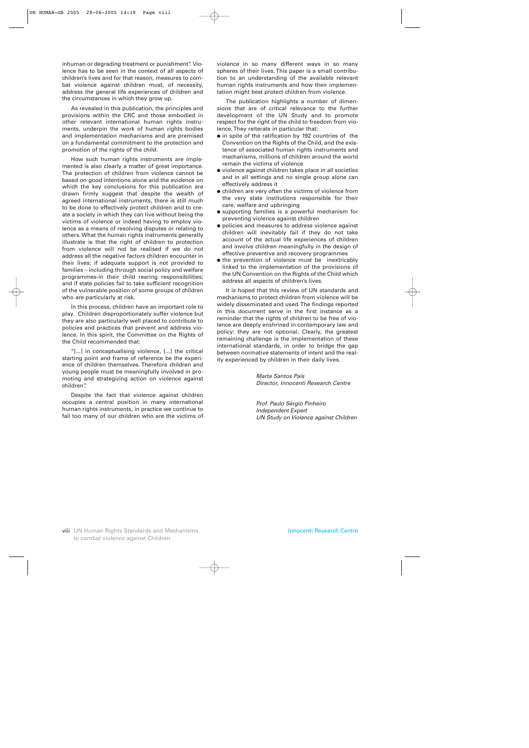inhuman or degrading treatment or punishment". Violence has to be seen in the context of all aspects of children's lives and for that reason, measures to combat violence against children must, of necessity, address the general life experiences of children and the circumstances in which they grow up.

As revealed in this publication, the principles and provisions within the CRC and those embodied in other relevant international human rights instruments, underpin the work of human rights bodies and implementation mechanisms and are premised on a fundamental commitment to the protection and promotion of the rights of the child.

How such human rights instruments are implemented is also clearly a matter of great importance. The protection of children from violence cannot be based on good intentions alone and the evidence on which the key conclusions for this publication are drawn firmly suggest that despite the wealth of agreed international instruments, there is still much to be done to effectively protect children and to create a society in which they can live without being the victims of violence or indeed having to employ violence as a means of resolving disputes or relating to others. What the human rights instruments generally illustrate is that the right of children to protection from violence will not be realised if we do not address all the negative factors children encounter in their lives; if adequate support is not provided to families – including through social policy and welfare programmes-in their child rearing responsibilities; and if state policies fail to take sufficient recognition of the vulnerable position of some groups of children who are particularly at risk.

In this process, children have an important role to play. Children disproportionately suffer violence but they are also particularly well placed to contribute to policies and practices that prevent and address violence. In this spirit, the Committee on the Rights of the Child recommended that:

"[...] in conceptualising violence, [...] the critical starting point and frame of reference be the experience of children themselves. Therefore children and young people must be meaningfully involved in promoting and strategizing action on violence against children".

Despite the fact that violence against children occupies a central position in many international human rights instruments, in practice we continue to fail too many of our children who are the victims of

violence in so many different ways in so many spheres of their lives. This paper is a small contribution to an understanding of the available relevant human rights instruments and how their implementation might best protect children from violence.

The publication highlights a number of dimensions that are of critical relevance to the further development of the UN Study and to promote respect for the right of the child to freedom from violence. They reiterate in particular that:

- in spite of the ratification by 192 countries of the Convention on the Rights of the Child, and the existence of associated human rights instruments and mechanisms, millions of children around the world remain the victims of violence
- violence against children takes place in all societies and in all settings and no single group alone can effectively address it
- children are very often the victims of violence from the very state institutions responsible for their care, welfare and upbringing
- supporting families is a powerful mechanism for preventing violence against children
- policies and measures to address violence against children will inevitably fail if they do not take account of the actual life experiences of children and involve children meaningfully in the design of effective preventive and recovery programmes
- the prevention of violence must be inextricably linked to the implementation of the provisions of the UN Convention on the Rights of the Child which address all aspects of children's lives.

It is hoped that this review of UN standards and mechanisms to protect children from violence will be widely disseminated and used. The findings reported in this document serve in the first instance as a reminder that the rights of children to be free of violence are deeply enshrined in contemporary law and policy: they are not optional. Clearly, the greatest remaining challenge is the implementation of these international standards, in order to bridge the gap between normative statements of intent and the reality experienced by children in their daily lives.

> *Marta Santos Pais Director, Innocenti Research Centre*

*Prof. Paulo Sérgio Pinheiro Independent Expert UN Study on Violence against Children*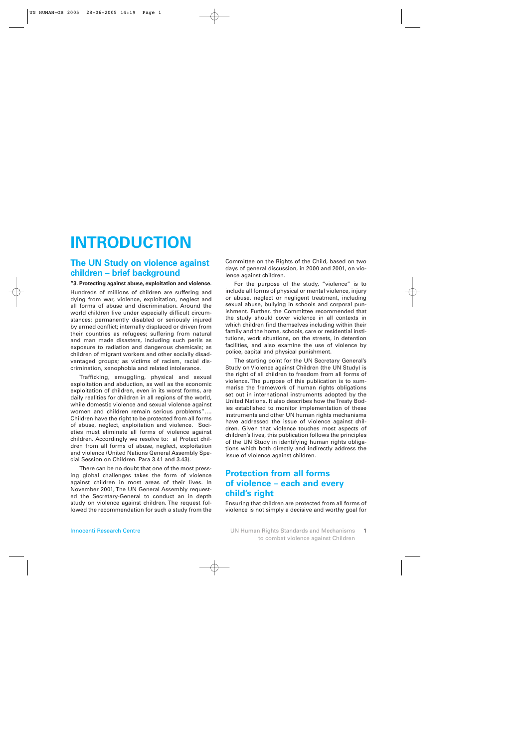## **INTRODUCTION**

## **The UN Study on violence against children – brief background**

#### **"3. Protecting against abuse, exploitation and violence.**

Hundreds of millions of children are suffering and dying from war, violence, exploitation, neglect and all forms of abuse and discrimination. Around the world children live under especially difficult circumstances: permanently disabled or seriously injured by armed conflict; internally displaced or driven from their countries as refugees; suffering from natural and man made disasters, including such perils as exposure to radiation and dangerous chemicals; as children of migrant workers and other socially disadvantaged groups; as victims of racism, racial discrimination, xenophobia and related intolerance.

Trafficking, smuggling, physical and sexual exploitation and abduction, as well as the economic exploitation of children, even in its worst forms, are daily realities for children in all regions of the world, while domestic violence and sexual violence against women and children remain serious problems"…. Children have the right to be protected from all forms of abuse, neglect, exploitation and violence. Societies must eliminate all forms of violence against children. Accordingly we resolve to: a) Protect children from all forms of abuse, neglect, exploitation and violence (United Nations General Assembly Special Session on Children. Para 3.41 and 3.43).

There can be no doubt that one of the most pressing global challenges takes the form of violence against children in most areas of their lives. In November 2001, The UN General Assembly requested the Secretary-General to conduct an in depth study on violence against children. The request followed the recommendation for such a study from the

Committee on the Rights of the Child, based on two days of general discussion, in 2000 and 2001, on violence against children.

For the purpose of the study, "violence" is to include all forms of physical or mental violence, injury or abuse, neglect or negligent treatment, including sexual abuse, bullying in schools and corporal punishment. Further, the Committee recommended that the study should cover violence in all contexts in which children find themselves including within their family and the home, schools, care or residential institutions, work situations, on the streets, in detention facilities, and also examine the use of violence by police, capital and physical punishment.

The starting point for the UN Secretary General's Study on Violence against Children (the UN Study) is the right of all children to freedom from all forms of violence. The purpose of this publication is to summarise the framework of human rights obligations set out in international instruments adopted by the United Nations. It also describes how the Treaty Bodies established to monitor implementation of these instruments and other UN human rights mechanisms have addressed the issue of violence against children. Given that violence touches most aspects of children's lives, this publication follows the principles of the UN Study in identifying human rights obligations which both directly and indirectly address the issue of violence against children.

## **Protection from all forms of violence – each and every child's right**

Ensuring that children are protected from all forms of violence is not simply a decisive and worthy goal for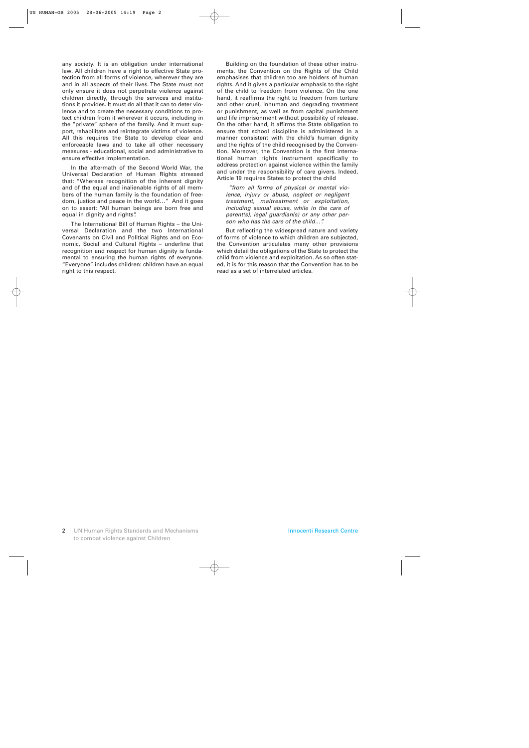any society. It is an obligation under international law. All children have a right to effective State protection from all forms of violence, wherever they are and in all aspects of their lives. The State must not only ensure it does not perpetrate violence against children directly, through the services and institutions it provides. It must do all that it can to deter violence and to create the necessary conditions to protect children from it wherever it occurs, including in the "private" sphere of the family. And it must support, rehabilitate and reintegrate victims of violence. All this requires the State to develop clear and enforceable laws and to take all other necessary measures - educational, social and administrative to ensure effective implementation.

In the aftermath of the Second World War, the Universal Declaration of Human Rights stressed that: "Whereas recognition of the inherent dignity and of the equal and inalienable rights of all members of the human family is the foundation of freedom, justice and peace in the world…" And it goes on to assert: "All human beings are born free and equal in dignity and rights".

The International Bill of Human Rights – the Universal Declaration and the two International Covenants on Civil and Political Rights and on Economic, Social and Cultural Rights – underline that recognition and respect for human dignity is fundamental to ensuring the human rights of everyone. "Everyone" includes children: children have an equal right to this respect.

Building on the foundation of these other instruments, the Convention on the Rights of the Child emphasises that children too are holders of human rights. And it gives a particular emphasis to the right of the child to freedom from violence. On the one hand, it reaffirms the right to freedom from torture and other cruel, inhuman and degrading treatment or punishment, as well as from capital punishment and life imprisonment without possibility of release. On the other hand, it affirms the State obligation to ensure that school discipline is administered in a manner consistent with the child's human dignity and the rights of the child recognised by the Convention. Moreover, the Convention is the first international human rights instrument specifically to address protection against violence within the family and under the responsibility of care givers. Indeed, Article 19 requires States to protect the child

*"from all forms of physical or mental violence, injury or abuse, neglect or negligent treatment, maltreatment or exploitation, including sexual abuse, while in the care of parent(s), legal guardian(s) or any other person who has the care of the child…".* 

But reflecting the widespread nature and variety of forms of violence to which children are subjected, the Convention articulates many other provisions which detail the obligations of the State to protect the child from violence and exploitation. As so often stated, it is for this reason that the Convention has to be read as a set of interrelated articles.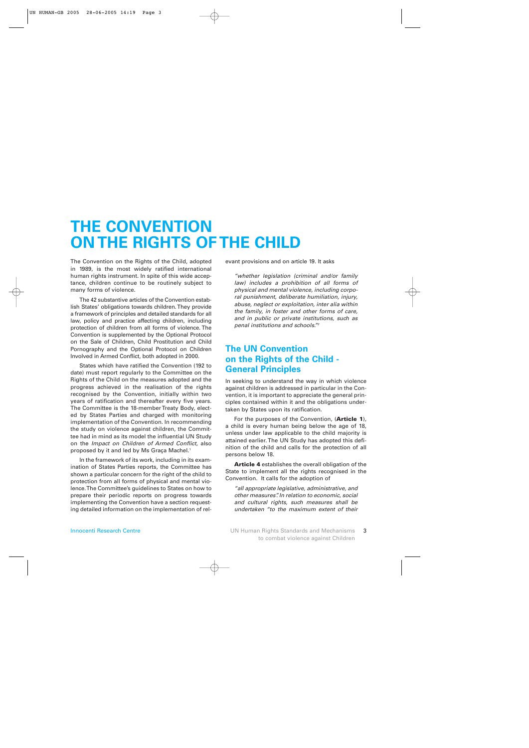## **THE CONVENTION ON THE RIGHTS OF THE CHILD**

The Convention on the Rights of the Child, adopted in 1989, is the most widely ratified international human rights instrument. In spite of this wide acceptance, children continue to be routinely subject to many forms of violence.

The 42 substantive articles of the Convention establish States' obligations towards children. They provide a framework of principles and detailed standards for all law, policy and practice affecting children, including protection of children from all forms of violence. The Convention is supplemented by the Optional Protocol on the Sale of Children, Child Prostitution and Child Pornography and the Optional Protocol on Children Involved in Armed Conflict, both adopted in 2000.

States which have ratified the Convention (192 to date) must report regularly to the Committee on the Rights of the Child on the measures adopted and the progress achieved in the realisation of the rights recognised by the Convention, initially within two years of ratification and thereafter every five years. The Committee is the 18-member Treaty Body, elected by States Parties and charged with monitoring implementation of the Convention. In recommending the study on violence against children, the Committee had in mind as its model the influential UN Study on the *Impact on Children of Armed Conflict*, also proposed by it and led by Ms Graça Machel.<sup>1</sup>

In the framework of its work, including in its examination of States Parties reports, the Committee has shown a particular concern for the right of the child to protection from all forms of physical and mental violence. The Committee's guidelines to States on how to prepare their periodic reports on progress towards implementing the Convention have a section requesting detailed information on the implementation of relevant provisions and on article 19. It asks

*"whether legislation (criminal and/or family law) includes a prohibition of all forms of physical and mental violence, including corporal punishment, deliberate humiliation, injury, abuse, neglect or exploitation, inter alia within the family, in foster and other forms of care, and in public or private institutions, such as penal institutions and schools."2*

## **The UN Convention on the Rights of the Child - General Principles**

In seeking to understand the way in which violence against children is addressed in particular in the Convention, it is important to appreciate the general principles contained within it and the obligations undertaken by States upon its ratification.

For the purposes of the Convention, (**Article 1**), a child is every human being below the age of 18, unless under law applicable to the child majority is attained earlier. The UN Study has adopted this definition of the child and calls for the protection of all persons below 18.

**Article 4** establishes the overall obligation of the State to implement all the rights recognised in the Convention. It calls for the adoption of

*"all appropriate legislative, administrative, and other measures". In relation to economic, social and cultural rights, such measures shall be undertaken "to the maximum extent of their*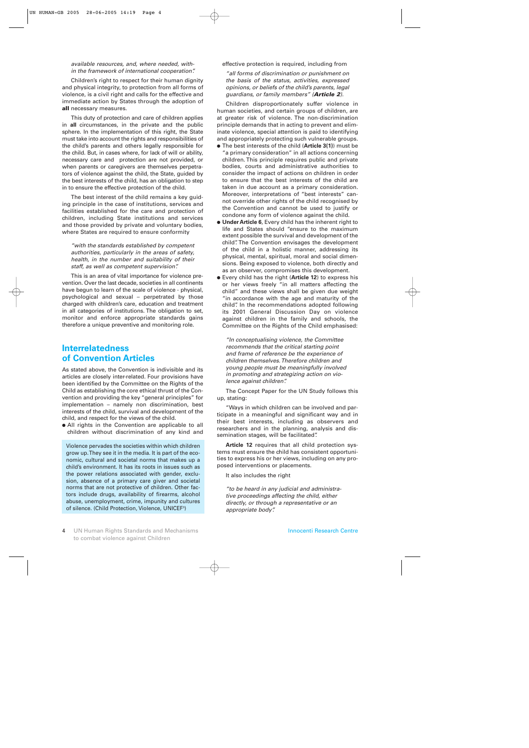#### *available resources, and, where needed, within the framework of international cooperation".*

Children's right to respect for their human dignity and physical integrity, to protection from all forms of violence, is a civil right and calls for the effective and immediate action by States through the adoption of **all** necessary measures.

This duty of protection and care of children applies in **all** circumstances, in the private and the public sphere. In the implementation of this right, the State must take into account the rights and responsibilities of the child's parents and others legally responsible for the child. But, in cases where, for lack of will or ability, necessary care and protection are not provided, or when parents or caregivers are themselves perpetrators of violence against the child, the State, guided by the best interests of the child, has an obligation to step in to ensure the effective protection of the child.

The best interest of the child remains a key guiding principle in the case of institutions, services and facilities established for the care and protection of children, including State institutions and services and those provided by private and voluntary bodies, where States are required to ensure conformity

*"with the standards established by competent authorities, particularly in the areas of safety, health, in the number and suitability of their staff, as well as competent supervision".* 

This is an area of vital importance for violence prevention. Over the last decade, societies in all continents have begun to learn of the scale of violence - physical, psychological and sexual – perpetrated by those charged with children's care, education and treatment in all categories of institutions. The obligation to set, monitor and enforce appropriate standards gains therefore a unique preventive and monitoring role.

## **Interrelatedness of Convention Articles**

As stated above, the Convention is indivisible and its articles are closely inter-related. Four provisions have been identified by the Committee on the Rights of the Child as establishing the core ethical thrust of the Convention and providing the key "general principles" for implementation – namely non discrimination, best interests of the child, survival and development of the child, and respect for the views of the child.

● All rights in the Convention are applicable to all children without discrimination of any kind and

Violence pervades the societies within which children grow up. They see it in the media. It is part of the economic, cultural and societal norms that makes up a child's environment. It has its roots in issues such as the power relations associated with gender, exclusion, absence of a primary care giver and societal norms that are not protective of children. Other factors include drugs, availability of firearms, alcohol abuse, unemployment, crime, impunity and cultures of silence. (Child Protection, Violence, UNICEF3)

effective protection is required, including from

*"all forms of discrimination or punishment on the basis of the status, activities, expressed opinions, or beliefs of the child's parents, legal guardians, or family members" (Article 2).*

Children disproportionately suffer violence in human societies, and certain groups of children, are at greater risk of violence. The non-discrimination principle demands that in acting to prevent and eliminate violence, special attention is paid to identifying and appropriately protecting such vulnerable groups.

- The best interests of the child (**Article 3(1)**) must be "a primary consideration" in all actions concerning children. This principle requires public and private bodies, courts and administrative authorities to consider the impact of actions on children in order to ensure that the best interests of the child are taken in due account as a primary consideration. Moreover, interpretations of "best interests" cannot override other rights of the child recognised by the Convention and cannot be used to justify or condone any form of violence against the child.
- **Under Article 6**, Every child has the inherent right to life and States should "ensure to the maximum extent possible the survival and development of the child". The Convention envisages the development of the child in a holistic manner, addressing its physical, mental, spiritual, moral and social dimensions. Being exposed to violence, both directly and as an observer, compromises this development.
- Every child has the right (**Article 12**) to express his or her views freely "in all matters affecting the child" and these views shall be given due weight "in accordance with the age and maturity of the child". In the recommendations adopted following its 2001 General Discussion Day on violence against children in the family and schools, the Committee on the Rights of the Child emphasised:

*"In conceptualising violence, the Committee recommends that the critical starting point and frame of reference be the experience of children themselves. Therefore children and young people must be meaningfully involved in promoting and strategizing action on violence against children".* 

The Concept Paper for the UN Study follows this up, stating:

"Ways in which children can be involved and participate in a meaningful and significant way and in their best interests, including as observers and researchers and in the planning, analysis and dissemination stages, will be facilitated".

**Article 12** requires that all child protection systems must ensure the child has consistent opportunities to express his or her views, including on any proposed interventions or placements.

It also includes the right

*"to be heard in any judicial and administrative proceedings affecting the child, either directly, or through a representative or an appropriate body".*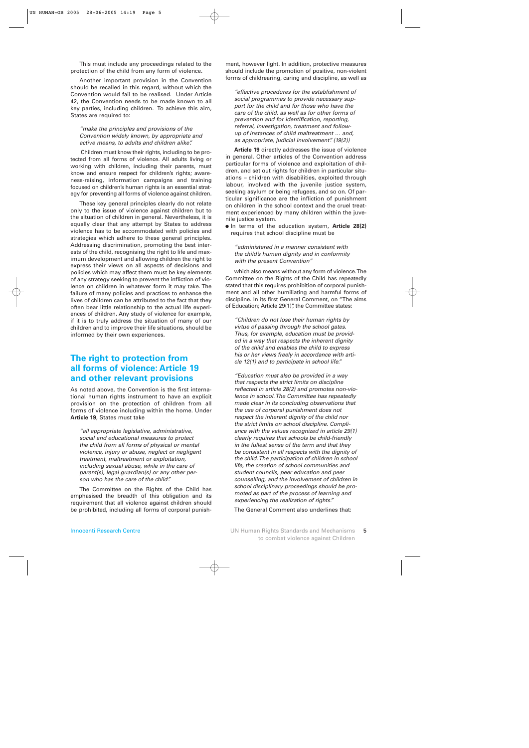This must include any proceedings related to the protection of the child from any form of violence.

Another important provision in the Convention should be recalled in this regard, without which the Convention would fail to be realised. Under Article 42, the Convention needs to be made known to all key parties, including children. To achieve this aim, States are required to:

*"make the principles and provisions of the Convention widely known, by appropriate and active means, to adults and children alike".*

Children must know their rights, including to be protected from all forms of violence. All adults living or working with children, including their parents, must know and ensure respect for children's rights; awareness-raising, information campaigns and training focused on children's human rights is an essential strategy for preventing all forms of violence against children.

These key general principles clearly do not relate only to the issue of violence against children but to the situation of children in general. Nevertheless, it is equally clear that any attempt by States to address violence has to be accommodated with policies and strategies which adhere to these general principles. Addressing discrimination, promoting the best interests of the child, recognising the right to life and maximum development and allowing children the right to express their views on all aspects of decisions and policies which may affect them must be key elements of any strategy seeking to prevent the infliction of violence on children in whatever form it may take. The failure of many policies and practices to enhance the lives of children can be attributed to the fact that they often bear little relationship to the actual life experiences of children. Any study of violence for example, if it is to truly address the situation of many of our children and to improve their life situations, should be informed by their own experiences.

## **The right to protection from all forms of violence: Article 19 and other relevant provisions**

As noted above, the Convention is the first international human rights instrument to have an explicit provision on the protection of children from all forms of violence including within the home. Under **Article 19**, States must take

*"all appropriate legislative, administrative, social and educational measures to protect the child from all forms of physical or mental violence, injury or abuse, neglect or negligent treatment, maltreatment or exploitation, including sexual abuse, while in the care of parent(s), legal guardian(s) or any other person who has the care of the child".* 

The Committee on the Rights of the Child has emphasised the breadth of this obligation and its requirement that all violence against children should be prohibited, including all forms of corporal punishment, however light. In addition, protective measures should include the promotion of positive, non-violent forms of childrearing, caring and discipline, as well as

*"effective procedures for the establishment of social programmes to provide necessary support for the child and for those who have the care of the child, as well as for other forms of prevention and for identification, reporting, referral, investigation, treatment and followup of instances of child maltreatment … and, as appropriate, judicial involvement". (19(2))*

**Article 19** directly addresses the issue of violence in general. Other articles of the Convention address particular forms of violence and exploitation of children, and set out rights for children in particular situations – children with disabilities, exploited through labour, involved with the juvenile justice system, seeking asylum or being refugees, and so on. Of particular significance are the infliction of punishment on children in the school context and the cruel treatment experienced by many children within the juvenile justice system.

● In terms of the education system, **Article 28(2)** requires that school discipline must be

*"administered in a manner consistent with the child's human dignity and in conformity with the present Convention"*

which also means without any form of violence. The Committee on the Rights of the Child has repeatedly stated that this requires prohibition of corporal punishment and all other humiliating and harmful forms of discipline. In its first General Comment, on "The aims of Education; Article 29(1)", the Committee states:

*"Children do not lose their human rights by virtue of passing through the school gates. Thus, for example, education must be provided in a way that respects the inherent dignity of the child and enables the child to express his or her views freely in accordance with article 12(1) and to participate in school life."* 

*"Education must also be provided in a way that respects the strict limits on discipline reflected in article 28(2) and promotes non-violence in school. The Committee has repeatedly made clear in its concluding observations that the use of corporal punishment does not respect the inherent dignity of the child nor the strict limits on school discipline. Compliance with the values recognized in article 29(1) clearly requires that schools be child-friendly in the fullest sense of the term and that they be consistent in all respects with the dignity of the child. The participation of children in school life, the creation of school communities and student councils, peer education and peer counselling, and the involvement of children in school disciplinary proceedings should be promoted as part of the process of learning and experiencing the realization of rights."*

The General Comment also underlines that: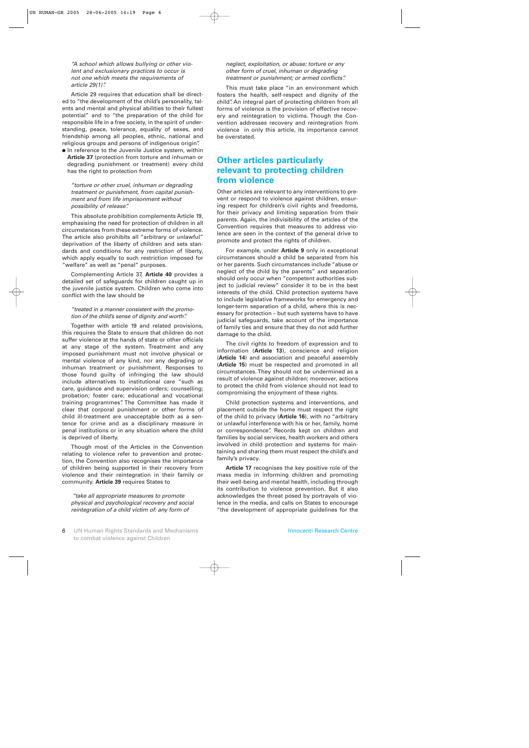*"A school which allows bullying or other violent and exclusionary practices to occur is not one which meets the requirements of article 29(1)".*

Article 29 requires that education shall be directed to "the development of the child's personality, talents and mental and physical abilities to their fullest potential" and to "the preparation of the child for responsible life in a free society, in the spirit of understanding, peace, tolerance, equality of sexes, and friendship among all peoples, ethnic, national and religious groups and persons of indigenous origin".

● In reference to the Juvenile Justice system, within **Article 37** (protection from torture and inhuman or degrading punishment or treatment) every child has the right to protection from

*"torture or other cruel, inhuman or degrading treatment or punishment, from capital punishment and from life imprisonment without possibility of release".* 

This absolute prohibition complements Article 19, emphasising the need for protection of children in all circumstances from these extreme forms of violence. The article also prohibits all "arbitrary or unlawful" deprivation of the liberty of children and sets standards and conditions for any restriction of liberty, which apply equally to such restriction imposed for "welfare" as well as "penal" purposes.

Complementing Article 37, **Article 40** provides a detailed set of safeguards for children caught up in the juvenile justice system. Children who come into conflict with the law should be

#### *"treated in a manner consistent with the promotion of the child's sense of dignity and worth".*

Together with article 19 and related provisions, this requires the State to ensure that children do not suffer violence at the hands of state or other officials at any stage of the system. Treatment and any imposed punishment must not involve physical or mental violence of any kind, nor any degrading or inhuman treatment or punishment. Responses to those found guilty of infringing the law should include alternatives to institutional care "such as care, guidance and supervision orders; counselling; probation; foster care; educational and vocational training programmes". The Committee has made it clear that corporal punishment or other forms of child ill-treatment are unacceptable both as a sentence for crime and as a disciplinary measure in penal institutions or in any situation where the child is deprived of liberty.

Though most of the Articles in the Convention relating to violence refer to prevention and protection, the Convention also recognises the importance of children being supported in their recovery from violence and their reintegration in their family or community. **Article 39** requires States to

*"take all appropriate measures to promote physical and psychological recovery and social reintegration of a child victim of: any form of*

This must take place "in an environment which fosters the health, self-respect and dignity of the child". An integral part of protecting children from all forms of violence is the provision of effective recovery and reintegration to victims. Though the Convention addresses recovery and reintegration from violence in only this article, its importance cannot be overstated.

## **Other articles particularly relevant to protecting children from violence**

Other articles are relevant to any interventions to prevent or respond to violence against children, ensuring respect for children's civil rights and freedoms, for their privacy and limiting separation from their parents. Again, the indivisibility of the articles of the Convention requires that measures to address violence are seen in the context of the general drive to promote and protect the rights of children.

For example, under **Article 9** only in exceptional circumstances should a child be separated from his or her parents. Such circumstances include "abuse or neglect of the child by the parents" and separation should only occur when "competent authorities subject to judicial review" consider it to be in the best interests of the child. Child protection systems have to include legislative frameworks for emergency and longer-term separation of a child, where this is necessary for protection – but such systems have to have judicial safeguards, take account of the importance of family ties and ensure that they do not add further damage to the child.

The civil rights to freedom of expression and to information (**Article 13**), conscience and religion (**Article 14**) and association and peaceful assembly (**Article 15**) must be respected and promoted in all circumstances. They should not be undermined as a result of violence against children; moreover, actions to protect the child from violence should not lead to compromising the enjoyment of these rights.

Child protection systems and interventions, and placement outside the home must respect the right of the child to privacy (**Article 16**), with no "arbitrary or unlawful interference with his or her, family, home or correspondence". Records kept on children and families by social services, health workers and others involved in child protection and systems for maintaining and sharing them must respect the child's and family's privacy.

**Article 17** recognises the key positive role of the mass media in informing children and promoting their well-being and mental health, including through its contribution to violence prevention. But it also acknowledges the threat posed by portrayals of violence in the media, and calls on States to encourage "the development of appropriate guidelines for the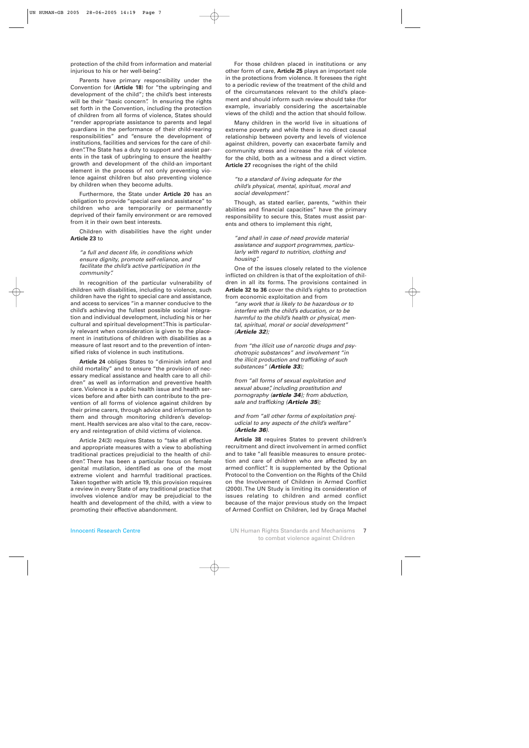protection of the child from information and material injurious to his or her well-being".

Parents have primary responsibility under the Convention for (**Article 18**) for "the upbringing and development of the child"; the child's best interests will be their "basic concern". In ensuring the rights set forth in the Convention, including the protection of children from all forms of violence, States should "render appropriate assistance to parents and legal guardians in the performance of their child-rearing responsibilities" and "ensure the development of institutions, facilities and services for the care of children". The State has a duty to support and assist parents in the task of upbringing to ensure the healthy growth and development of the child-an important element in the process of not only preventing violence against children but also preventing violence by children when they become adults.

Furthermore, the State under **Article 20** has an obligation to provide "special care and assistance" to children who are temporarily or permanently deprived of their family environment or are removed from it in their own best interests.

Children with disabilities have the right under **Article 23** to

### *"a full and decent life, in conditions which ensure dignity, promote self-reliance, and facilitate the child's active participation in the community".*

In recognition of the particular vulnerability of children with disabilities, including to violence, such children have the right to special care and assistance, and access to services "in a manner conducive to the child's achieving the fullest possible social integration and individual development, including his or her cultural and spiritual development". This is particularly relevant when consideration is given to the placement in institutions of children with disabilities as a measure of last resort and to the prevention of intensified risks of violence in such institutions.

**Article 24** obliges States to "diminish infant and child mortality" and to ensure "the provision of necessary medical assistance and health care to all children" as well as information and preventive health care. Violence is a public health issue and health services before and after birth can contribute to the prevention of all forms of violence against children by their prime carers, through advice and information to them and through monitoring children's development. Health services are also vital to the care, recovery and reintegration of child victims of violence.

Article 24(3) requires States to "take all effective and appropriate measures with a view to abolishing traditional practices prejudicial to the health of children". There has been a particular focus on female genital mutilation, identified as one of the most extreme violent and harmful traditional practices. Taken together with article 19, this provision requires a review in every State of any traditional practice that involves violence and/or may be prejudicial to the health and development of the child, with a view to promoting their effective abandonment.

For those children placed in institutions or any other form of care, **Article 25** plays an important role in the protections from violence. It foresees the right to a periodic review of the treatment of the child and of the circumstances relevant to the child's placement and should inform such review should take (for example, invariably considering the ascertainable views of the child) and the action that should follow.

Many children in the world live in situations of extreme poverty and while there is no direct causal relationship between poverty and levels of violence against children, poverty can exacerbate family and community stress and increase the risk of violence for the child, both as a witness and a direct victim. **Article 27** recognises the right of the child

*"to a standard of living adequate for the child's physical, mental, spiritual, moral and social development".* 

Though, as stated earlier, parents, "within their abilities and financial capacities" have the primary responsibility to secure this, States must assist parents and others to implement this right,

*"and shall in case of need provide material assistance and support programmes, particularly with regard to nutrition, clothing and housing".*

One of the issues closely related to the violence inflicted on children is that of the exploitation of children in all its forms. The provisions contained in **Article 32 to 36** cover the child's rights to protection from economic exploitation and from

*"any work that is likely to be hazardous or to interfere with the child's education, or to be harmful to the child's health or physical, mental, spiritual, moral or social development" (Article 32);* 

*from "the illicit use of narcotic drugs and psychotropic substances" and involvement "in the illicit production and trafficking of such substances" (Article 33);* 

*from "all forms of sexual exploitation and sexual abuse", including prostitution and pornography (article 34); from abduction, sale and trafficking (Article 35);* 

#### *and from "all other forms of exploitation prejudicial to any aspects of the child's welfare" (Article 36).*

**Article 38** requires States to prevent children's recruitment and direct involvement in armed conflict and to take "all feasible measures to ensure protection and care of children who are affected by an armed conflict". It is supplemented by the Optional Protocol to the Convention on the Rights of the Child on the Involvement of Children in Armed Conflict (2000). The UN Study is limiting its consideration of issues relating to children and armed conflict because of the major previous study on the Impact of Armed Conflict on Children, led by Graça Machel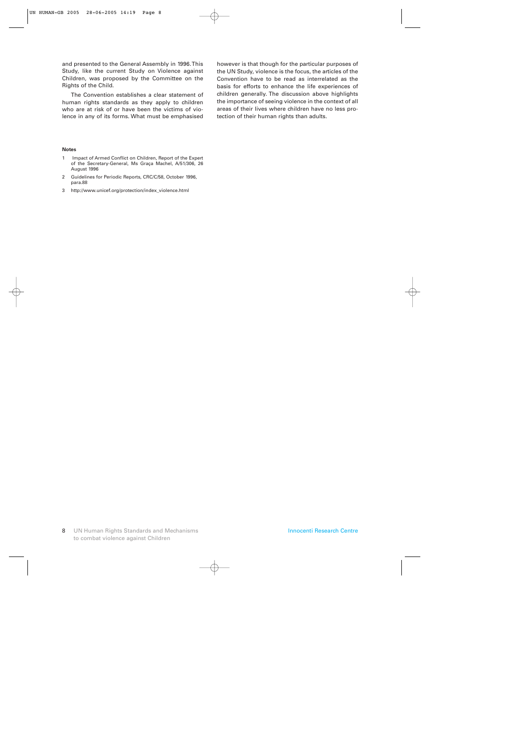and presented to the General Assembly in 1996. This Study, like the current Study on Violence against Children, was proposed by the Committee on the Rights of the Child.

The Convention establishes a clear statement of human rights standards as they apply to children who are at risk of or have been the victims of violence in any of its forms. What must be emphasised

#### **Notes**

- 1 Impact of Armed Conflict on Children, Report of the Expert of the Secretary-General, Ms Graça Machel, A/51/306, 26 August 1996
- 2 Guidelines for Periodic Reports, CRC/C/58, October 1996, para.88
- 3 http://www.unicef.org/protection/index\_violence.html

however is that though for the particular purposes of the UN Study, violence is the focus, the articles of the Convention have to be read as interrelated as the basis for efforts to enhance the life experiences of children generally. The discussion above highlights the importance of seeing violence in the context of all areas of their lives where children have no less protection of their human rights than adults.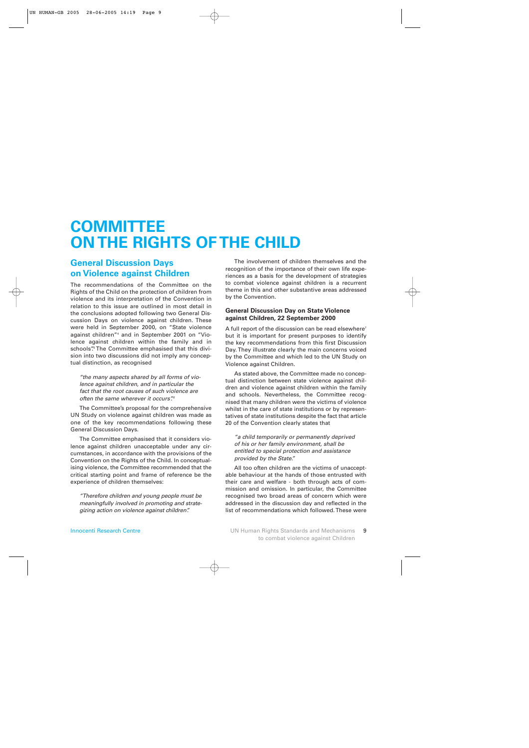## **COMMITTEE ON THE RIGHTS OF THE CHILD**

## **General Discussion Days on Violence against Children**

The recommendations of the Committee on the Rights of the Child on the protection of children from violence and its interpretation of the Convention in relation to this issue are outlined in most detail in the conclusions adopted following two General Discussion Days on violence against children. These were held in September 2000, on "State violence against children"4 and in September 2001 on "Violence against children within the family and in schools". 5 The Committee emphasised that this division into two discussions did not imply any conceptual distinction, as recognised

*"the many aspects shared by all forms of violence against children, and in particular the fact that the root causes of such violence are often the same wherever it occurs". <sup>6</sup>*

The Committee's proposal for the comprehensive UN Study on violence against children was made as one of the key recommendations following these General Discussion Days.

The Committee emphasised that it considers violence against children unacceptable under any circumstances, in accordance with the provisions of the Convention on the Rights of the Child. In conceptualising violence, the Committee recommended that the critical starting point and frame of reference be the experience of children themselves:

*"Therefore children and young people must be meaningfully involved in promoting and strategizing action on violence against children".*

The involvement of children themselves and the recognition of the importance of their own life experiences as a basis for the development of strategies to combat violence against children is a recurrent theme in this and other substantive areas addressed by the Convention.

## **General Discussion Day on State Violence against Children, 22 September 2000**

A full report of the discussion can be read elsewhere<sup>7</sup> but it is important for present purposes to identify the key recommendations from this first Discussion Day. They illustrate clearly the main concerns voiced by the Committee and which led to the UN Study on Violence against Children.

As stated above, the Committee made no conceptual distinction between state violence against children and violence against children within the family and schools. Nevertheless, the Committee recognised that many children were the victims of violence whilst in the care of state institutions or by representatives of state institutions despite the fact that article 20 of the Convention clearly states that

*"a child temporarily or permanently deprived of his or her family environment, shall be entitled to special protection and assistance provided by the State."*

All too often children are the victims of unacceptable behaviour at the hands of those entrusted with their care and welfare - both through acts of commission and omission. In particular, the Committee recognised two broad areas of concern which were addressed in the discussion day and reflected in the list of recommendations which followed. These were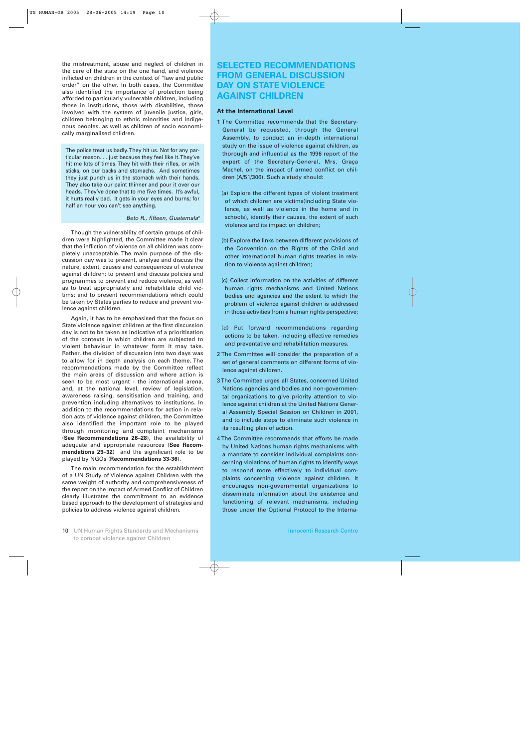the mistreatment, abuse and neglect of children in the care of the state on the one hand, and violence inflicted on children in the context of "law and public order" on the other. In both cases, the Committee also identified the importance of protection being afforded to particularly vulnerable children, including those in institutions, those with disabilities, those involved with the system of juvenile justice, girls, children belonging to ethnic minorities and indigenous peoples, as well as children of socio economically marginalised children.

The police treat us badly. They hit us. Not for any particular reason. . . just because they feel like it. They've hit me lots of times. They hit with their rifles, or with sticks, on our backs and stomachs. And sometimes they just punch us in the stomach with their hands. They also take our paint thinner and pour it over our heads. They've done that to me five times. It's awful, it hurts really bad. It gets in your eyes and burns; for half an hour you can't see anything.

## *Beto R., fifteen, Guatemala8*

Though the vulnerability of certain groups of children were highlighted, the Committee made it clear that the infliction of violence on all children was completely unacceptable. The main purpose of the discussion day was to present, analyse and discuss the nature, extent, causes and consequences of violence against children; to present and discuss policies and programmes to prevent and reduce violence, as well as to treat appropriately and rehabilitate child victims; and to present recommendations which could be taken by States parties to reduce and prevent violence against children.

Again, it has to be emphasised that the focus on State violence against children at the first discussion day is not to be taken as indicative of a prioritisation of the contexts in which children are subjected to violent behaviour in whatever form it may take. Rather, the division of discussion into two days was to allow for in depth analysis on each theme. The recommendations made by the Committee reflect the main areas of discussion and where action is seen to be most urgent - the international arena, and, at the national level, review of legislation, awareness raising, sensitisation and training, and prevention including alternatives to institutions. In addition to the recommendations for action in relation acts of violence against children, the Committee also identified the important role to be played through monitoring and complaint mechanisms (**See Recommendations 26–28**), the availability of adequate and appropriate resources (**See Recommendations 29–32**) and the significant role to be played by NGOs (**Recommendations 33-36**).

The main recommendation for the establishment of a UN Study of Violence against Children with the same weight of authority and comprehensiveness of the report on the Impact of Armed Conflict of Children clearly illustrates the commitment to an evidence based approach to the development of strategies and policies to address violence against children.

## **SELECTED RECOMMENDATIONS FROM GENERAL DISCUSSION DAY ON STATE VIOLENCE AGAINST CHILDREN**

## **At the International Level**

- 1 The Committee recommends that the Secretary-General be requested, through the General Assembly, to conduct an in-depth international study on the issue of violence against children, as thorough and influential as the 1996 report of the expert of the Secretary-General, Mrs. Graça Machel, on the impact of armed conflict on children (A/51/306). Such a study should:
	- (a) Explore the different types of violent treatment of which children are victims(including State violence, as well as violence in the home and in schools), identify their causes, the extent of such violence and its impact on children;
	- (b) Explore the links between different provisions of the Convention on the Rights of the Child and other international human rights treaties in relation to violence against children;
	- (c) Collect information on the activities of different human rights mechanisms and United Nations bodies and agencies and the extent to which the problem of violence against children is addressed in those activities from a human rights perspective;
	- (d) Put forward recommendations regarding actions to be taken, including effective remedies and preventative and rehabilitation measures.
- 2 The Committee will consider the preparation of a set of general comments on different forms of violence against children.
- 3 The Committee urges all States, concerned United Nations agencies and bodies and non-governmental organizations to give priority attention to violence against children at the United Nations General Assembly Special Session on Children in 2001, and to include steps to eliminate such violence in its resulting plan of action.
- 4 The Committee recommends that efforts be made by United Nations human rights mechanisms with a mandate to consider individual complaints concerning violations of human rights to identify ways to respond more effectively to individual complaints concerning violence against children. It encourages non-governmental organizations to disseminate information about the existence and functioning of relevant mechanisms, including those under the Optional Protocol to the Interna-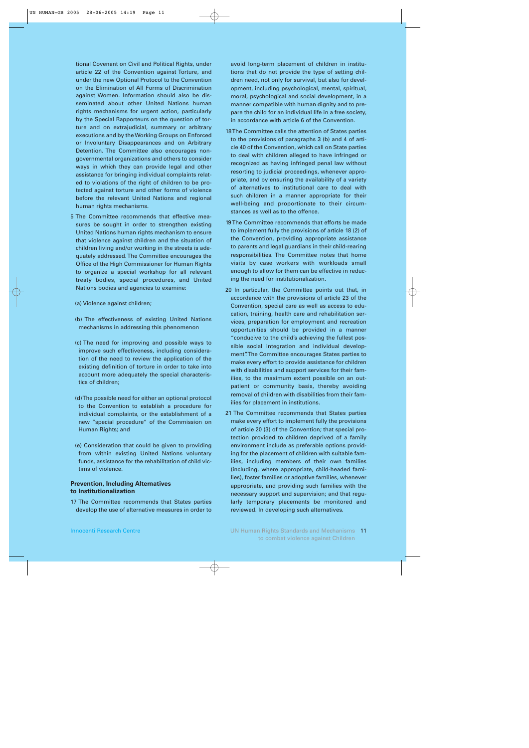tional Covenant on Civil and Political Rights, under article 22 of the Convention against Torture, and under the new Optional Protocol to the Convention on the Elimination of All Forms of Discrimination against Women. Information should also be disseminated about other United Nations human rights mechanisms for urgent action, particularly by the Special Rapporteurs on the question of torture and on extrajudicial, summary or arbitrary executions and by the Working Groups on Enforced or Involuntary Disappearances and on Arbitrary Detention. The Committee also encourages nongovernmental organizations and others to consider ways in which they can provide legal and other assistance for bringing individual complaints related to violations of the right of children to be protected against torture and other forms of violence before the relevant United Nations and regional human rights mechanisms.

- 5 The Committee recommends that effective measures be sought in order to strengthen existing United Nations human rights mechanism to ensure that violence against children and the situation of children living and/or working in the streets is adequately addressed. The Committee encourages the Office of the High Commissioner for Human Rights to organize a special workshop for all relevant treaty bodies, special procedures, and United Nations bodies and agencies to examine:
	- (a) Violence against children;
	- (b) The effectiveness of existing United Nations mechanisms in addressing this phenomenon
	- (c) The need for improving and possible ways to improve such effectiveness, including consideration of the need to review the application of the existing definition of torture in order to take into account more adequately the special characteristics of children;
	- (d) The possible need for either an optional protocol to the Convention to establish a procedure for individual complaints, or the establishment of a new "special procedure" of the Commission on Human Rights; and
	- (e) Consideration that could be given to providing from within existing United Nations voluntary funds, assistance for the rehabilitation of child victims of violence.

## **Prevention, Including Alternatives to Institutionalization**

17 The Committee recommends that States parties develop the use of alternative measures in order to

avoid long-term placement of children in institutions that do not provide the type of setting children need, not only for survival, but also for development, including psychological, mental, spiritual, moral, psychological and social development, in a manner compatible with human dignity and to prepare the child for an individual life in a free society, in accordance with article 6 of the Convention.

- 18 The Committee calls the attention of States parties to the provisions of paragraphs 3 (b) and 4 of article 40 of the Convention, which call on State parties to deal with children alleged to have infringed or recognized as having infringed penal law without resorting to judicial proceedings, whenever appropriate, and by ensuring the availability of a variety of alternatives to institutional care to deal with such children in a manner appropriate for their well-being and proportionate to their circumstances as well as to the offence.
- 19 The Committee recommends that efforts be made to implement fully the provisions of article 18 (2) of the Convention, providing appropriate assistance to parents and legal guardians in their child-rearing responsibilities. The Committee notes that home visits by case workers with workloads small enough to allow for them can be effective in reducing the need for institutionalization.
- 20 In particular, the Committee points out that, in accordance with the provisions of article 23 of the Convention, special care as well as access to education, training, health care and rehabilitation services, preparation for employment and recreation opportunities should be provided in a manner "conducive to the child's achieving the fullest possible social integration and individual development". The Committee encourages States parties to make every effort to provide assistance for children with disabilities and support services for their families, to the maximum extent possible on an outpatient or community basis, thereby avoiding removal of children with disabilities from their families for placement in institutions.
- 21 The Committee recommends that States parties make every effort to implement fully the provisions of article 20 (3) of the Convention; that special protection provided to children deprived of a family environment include as preferable options providing for the placement of children with suitable families, including members of their own families (including, where appropriate, child-headed families), foster families or adoptive families, whenever appropriate, and providing such families with the necessary support and supervision; and that regularly temporary placements be monitored and reviewed. In developing such alternatives.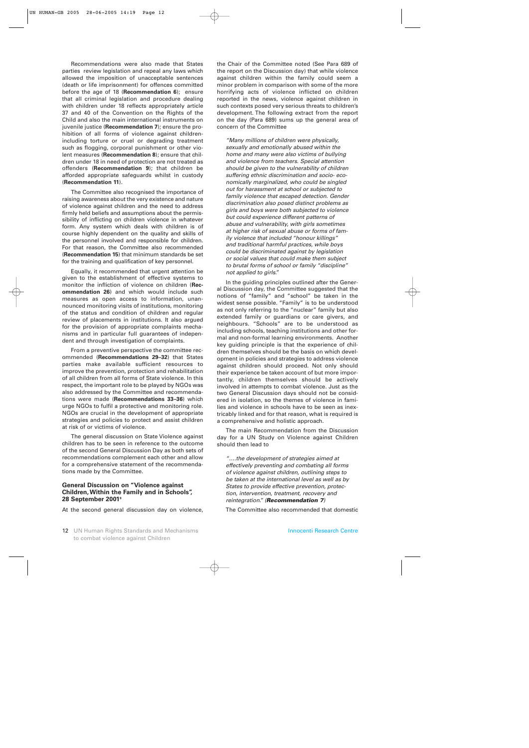Recommendations were also made that States parties review legislation and repeal any laws which allowed the imposition of unacceptable sentences (death or life imprisonment) for offences committed before the age of 18 (**Recommendation 6**); ensure that all criminal legislation and procedure dealing with children under 18 reflects appropriately article 37 and 40 of the Convention on the Rights of the Child and also the main international instruments on juvenile justice (**Recommendation 7**); ensure the prohibition of all forms of violence against childrenincluding torture or cruel or degrading treatment such as flogging, corporal punishment or other violent measures (**Recommendation 8**); ensure that children under 18 in need of protection are not treated as offenders (**Recommendation 9**); that children be afforded appropriate safeguards whilst in custody (**Recommendation 11**).

The Committee also recognised the importance of raising awareness about the very existence and nature of violence against children and the need to address firmly held beliefs and assumptions about the permissibility of inflicting on children violence in whatever form. Any system which deals with children is of course highly dependent on the quality and skills of the personnel involved and responsible for children. For that reason, the Committee also recommended (**Recommendation 15**) that minimum standards be set for the training and qualification of key personnel.

Equally, it recommended that urgent attention be given to the establishment of effective systems to monitor the infliction of violence on children (**Recommendation 26**) and which would include such measures as open access to information, unannounced monitoring visits of institutions, monitoring of the status and condition of children and regular review of placements in institutions. It also argued for the provision of appropriate complaints mechanisms and in particular full guarantees of independent and through investigation of complaints.

From a preventive perspective the committee recommended (**Recommendations 29–32**) that States parties make available sufficient resources to improve the prevention, protection and rehabilitation of all children from all forms of State violence. In this respect, the important role to be played by NGOs was also addressed by the Committee and recommendations were made (**Recommendations 33–36**) which urge NGOs to fulfil a protective and monitoring role. NGOs are crucial in the development of appropriate strategies and policies to protect and assist children at risk of or victims of violence.

The general discussion on State Violence against children has to be seen in reference to the outcome of the second General Discussion Day as both sets of recommendations complement each other and allow for a comprehensive statement of the recommendations made by the Committee.

#### **General Discussion on "Violence against Children, Within the Family and in Schools", 28 September 20019**

At the second general discussion day on violence,

the Chair of the Committee noted (See Para 689 of the report on the Discussion day) that while violence against children within the family could seem a minor problem in comparison with some of the more horrifying acts of violence inflicted on children reported in the news, violence against children in such contexts posed very serious threats to children's development. The following extract from the report on the day (Para 689) sums up the general area of concern of the Committee

*"Many millions of children were physically, sexually and emotionally abused within the home and many were also victims of bullying and violence from teachers. Special attention should be given to the vulnerability of children suffering ethnic discrimination and socio- economically marginalized, who could be singled out for harassment at school or subjected to family violence that escaped detection. Gender discrimination also posed distinct problems as girls and boys were both subjected to violence but could experience different patterns of abuse and vulnerability, with girls sometimes at higher risk of sexual abuse or forms of family violence that included "honour killings" and traditional harmful practices, while boys could be discriminated against by legislation or social values that could make them subject to brutal forms of school or family "discipline" not applied to girls."*

In the guiding principles outlined after the General Discussion day, the Committee suggested that the notions of "family" and "school" be taken in the widest sense possible. "Family" is to be understood as not only referring to the "nuclear" family but also extended family or guardians or care givers, and neighbours. "Schools" are to be understood as including schools, teaching institutions and other formal and non-formal learning environments. Another key guiding principle is that the experience of children themselves should be the basis on which development in policies and strategies to address violence against children should proceed. Not only should their experience be taken account of but more importantly, children themselves should be actively involved in attempts to combat violence. Just as the two General Discussion days should not be considered in isolation, so the themes of violence in families and violence in schools have to be seen as inextricably linked and for that reason, what is required is a comprehensive and holistic approach.

The main Recommendation from the Discussion day for a UN Study on Violence against Children should then lead to

*"….the development of strategies aimed at effectively preventing and combating all forms of violence against children, outlining steps to be taken at the international level as well as by States to provide effective prevention, protection, intervention, treatment, recovery and reintegration." (Recommendation 7)*

The Committee also recommended that domestic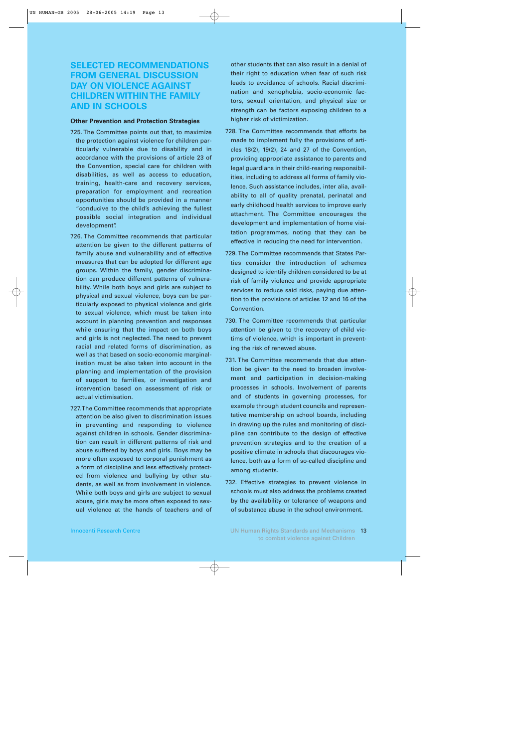## **SELECTED RECOMMENDATIONS FROM GENERAL DISCUSSION DAY ON VIOLENCE AGAINST CHILDREN WITHIN THE FAMILY AND IN SCHOOLS**

## **Other Prevention and Protection Strategies**

- 725. The Committee points out that, to maximize the protection against violence for children particularly vulnerable due to disability and in accordance with the provisions of article 23 of the Convention, special care for children with disabilities, as well as access to education, training, health-care and recovery services, preparation for employment and recreation opportunities should be provided in a manner "conducive to the child's achieving the fullest possible social integration and individual development".
- 726. The Committee recommends that particular attention be given to the different patterns of family abuse and vulnerability and of effective measures that can be adopted for different age groups. Within the family, gender discrimination can produce different patterns of vulnerability. While both boys and girls are subject to physical and sexual violence, boys can be particularly exposed to physical violence and girls to sexual violence, which must be taken into account in planning prevention and responses while ensuring that the impact on both boys and girls is not neglected. The need to prevent racial and related forms of discrimination, as well as that based on socio-economic marginalisation must be also taken into account in the planning and implementation of the provision of support to families, or investigation and intervention based on assessment of risk or actual victimisation.
- 727. The Committee recommends that appropriate attention be also given to discrimination issues in preventing and responding to violence against children in schools. Gender discrimination can result in different patterns of risk and abuse suffered by boys and girls. Boys may be more often exposed to corporal punishment as a form of discipline and less effectively protected from violence and bullying by other students, as well as from involvement in violence. While both boys and girls are subject to sexual abuse, girls may be more often exposed to sexual violence at the hands of teachers and of

other students that can also result in a denial of their right to education when fear of such risk leads to avoidance of schools. Racial discrimination and xenophobia, socio-economic factors, sexual orientation, and physical size or strength can be factors exposing children to a higher risk of victimization.

- 728. The Committee recommends that efforts be made to implement fully the provisions of articles 18(2), 19(2), 24 and 27 of the Convention, providing appropriate assistance to parents and legal guardians in their child-rearing responsibilities, including to address all forms of family violence. Such assistance includes, inter alia, availability to all of quality prenatal, perinatal and early childhood health services to improve early attachment. The Committee encourages the development and implementation of home visitation programmes, noting that they can be effective in reducing the need for intervention.
- 729. The Committee recommends that States Parties consider the introduction of schemes designed to identify children considered to be at risk of family violence and provide appropriate services to reduce said risks, paying due attention to the provisions of articles 12 and 16 of the Convention.
- 730. The Committee recommends that particular attention be given to the recovery of child victims of violence, which is important in preventing the risk of renewed abuse.
- 731. The Committee recommends that due attention be given to the need to broaden involvement and participation in decision-making processes in schools. Involvement of parents and of students in governing processes, for example through student councils and representative membership on school boards, including in drawing up the rules and monitoring of discipline can contribute to the design of effective prevention strategies and to the creation of a positive climate in schools that discourages violence, both as a form of so-called discipline and among students.
- 732. Effective strategies to prevent violence in schools must also address the problems created by the availability or tolerance of weapons and of substance abuse in the school environment.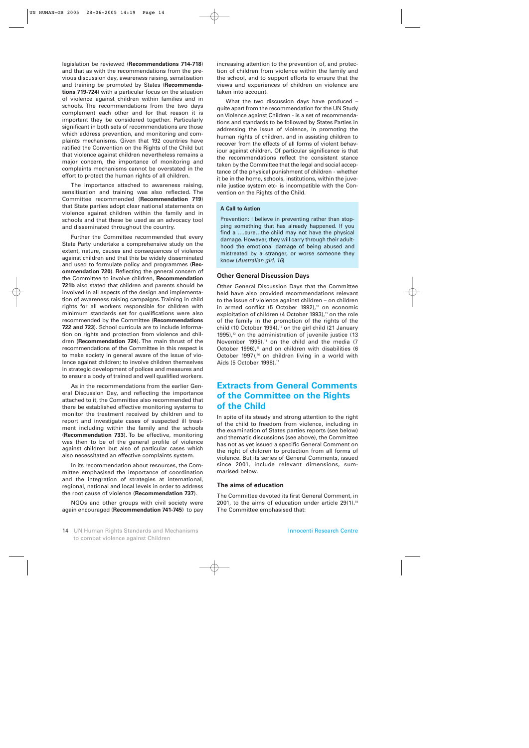legislation be reviewed (**Recommendations 714-718**) and that as with the recommendations from the previous discussion day, awareness raising, sensitisation and training be promoted by States (**Recommendations 719-724**) with a particular focus on the situation of violence against children within families and in schools. The recommendations from the two days complement each other and for that reason it is important they be considered together. Particularly significant in both sets of recommendations are those which address prevention, and monitoring and complaints mechanisms. Given that 192 countries have ratified the Convention on the Rights of the Child but that violence against children nevertheless remains a major concern, the importance of monitoring and complaints mechanisms cannot be overstated in the effort to protect the human rights of all children.

The importance attached to awareness raising, sensitisation and training was also reflected. The Committee recommended (**Recommendation 719**) that State parties adopt clear national statements on violence against children within the family and in schools and that these be used as an advocacy tool and disseminated throughout the country.

Further the Committee recommended that every State Party undertake a comprehensive study on the extent, nature, causes and consequences of violence against children and that this be widely disseminated and used to formulate policy and programmes (**Recommendation 720**). Reflecting the general concern of the Committee to involve children, **Recommendation 721b** also stated that children and parents should be involved in all aspects of the design and implementation of awareness raising campaigns. Training in child rights for all workers responsible for children with minimum standards set for qualifications were also recommended by the Committee (**Recommendations 722 and 723**). School curricula are to include information on rights and protection from violence and children (**Recommendation 724**). The main thrust of the recommendations of the Committee in this respect is to make society in general aware of the issue of violence against children; to involve children themselves in strategic development of polices and measures and to ensure a body of trained and well qualified workers.

As in the recommendations from the earlier General Discussion Day, and reflecting the importance attached to it, the Committee also recommended that there be established effective monitoring systems to monitor the treatment received by children and to report and investigate cases of suspected ill treatment including within the family and the schools (**Recommendation 733**). To be effective, monitoring was then to be of the general profile of violence against children but also of particular cases which also necessitated an effective complaints system.

In its recommendation about resources, the Committee emphasised the importance of coordination and the integration of strategies at international, regional, national and local levels in order to address the root cause of violence (**Recommendation 737**).

NGOs and other groups with civil society were again encouraged (**Recommendation 741-745**) to pay increasing attention to the prevention of, and protection of children from violence within the family and the school, and to support efforts to ensure that the views and experiences of children on violence are taken into account.

What the two discussion days have produced – quite apart from the recommendation for the UN Study on Violence against Children - is a set of recommendations and standards to be followed by States Parties in addressing the issue of violence, in promoting the human rights of children, and in assisting children to recover from the effects of all forms of violent behaviour against children. Of particular significance is that the recommendations reflect the consistent stance taken by the Committee that the legal and social acceptance of the physical punishment of children - whether it be in the home, schools, institutions, within the juvenile justice system etc- is incompatible with the Convention on the Rights of the Child.

## **A Call to Action**

Prevention: I believe in preventing rather than stopping something that has already happened. If you find a ….cure…the child may not have the physical damage. However, they will carry through their adulthood the emotional damage of being abused and mistreated by a stranger, or worse someone they know (*Australian girl, 16*)

## **Other General Discussion Days**

Other General Discussion Days that the Committee held have also provided recommendations relevant to the issue of violence against children – on children in armed conflict (5 October 1992), $10$  on economic exploitation of children (4 October 1993), $<sup>n</sup>$  on the role</sup> of the family in the promotion of the rights of the child (10 October 1994), $12$  on the girl child (21 January  $1995$ ),<sup>13</sup> on the administration of juvenile justice (13 November 1995), $14$  on the child and the media (7 October 1996),<sup>15</sup> and on children with disabilities (6 October 1997),<sup>16</sup> on children living in a world with Aids (5 October 1998).<sup>17</sup>

## **Extracts from General Comments of the Committee on the Rights of the Child**

In spite of its steady and strong attention to the right of the child to freedom from violence, including in the examination of States parties reports (see below) and thematic discussions (see above), the Committee has not as yet issued a specific General Comment on the right of children to protection from all forms of violence. But its series of General Comments, issued since 2001, include relevant dimensions, summarised below.

#### **The aims of education**

The Committee devoted its first General Comment, in 2001, to the aims of education under article  $29(1).^{18}$ The Committee emphasised that: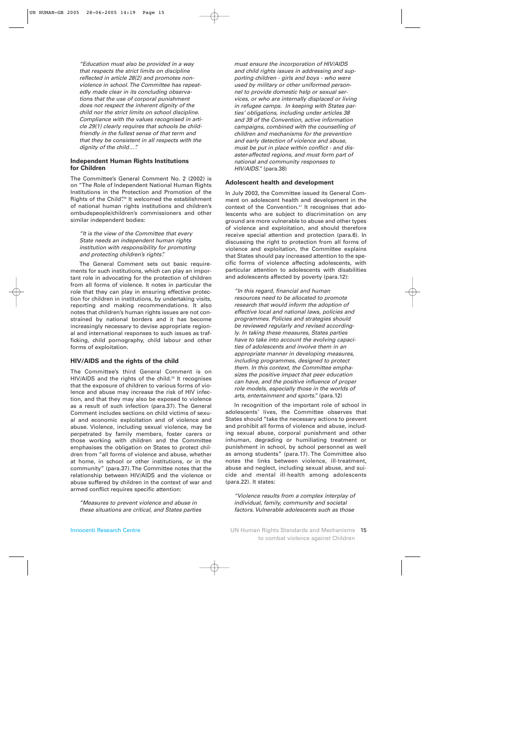*"Education must also be provided in a way that respects the strict limits on discipline reflected in article 28(2) and promotes nonviolence in school. The Committee has repeatedly made clear in its concluding observations that the use of corporal punishment does not respect the inherent dignity of the child nor the strict limits on school discipline. Compliance with the values recognised in article 29(1) clearly requires that schools be childfriendly in the fullest sense of that term and that they be consistent in all respects with the dignity of the child…".*

### **Independent Human Rights Institutions for Children**

The Committee's General Comment No. 2 (2002) is on "The Role of Independent National Human Rights Institutions in the Protection and Promotion of the Rights of the Child".<sup>9</sup> It welcomed the establishment of national human rights institutions and children's ombudspeople/children's commissioners and other similar independent bodies:

*"It is the view of the Committee that every State needs an independent human rights institution with responsibility for promoting and protecting children's rights".*

The General Comment sets out basic requirements for such institutions, which can play an important role in advocating for the protection of children from all forms of violence. It notes in particular the role that they can play in ensuring effective protection for children in institutions, by undertaking visits, reporting and making recommendations. It also notes that children's human rights issues are not constrained by national borders and it has become increasingly necessary to devise appropriate regional and international responses to such issues as trafficking, child pornography, child labour and other forms of exploitation.

## **HIV/AIDS and the rights of the child**

The Committee's third General Comment is on HIV/AIDS and the rights of the child.<sup>20</sup> It recognises that the exposure of children to various forms of violence and abuse may increase the risk of HIV infection, and that they may also be exposed to violence as a result of such infection (para.37). The General Comment includes sections on child victims of sexual and economic exploitation and of violence and abuse. Violence, including sexual violence, may be perpetrated by family members, foster carers or those working with children and the Committee emphasises the obligation on States to protect children from "all forms of violence and abuse, whether at home, in school or other institutions, or in the community" (para.37). The Committee notes that the relationship between HIV/AIDS and the violence or abuse suffered by children in the context of war and armed conflict requires specific attention:

*"Measures to prevent violence and abuse in these situations are critical, and States parties* *must ensure the incorporation of HIV/AIDS and child rights issues in addressing and supporting children - girls and boys - who were used by military or other uniformed personnel to provide domestic help or sexual services, or who are internally displaced or living in refugee camps. In keeping with States parties' obligations, including under articles 38 and 39 of the Convention, active information campaigns, combined with the counselling of children and mechanisms for the prevention and early detection of violence and abuse, must be put in place within conflict - and disaster-affected regions, and must form part of national and community responses to HIV/AIDS."* (para.38)

## **Adolescent health and development**

In July 2003, the Committee issued its General Comment on adolescent health and development in the context of the Convention.21 It recognises that adolescents who are subject to discrimination on any ground are more vulnerable to abuse and other types of violence and exploitation, and should therefore receive special attention and protection (para.6). In discussing the right to protection from all forms of violence and exploitation, the Committee explains that States should pay increased attention to the specific forms of violence affecting adolescents, with particular attention to adolescents with disabilities and adolescents affected by poverty (para.12):

*"In this regard, financial and human resources need to be allocated to promote research that would inform the adoption of effective local and national laws, policies and programmes. Policies and strategies should be reviewed regularly and revised accordingly. In taking these measures, States parties have to take into account the evolving capacities of adolescents and involve them in an appropriate manner in developing measures, including programmes, designed to protect them. In this context, the Committee emphasizes the positive impact that peer education can have, and the positive influence of proper role models, especially those in the worlds of arts, entertainment and sports."* (para.12)

In recognition of the important role of school in adolescents' lives, the Committee observes that States should "take the necessary actions to prevent and prohibit all forms of violence and abuse, including sexual abuse, corporal punishment and other inhuman, degrading or humiliating treatment or punishment in school, by school personnel as well as among students" (para.17). The Committee also notes the links between violence, ill-treatment, abuse and neglect, including sexual abuse, and suicide and mental ill-health among adolescents (para.22). It states:

*"Violence results from a complex interplay of individual, family, community and societal factors. Vulnerable adolescents such as those*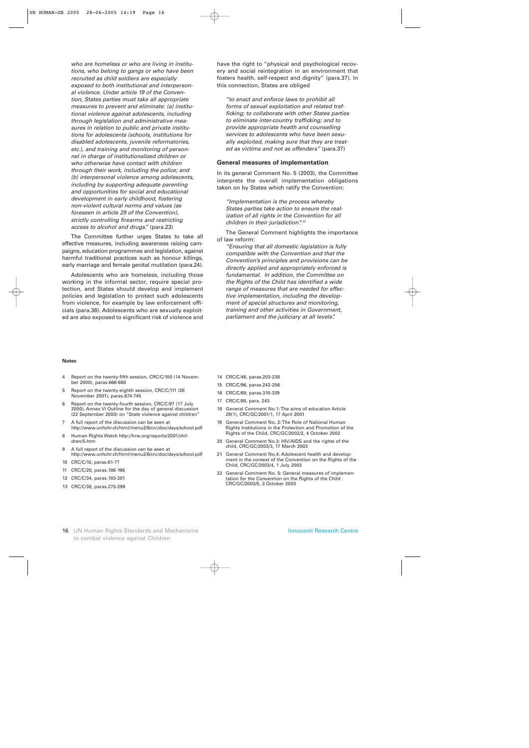*who are homeless or who are living in institutions, who belong to gangs or who have been recruited as child soldiers are especially exposed to both institutional and interpersonal violence. Under article 19 of the Convention, States parties must take all appropriate measures to prevent and eliminate: (a) institutional violence against adolescents, including through legislation and administrative measures in relation to public and private institutions for adolescents (schools, institutions for disabled adolescents, juvenile reformatories, etc.), and training and monitoring of personnel in charge of institutionalized children or who otherwise have contact with children through their work, including the police; and (b) interpersonal violence among adolescents, including by supporting adequate parenting and opportunities for social and educational development in early childhood, fostering non-violent cultural norms and values (as foreseen in article 29 of the Convention), strictly controlling firearms and restricting access to alcohol and drugs."* (para.23)

The Committee further urges States to take all effective measures, including awareness raising campaigns, education programmes and legislation, against harmful traditional practices such as honour killings, early marriage and female genital mutilation (para.24).

Adolescents who are homeless, including those working in the informal sector, require special protection, and States should develop and implement policies and legislation to protect such adolescents from violence, for example by law enforcement officials (para.36). Adolescents who are sexually exploited are also exposed to significant risk of violence and

have the right to "physical and psychological recovery and social reintegration in an environment that fosters health, self-respect and dignity" (para.37). In this connection, States are obliged

*"to enact and enforce laws to prohibit all forms of sexual exploitation and related trafficking; to collaborate with other States parties to eliminate inter-country trafficking; and to provide appropriate health and counselling services to adolescents who have been sexually exploited, making sure that they are treated as victims and not as offenders"* (para.37)

#### **General measures of implementation**

In its general Comment No. 5 (2003), the Committee interprets the overall implementation obligations taken on by States which ratify the Convention:

*"Implementation is the process whereby States parties take action to ensure the realization of all rights in the Convention for all children in their jurisdiction". 22*

The General Comment highlights the importance of law reform:

*"Ensuring that all domestic legislation is fully compatible with the Convention and that the Convention's principles and provisions can be directly applied and appropriately enforced is fundamental. In addition, the Committee on the Rights of the Child has identified a wide range of measures that are needed for effective implementation, including the development of special structures and monitoring, training and other activities in Government, parliament and the judiciary at all levels".*

#### **Notes**

- 4 Report on the twenty-fifth session, CRC/C/100 (14 November 2000), paras.666-688
- 5 Report on the twenty-eighth session, CRC/C/111 (28 November 2001), paras.674-745
- 6 Report on the twenty-fourth session, CRC/C/97 (17 July 2000), Annex VI Outline for the day of general discussion (22 September 2000) on "State violence against children"
- 7 A full report of the discussion can be seen at http://www.unhchr.ch/html/menu2/6/crc/doc/days/school.pdf
- 8 Human Rights Watch http://hrw.org/reports/2001/children/5.htm
- 9 A full report of the discussion can be seen at http://www.unhchr.ch/html/menu2/6/crc/doc/days/school.pdf
- 10 CRC/C/10, paras.61-77
- 11 CRC/C/20, paras.186-196
- 12 CRC/C/34, paras.183-201
- 13 CRC/C/38, paras.275-299
- 14 CRC/C/46, paras.203-238
- 15 CRC/C/96, paras.242-256
- 16 CRC/C/69, paras.310-339
- 17 CRC/C/80, para. 243
- 18 General Comment No.1: The aims of education Article 29(1), CRC/GC/2001/1, 17 April 2001
- 19 General Comment No. 2: The Role of National Human Rights Institutions in the Protection and Promotion of the Rights of the Child, CRC/GC/2002/2, 4 October 2002
- 20 General Comment No.3: HIV/AIDS and the rights of the child, CRC/GC/2003/3, 17 March 2003
- 21 General Comment No.4: Adolescent health and development in the context of the Convention on the Rights of the Child, CRC/GC/2003/4, 1 July 2003
- 22 General Comment No. 5: General measures of implementation for the Convention on the Rights of the Child : CRC/GC/2003/5, 3 October 2003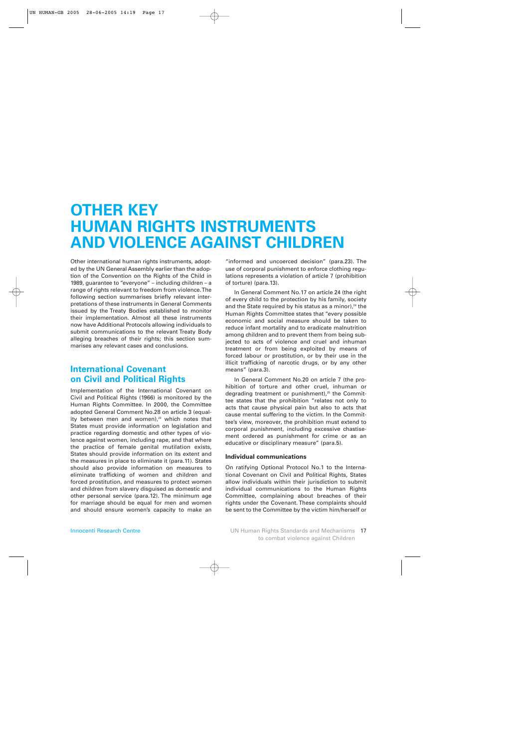## **OTHER KEY HUMAN RIGHTS INSTRUMENTS AND VIOLENCE AGAINST CHILDREN**

Other international human rights instruments, adopted by the UN General Assembly earlier than the adoption of the Convention on the Rights of the Child in 1989, guarantee to "everyone" – including children – a range of rights relevant to freedom from violence. The following section summarises briefly relevant interpretations of these instruments in General Comments issued by the Treaty Bodies established to monitor their implementation. Almost all these instruments now have Additional Protocols allowing individuals to submit communications to the relevant Treaty Body alleging breaches of their rights; this section summarises any relevant cases and conclusions.

## **International Covenant on Civil and Political Rights**

Implementation of the International Covenant on Civil and Political Rights (1966) is monitored by the Human Rights Committee. In 2000, the Committee adopted General Comment No.28 on article 3 (equality between men and women), $23$  which notes that States must provide information on legislation and practice regarding domestic and other types of violence against women, including rape, and that where the practice of female genital mutilation exists, States should provide information on its extent and the measures in place to eliminate it (para.11). States should also provide information on measures to eliminate trafficking of women and children and forced prostitution, and measures to protect women and children from slavery disguised as domestic and other personal service (para.12). The minimum age for marriage should be equal for men and women and should ensure women's capacity to make an

"informed and uncoerced decision" (para.23). The use of corporal punishment to enforce clothing regulations represents a violation of article 7 (prohibition of torture) (para.13).

In General Comment No.17 on article 24 (the right of every child to the protection by his family, society and the State required by his status as a minor), $24$  the Human Rights Committee states that "every possible economic and social measure should be taken to reduce infant mortality and to eradicate malnutrition among children and to prevent them from being subjected to acts of violence and cruel and inhuman treatment or from being exploited by means of forced labour or prostitution, or by their use in the illicit trafficking of narcotic drugs, or by any other means" (para.3).

In General Comment No.20 on article 7 (the prohibition of torture and other cruel, inhuman or degrading treatment or punishment),<sup>25</sup> the Committee states that the prohibition "relates not only to acts that cause physical pain but also to acts that cause mental suffering to the victim. In the Committee's view, moreover, the prohibition must extend to corporal punishment, including excessive chastisement ordered as punishment for crime or as an educative or disciplinary measure" (para.5).

## **Individual communications**

On ratifying Optional Protocol No.1 to the International Covenant on Civil and Political Rights, States allow individuals within their jurisdiction to submit individual communications to the Human Rights Committee, complaining about breaches of their rights under the Covenant. These complaints should be sent to the Committee by the victim him/herself or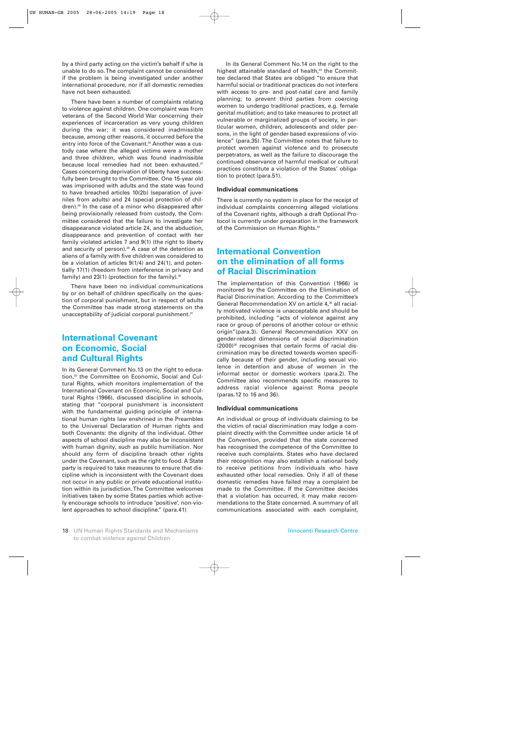by a third party acting on the victim's behalf if s/he is unable to do so. The complaint cannot be considered if the problem is being investigated under another international procedure, nor if all domestic remedies have not been exhausted.

There have been a number of complaints relating to violence against children. One complaint was from veterans of the Second World War concerning their experiences of incarceration as very young children during the war; it was considered inadmissible because, among other reasons, it occurred before the entry into force of the Covenant.<sup>26</sup> Another was a custody case where the alleged victims were a mother and three children, which was found inadmissible because local remedies had not been exhausted.<sup>27</sup> Cases concerning deprivation of liberty have successfully been brought to the Committee. One 15-year old was imprisoned with adults and the state was found to have breached articles 10(2b) (separation of juveniles from adults) and 24 (special protection of children).28 In the case of a minor who disappeared after being provisionally released from custody, the Committee considered that the failure to investigate her disappearance violated article 24, and the abduction, disappearance and prevention of contact with her family violated articles 7 and 9(1) (the right to liberty and security of person). $29$  A case of the detention as aliens of a family with five children was considered to be a violation of articles 9(1/4) and 24(1), and potentially 17(1) (freedom from interference in privacy and family) and  $23(1)$  (protection for the family).<sup>30</sup>

There have been no individual communications by or on behalf of children specifically on the question of corporal punishment, but in respect of adults the Committee has made strong statements on the unacceptability of judicial corporal punishment.<sup>31</sup>

## **International Covenant on Economic, Social and Cultural Rights**

In its General Comment No.13 on the right to education,<sup>32</sup> the Committee on Economic, Social and Cultural Rights, which monitors implementation of the International Covenant on Economic, Social and Cultural Rights (1966), discussed discipline in schools, stating that "corporal punishment is inconsistent with the fundamental guiding principle of international human rights law enshrined in the Preambles to the Universal Declaration of Human rights and both Covenants: the dignity of the individual. Other aspects of school discipline may also be inconsistent with human dignity, such as public humiliation. Nor should any form of discipline breach other rights under the Covenant, such as the right to food. A State party is required to take measures to ensure that discipline which is inconsistent with the Covenant does not occur in any public or private educational institution within its jurisdiction. The Committee welcomes initiatives taken by some States parties which actively encourage schools to introduce 'positive', non-violent approaches to school discipline." (para.41)

In its General Comment No.14 on the right to the highest attainable standard of health,<sup>33</sup> the Committee declared that States are obliged "to ensure that harmful social or traditional practices do not interfere with access to pre- and post-natal care and family planning; to prevent third parties from coercing women to undergo traditional practices, e.g. female genital mutilation; and to take measures to protect all vulnerable or marginalized groups of society, in particular women, children, adolescents and older persons, in the light of gender-based expressions of violence" (para.35). The Committee notes that failure to protect women against violence and to prosecute perpetrators, as well as the failure to discourage the continued observance of harmful medical or cultural practices constitute a violation of the States' obligation to protect (para.51).

## **Individual communications**

There is currently no system in place for the receipt of individual complaints concerning alleged violations of the Covenant rights, although a draft Optional Protocol is currently under preparation in the framework of the Commission on Human Rights.<sup>34</sup>

## **International Convention on the elimination of all forms of Racial Discrimination**

The implementation of this Convention (1966) is monitored by the Committee on the Elimination of Racial Discrimination. According to the Committee's General Recommendation XV on article 4,<sup>35</sup> all racially motivated violence is unacceptable and should be prohibited, including "acts of violence against any race or group of persons of another colour or ethnic origin"(para.3). General Recommendation XXV on gender-related dimensions of racial discrimination (2000)<sup>36</sup> recognises that certain forms of racial discrimination may be directed towards women specifically because of their gender, including sexual violence in detention and abuse of women in the informal sector or domestic workers (para.2). The Committee also recommends specific measures to address racial violence against Roma people (paras.12 to 16 and 36).

## **Individual communications**

An individual or group of individuals claiming to be the victim of racial discrimination may lodge a complaint directly with the Committee under article 14 of the Convention, provided that the state concerned has recognised the competence of the Committee to receive such complaints. States who have declared their recognition may also establish a national body to receive petitions from individuals who have exhausted other local remedies. Only if all of these domestic remedies have failed may a complaint be made to the Committee. If the Committee decides that a violation has occurred, it may make recommendations to the State concerned. A summary of all communications associated with each complaint,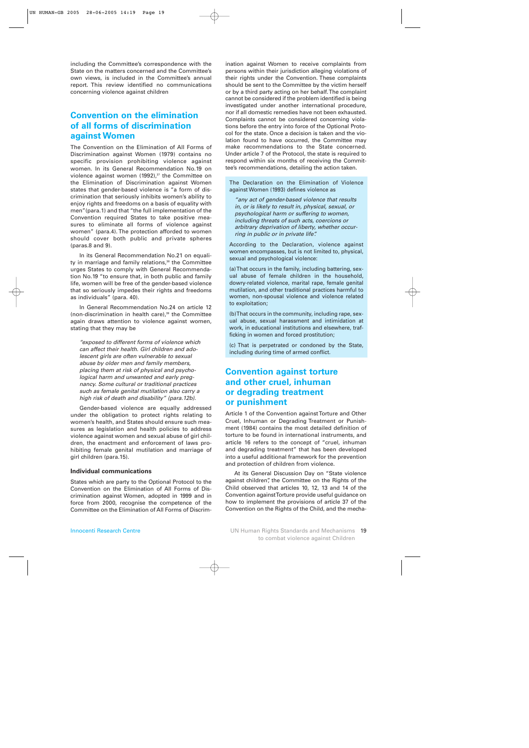including the Committee's correspondence with the State on the matters concerned and the Committee's own views, is included in the Committee's annual report. This review identified no communications concerning violence against children

## **Convention on the elimination of all forms of discrimination against Women**

The Convention on the Elimination of All Forms of Discrimination against Women (1979) contains no specific provision prohibiting violence against women. In its General Recommendation No.19 on violence against women (1992), $37$  the Committee on the Elimination of Discrimination against Women states that gender-based violence is "a form of discrimination that seriously inhibits women's ability to enjoy rights and freedoms on a basis of equality with men"(para.1) and that "the full implementation of the Convention required States to take positive measures to eliminate all forms of violence against women" (para.4). The protection afforded to women should cover both public and private spheres (paras.8 and 9).

In its General Recommendation No.21 on equality in marriage and family relations, $38$  the Committee urges States to comply with General Recommendation No.19 "to ensure that, in both public and family life, women will be free of the gender-based violence that so seriously impedes their rights and freedoms as individuals" (para. 40).

In General Recommendation No.24 on article 12 (non-discrimination in health care), $39$  the Committee again draws attention to violence against women, stating that they may be

*"exposed to different forms of violence which can affect their health. Girl children and adolescent girls are often vulnerable to sexual abuse by older men and family members, placing them at risk of physical and psychological harm and unwanted and early pregnancy. Some cultural or traditional practices such as female genital mutilation also carry a high risk of death and disability" (para.12b).* 

Gender-based violence are equally addressed under the obligation to protect rights relating to women's health, and States should ensure such measures as legislation and health policies to address violence against women and sexual abuse of girl children, the enactment and enforcement of laws prohibiting female genital mutilation and marriage of girl children (para.15).

## **Individual communications**

States which are party to the Optional Protocol to the Convention on the Elimination of All Forms of Discrimination against Women, adopted in 1999 and in force from 2000, recognise the competence of the Committee on the Elimination of All Forms of Discrimination against Women to receive complaints from persons within their jurisdiction alleging violations of their rights under the Convention. These complaints should be sent to the Committee by the victim herself or by a third party acting on her behalf. The complaint cannot be considered if the problem identified is being investigated under another international procedure, nor if all domestic remedies have not been exhausted. Complaints cannot be considered concerning violations before the entry into force of the Optional Protocol for the state. Once a decision is taken and the violation found to have occurred, the Committee may make recommendations to the State concerned. Under article 7 of the Protocol, the state is required to respond within six months of receiving the Committee's recommendations, detailing the action taken.

The Declaration on the Elimination of Violence against Women (1993) defines violence as

*"any act of gender-based violence that results in, or is likely to result in, physical, sexual, or psychological harm or suffering to women, including threats of such acts, coercions or arbitrary deprivation of liberty, whether occurring in public or in private life".*

According to the Declaration, violence against women encompasses, but is not limited to, physical, sexual and psychological violence:

(a) That occurs in the family, including battering, sexual abuse of female children in the household, dowry-related violence, marital rape, female genital mutilation, and other traditional practices harmful to women, non-spousal violence and violence related to exploitation;

(b) That occurs in the community, including rape, sexual abuse, sexual harassment and intimidation at work, in educational institutions and elsewhere, trafficking in women and forced prostitution;

(c) That is perpetrated or condoned by the State, including during time of armed conflict.

## **Convention against torture and other cruel, inhuman or degrading treatment or punishment**

Article 1 of the Convention against Torture and Other Cruel, Inhuman or Degrading Treatment or Punishment (1984) contains the most detailed definition of torture to be found in international instruments, and article 16 refers to the concept of "cruel, inhuman and degrading treatment" that has been developed into a useful additional framework for the prevention and protection of children from violence.

At its General Discussion Day on "State violence against children", the Committee on the Rights of the Child observed that articles 10, 12, 13 and 14 of the Convention against Torture provide useful guidance on how to implement the provisions of article 37 of the Convention on the Rights of the Child, and the mecha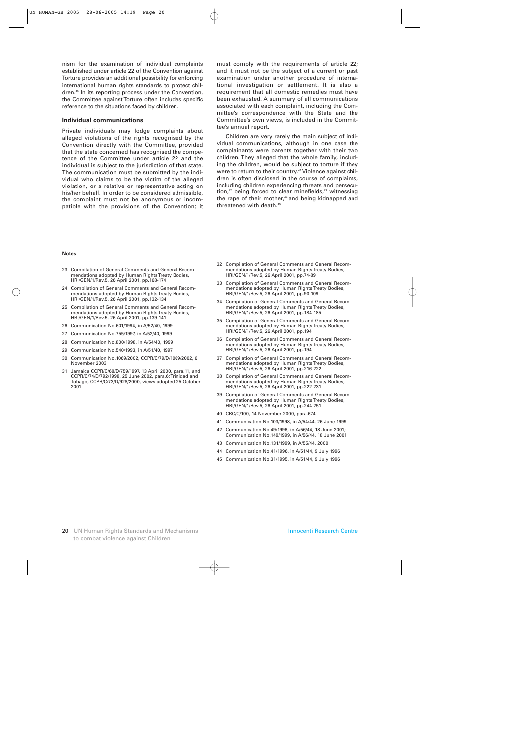nism for the examination of individual complaints established under article 22 of the Convention against Torture provides an additional possibility for enforcing international human rights standards to protect children.40 In its reporting process under the Convention, the Committee against Torture often includes specific reference to the situations faced by children.

#### **Individual communications**

Private individuals may lodge complaints about alleged violations of the rights recognised by the Convention directly with the Committee, provided that the state concerned has recognised the competence of the Committee under article 22 and the individual is subject to the jurisdiction of that state. The communication must be submitted by the individual who claims to be the victim of the alleged violation, or a relative or representative acting on his/her behalf. In order to be considered admissible, the complaint must not be anonymous or incompatible with the provisions of the Convention; it

must comply with the requirements of article 22; and it must not be the subject of a current or past examination under another procedure of international investigation or settlement. It is also a requirement that all domestic remedies must have been exhausted. A summary of all communications associated with each complaint, including the Committee's correspondence with the State and the Committee's own views, is included in the Committee's annual report.

Children are very rarely the main subject of individual communications, although in one case the complainants were parents together with their two children. They alleged that the whole family, including the children, would be subject to torture if they were to return to their country.<sup>41</sup> Violence against children is often disclosed in the course of complaints, including children experiencing threats and persecution,<sup>42</sup> being forced to clear minefields,<sup>43</sup> witnessing the rape of their mother,<sup>44</sup> and being kidnapped and threatened with death.<sup>45</sup>

#### **Notes**

- 23 Compilation of General Comments and General Recommendations adopted by Human Rights Treaty Bodies, HRI/GEN/1/Rev.5, 26 April 2001, pp.168-174
- 24 Compilation of General Comments and General Recommendations adopted by Human Rights Treaty Bodies, HRI/GEN/1/Rev.5, 26 April 2001, pp.132-134
- 25 Compilation of General Comments and General Recommendations adopted by Human Rights Treaty Bodies, HRI/GEN/1/Rev.5, 26 April 2001, pp.139-141
- 26 Communication No.601/1994, in A/52/40, 1999
- 27 Communication No.755/1997, in A/52/40, 1999
- 28 Communication No.800/1998, in A/54/40, 1999
- 29 Communication No.540/1993, in A/51/40, 1997
- 30 Communication No.1069/2002, CCPR/C/79/D/1069/2002, 6 November 2003
- 31 Jamaica CCPR/C/68/D/759/1997, 13 April 2000, para.11, and CCPR/C/74/D/792/1998, 25 June 2002, para.6; Trinidad and Tobago, CCPR/C/73/D/928/2000, views adopted 25 October 2001
- 32 Compilation of General Comments and General Recommendations adopted by Human Rights Treaty Bodies, HRI/GEN/1/Rev.5, 26 April 2001, pp.74-89
- 33 Compilation of General Comments and General Recommendations adopted by Human Rights Treaty Bodies, HRI/GEN/1/Rev.5, 26 April 2001, pp.90-109
- 34 Compilation of General Comments and General Recommendations adopted by Human Rights Treaty Bodies, HRI/GEN/1/Rev.5, 26 April 2001, pp.184-185
- 35 Compilation of General Comments and General Recommendations adopted by Human Rights Treaty Bodies, HRI/GEN/1/Rev.5, 26 April 2001, pp.194
- 36 Compilation of General Comments and General Recommendations adopted by Human Rights Treaty Bodies, HRI/GEN/1/Rev.5, 26 April 2001, pp.194-
- 37 Compilation of General Comments and General Recommendations adopted by Human Rights Treaty Bodies, HRI/GEN/1/Rev.5, 26 April 2001, pp.216-222
- 38 Compilation of General Comments and General Recommendations adopted by Human Rights Treaty Bodies, HRI/GEN/1/Rev.5, 26 April 2001, pp.222-231
- 39 Compilation of General Comments and General Recommendations adopted by Human Rights Treaty Bodies, HRI/GEN/1/Rev.5, 26 April 2001, pp.244-251
- 40 CRC/C/100, 14 November 2000, para.674
- 41 Communication No.103/1998, in A/54/44, 26 June 1999
- 42 Communication No.49/1996, in A/56/44, 18 June 2001; Communication No.149/1999, in A/56/44, 18 June 2001
- 43 Communication No.131/1999, in A/55/44, 2000
- 44 Communication No.41/1996, in A/51/44, 9 July 1996
- 45 Communication No.31/1995, in A/51/44, 9 July 1996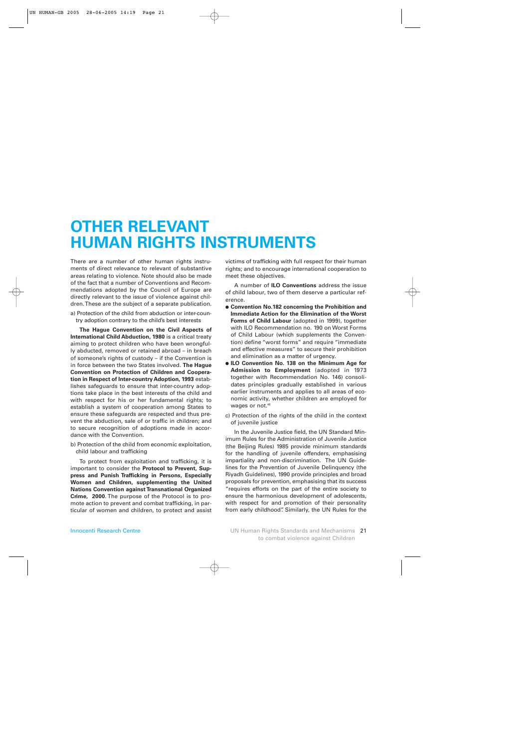## **OTHER RELEVANT HUMAN RIGHTS INSTRUMENTS**

There are a number of other human rights instruments of direct relevance to relevant of substantive areas relating to violence. Note should also be made of the fact that a number of Conventions and Recommendations adopted by the Council of Europe are directly relevant to the issue of violence against children. These are the subject of a separate publication.

a) Protection of the child from abduction or inter-country adoption contrary to the child's best interests

**The Hague Convention on the Civil Aspects of International Child Abduction, 1980** is a critical treaty aiming to protect children who have been wrongfully abducted, removed or retained abroad – in breach of someone's rights of custody – if the Convention is in force between the two States involved. **The Hague Convention on Protection of Children and Cooperation in Respect of Inter-country Adoption, 1993** establishes safeguards to ensure that inter-country adoptions take place in the best interests of the child and with respect for his or her fundamental rights; to establish a system of cooperation among States to ensure these safeguards are respected and thus prevent the abduction, sale of or traffic in children; and to secure recognition of adoptions made in accordance with the Convention.

b) Protection of the child from economic exploitation, child labour and trafficking

To protect from exploitation and trafficking, it is important to consider the **Protocol to Prevent, Suppress and Punish Trafficking in Persons, Especially Women and Children, supplementing the United Nations Convention against Transnational Organized Crime, 2000**. The purpose of the Protocol is to promote action to prevent and combat trafficking, in particular of women and children, to protect and assist

victims of trafficking with full respect for their human rights; and to encourage international cooperation to meet these objectives.

A number of **ILO Conventions** address the issue of child labour, two of them deserve a particular reference.

- **Convention No.182 concerning the Prohibition and Immediate Action for the Elimination of the Worst Forms of Child Labour** (adopted in 1999), together with ILO Recommendation no. 190 on Worst Forms of Child Labour (which supplements the Convention) define "worst forms" and require "immediate and effective measures" to secure their prohibition and elimination as a matter of urgency.
- **ILO Convention No. 138 on the Minimum Age for Admission to Employment** (adopted in 1973 together with Recommendation No. 146) consolidates principles gradually established in various earlier instruments and applies to all areas of economic activity, whether children are employed for wages or not.<sup>46</sup>
- c) Protection of the rights of the child in the context of juvenile justice

In the Juvenile Justice field, the UN Standard Minimum Rules for the Administration of Juvenile Justice (the Beijing Rules) 1985 provide minimum standards for the handling of juvenile offenders, emphasising impartiality and non-discrimination. The UN Guidelines for the Prevention of Juvenile Delinquency (the Riyadh Guidelines), 1990 provide principles and broad proposals for prevention, emphasising that its success "requires efforts on the part of the entire society to ensure the harmonious development of adolescents, with respect for and promotion of their personality from early childhood". Similarly, the UN Rules for the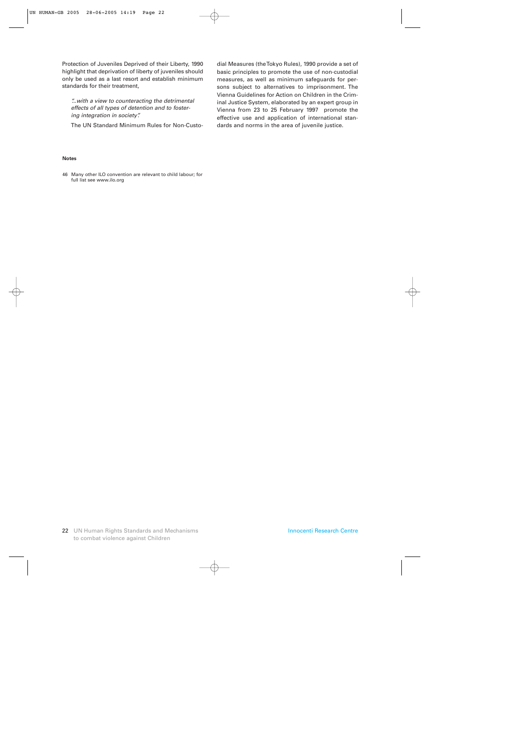Protection of Juveniles Deprived of their Liberty, 1990 highlight that deprivation of liberty of juveniles should only be used as a last resort and establish minimum standards for their treatment,

*"...with a view to counteracting the detrimental effects of all types of detention and to fostering integration in society".*

The UN Standard Minimum Rules for Non-Custo-

dial Measures (the Tokyo Rules), 1990 provide a set of basic principles to promote the use of non-custodial measures, as well as minimum safeguards for persons subject to alternatives to imprisonment. The Vienna Guidelines for Action on Children in the Criminal Justice System, elaborated by an expert group in Vienna from 23 to 25 February 1997 promote the effective use and application of international standards and norms in the area of juvenile justice.

#### **Notes**

46 Many other ILO convention are relevant to child labour; for full list see www.ilo.org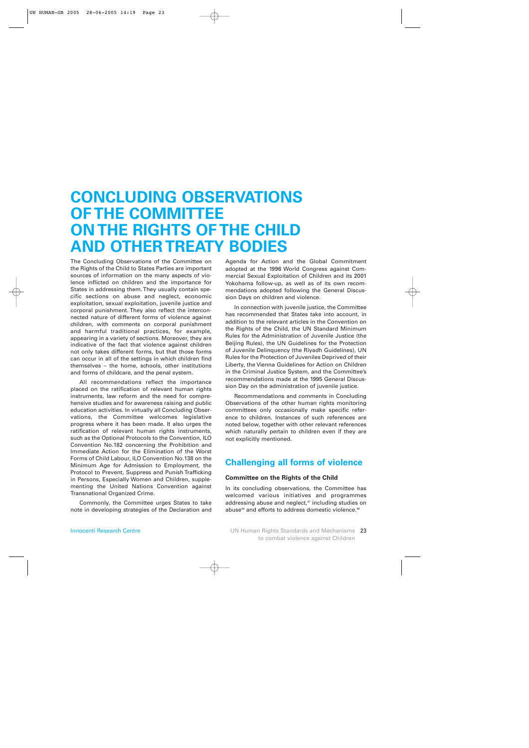## **CONCLUDING OBSERVATIONS OF THE COMMITTEE ON THE RIGHTS OF THE CHILD AND OTHER TREATY BODIES**

The Concluding Observations of the Committee on the Rights of the Child to States Parties are important sources of information on the many aspects of violence inflicted on children and the importance for States in addressing them. They usually contain specific sections on abuse and neglect, economic exploitation, sexual exploitation, juvenile justice and corporal punishment. They also reflect the interconnected nature of different forms of violence against children, with comments on corporal punishment and harmful traditional practices, for example, appearing in a variety of sections. Moreover, they are indicative of the fact that violence against children not only takes different forms, but that those forms can occur in all of the settings in which children find themselves – the home, schools, other institutions and forms of childcare, and the penal system.

All recommendations reflect the importance placed on the ratification of relevant human rights instruments, law reform and the need for comprehensive studies and for awareness raising and public education activities. In virtually all Concluding Observations, the Committee welcomes legislative progress where it has been made. It also urges the ratification of relevant human rights instruments, such as the Optional Protocols to the Convention, ILO Convention No.182 concerning the Prohibition and Immediate Action for the Elimination of the Worst Forms of Child Labour, ILO Convention No.138 on the Minimum Age for Admission to Employment, the Protocol to Prevent, Suppress and Punish Trafficking in Persons, Especially Women and Children, supplementing the United Nations Convention against Transnational Organized Crime.

Commonly, the Committee urges States to take note in developing strategies of the Declaration and

Agenda for Action and the Global Commitment adopted at the 1996 World Congress against Commercial Sexual Exploitation of Children and its 2001 Yokohama follow-up, as well as of its own recommendations adopted following the General Discussion Days on children and violence.

In connection with juvenile justice, the Committee has recommended that States take into account, in addition to the relevant articles in the Convention on the Rights of the Child, the UN Standard Minimum Rules for the Administration of Juvenile Justice (the Beijing Rules), the UN Guidelines for the Protection of Juvenile Delinquency (the Riyadh Guidelines), UN Rules for the Protection of Juveniles Deprived of their Liberty, the Vienna Guidelines for Action on Children in the Criminal Justice System, and the Committee's recommendations made at the 1995 General Discussion Day on the administration of juvenile justice.

Recommendations and comments in Concluding Observations of the other human rights monitoring committees only occasionally make specific reference to children. Instances of such references are noted below, together with other relevant references which naturally pertain to children even if they are not explicitly mentioned.

## **Challenging all forms of violence**

## **Committee on the Rights of the Child**

In its concluding observations, the Committee has welcomed various initiatives and programmes addressing abuse and neglect,<sup>47</sup> including studies on abuse<sup>48</sup> and efforts to address domestic violence.<sup>49</sup>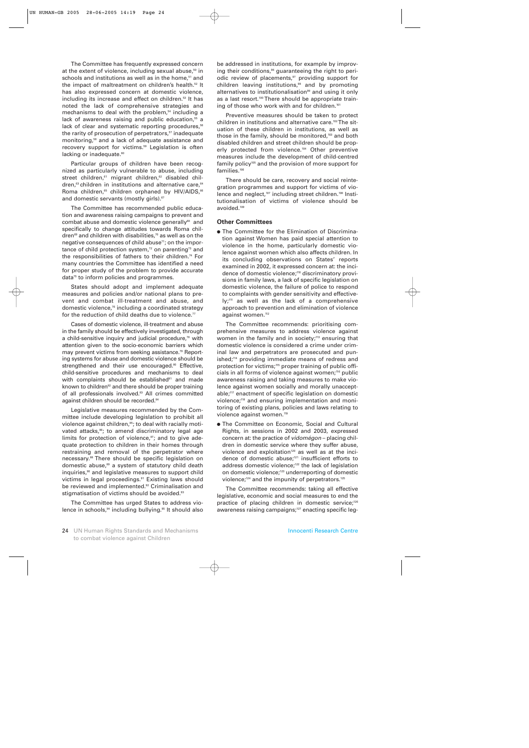The Committee has frequently expressed concern at the extent of violence, including sexual abuse, $50$  in schools and institutions as well as in the home,<sup>51</sup> and the impact of maltreatment on children's health.<sup>52</sup> It has also expressed concern at domestic violence, including its increase and effect on children.<sup>53</sup> It has noted the lack of comprehensive strategies and mechanisms to deal with the problem,<sup>54</sup> including a lack of awareness raising and public education,<sup>55</sup> a lack of clear and systematic reporting procedures,<sup>56</sup> the rarity of prosecution of perpetrators,<sup>57</sup> inadequate monitoring,<sup>58</sup> and a lack of adequate assistance and recovery support for victims.<sup>59</sup> Legislation is often lacking or inadequate.<sup>60</sup>

Particular groups of children have been recognized as particularly vulnerable to abuse, including street children,<sup>61</sup> migrant children,<sup>62</sup> disabled children,<sup>63</sup> children in institutions and alternative care,<sup>64</sup> Roma children,<sup>65</sup> children orphaned by HIV/AIDS,<sup>66</sup> and domestic servants (mostly girls).<sup>67</sup>

The Committee has recommended public education and awareness raising campaigns to prevent and combat abuse and domestic violence generally<sup>68</sup> and specifically to change attitudes towards Roma children<sup>69</sup> and children with disabilities,<sup>70</sup> as well as on the negative consequences of child abuse<sup>71</sup>; on the importance of child protection system, $72$  on parenting<sup>73</sup> and the responsibilities of fathers to their children.<sup>74</sup> For many countries the Committee has identified a need for proper study of the problem to provide accurate data<sup>75</sup> to inform policies and programmes.

States should adopt and implement adequate measures and policies and/or national plans to prevent and combat ill-treatment and abuse, and domestic violence,76 including a coordinated strategy for the reduction of child deaths due to violence.<sup>77</sup>

Cases of domestic violence, ill-treatment and abuse in the family should be effectively investigated, through a child-sensitive inquiry and judicial procedure,<sup>78</sup> with attention given to the socio-economic barriers which may prevent victims from seeking assistance.<sup>79</sup> Reporting systems for abuse and domestic violence should be strengthened and their use encouraged.<sup>80</sup> Effective, child-sensitive procedures and mechanisms to deal with complaints should be established<sup>81</sup> and made known to children<sup>82</sup> and there should be proper training of all professionals involved.83 All crimes committed against children should be recorded.<sup>84</sup>

Legislative measures recommended by the Committee include developing legislation to prohibit all violence against children,<sup>85</sup>; to deal with racially motivated attacks,<sup>86</sup>; to amend discriminatory legal age limits for protection of violence, $87$ ; and to give adequate protection to children in their homes through restraining and removal of the perpetrator where necessary.88 There should be specific legislation on domestic abuse,<sup>89</sup> a system of statutory child death inquiries,<sup>90</sup> and legislative measures to support child victims in legal proceedings.<sup>91</sup> Existing laws should be reviewed and implemented.<sup>92</sup> Criminalisation and stigmatisation of victims should be avoided.<sup>93</sup>

The Committee has urged States to address violence in schools,<sup>94</sup> including bullying.<sup>95</sup> It should also be addressed in institutions, for example by improving their conditions, $96$  guaranteeing the right to periodic review of placements,<sup>97</sup> providing support for children leaving institutions, $98$  and by promoting alternatives to institutionalisation<sup>99</sup> and using it only as a last resort.<sup>100</sup> There should be appropriate training of those who work with and for children.<sup>101</sup>

Preventive measures should be taken to protect children in institutions and alternative care.<sup>102</sup>The situation of these children in institutions, as well as those in the family, should be monitored,<sup>103</sup> and both disabled children and street children should be properly protected from violence.<sup>104</sup> Other preventive measures include the development of child-centred family policy<sup>105</sup> and the provision of more support for families.<sup>106</sup>

There should be care, recovery and social reintegration programmes and support for victims of violence and neglect,<sup>107</sup> including street children.<sup>108</sup> Institutionalisation of victims of violence should be avoided.109

## **Other Committees**

● The Committee for the Elimination of Discrimination against Women has paid special attention to violence in the home, particularly domestic violence against women which also affects children. In its concluding observations on States' reports examined in 2002, it expressed concern at: the incidence of domestic violence;110 discriminatory provisions in family laws, a lack of specific legislation on domestic violence, the failure of police to respond to complaints with gender sensitivity and effectively;<sup>111</sup> as well as the lack of a comprehensive approach to prevention and elimination of violence against women.<sup>112</sup>

The Committee recommends: prioritising comprehensive measures to address violence against women in the family and in society;<sup>113</sup> ensuring that domestic violence is considered a crime under criminal law and perpetrators are prosecuted and punished;<sup>114</sup> providing immediate means of redress and protection for victims;<sup>115</sup> proper training of public officials in all forms of violence against women;<sup>116</sup> public awareness raising and taking measures to make violence against women socially and morally unacceptable;117 enactment of specific legislation on domestic violence;<sup>118</sup> and ensuring implementation and monitoring of existing plans, policies and laws relating to violence against women.<sup>119</sup>

● The Committee on Economic, Social and Cultural Rights, in sessions in 2002 and 2003, expressed concern at: the practice of *vidomégon* – placing children in domestic service where they suffer abuse, violence and exploitation<sup>120</sup> as well as at the incidence of domestic abuse;<sup>121</sup> insufficient efforts to address domestic violence;<sup>122</sup> the lack of legislation on domestic violence;<sup>123</sup> underreporting of domestic violence;<sup>124</sup> and the impunity of perpetrators.<sup>125</sup>

The Committee recommends: taking all effective legislative, economic and social measures to end the practice of placing children in domestic service;<sup>126</sup> awareness raising campaigns;<sup>127</sup> enacting specific leg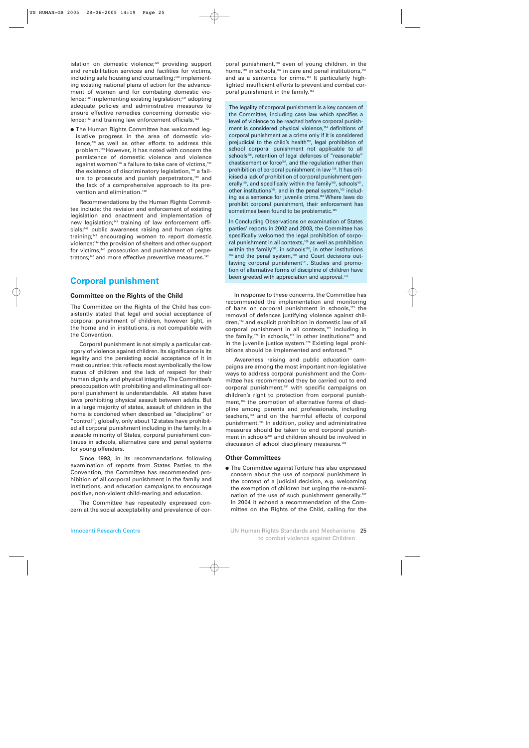islation on domestic violence;<sup>128</sup> providing support and rehabilitation services and facilities for victims, including safe housing and counselling;<sup>129</sup> implementing existing national plans of action for the advancement of women and for combating domestic violence;130 implementing existing legislation;131 adopting adequate policies and administrative measures to ensure effective remedies concerning domestic violence;<sup>132</sup> and training law enforcement officials.<sup>133</sup>

● The Human Rights Committee has welcomed legislative progress in the area of domestic violence,134 as well as other efforts to address this problem.135 However, it has noted with concern the persistence of domestic violence and violence against women<sup>136</sup> a failure to take care of victims,<sup>137</sup> the existence of discriminatory legislation,<sup>138</sup> a failure to prosecute and punish perpetrators,<sup>139</sup> and the lack of a comprehensive approach to its prevention and elimination.<sup>140</sup>

Recommendations by the Human Rights Committee include: the revision and enforcement of existing legislation and enactment and implementation of new legislation;<sup>141</sup> training of law enforcement officials;142 public awareness raising and human rights training;<sup>143</sup> encouraging women to report domestic violence;144 the provision of shelters and other support for victims;<sup>145</sup> prosecution and punishment of perpetrators;<sup>146</sup> and more effective preventive measures.<sup>147</sup>

## **Corporal punishment**

## **Committee on the Rights of the Child**

The Committee on the Rights of the Child has consistently stated that legal and social acceptance of corporal punishment of children, however light, in the home and in institutions, is not compatible with the Convention.

Corporal punishment is not simply a particular category of violence against children. Its significance is its legality and the persisting social acceptance of it in most countries: this reflects most symbolically the low status of children and the lack of respect for their human dignity and physical integrity. The Committee's preoccupation with prohibiting and eliminating all corporal punishment is understandable. All states have laws prohibiting physical assault between adults. But in a large majority of states, assault of children in the home is condoned when described as "discipline" or "control"; globally, only about 12 states have prohibited all corporal punishment including in the family. In a sizeable minority of States, corporal punishment continues in schools, alternative care and penal systems for young offenders.

Since 1993, in its recommendations following examination of reports from States Parties to the Convention, the Committee has recommended prohibition of all corporal punishment in the family and institutions, and education campaigns to encourage positive, non-violent child-rearing and education.

The Committee has repeatedly expressed concern at the social acceptability and prevalence of cor-

poral punishment,<sup>148</sup> even of young children, in the home,<sup>149</sup> in schools,<sup>150</sup> in care and penal institutions,<sup>151</sup> and as a sentence for crime.<sup>152</sup> It particularly highlighted insufficient efforts to prevent and combat corporal punishment in the family.<sup>153</sup>

The legality of corporal punishment is a key concern of the Committee, including case law which specifies a level of violence to be reached before corporal punishment is considered physical violence,<sup>154</sup> definitions of corporal punishment as a crime only if it is considered prejudicial to the child's health<sup>155</sup>, legal prohibition of school corporal punishment not applicable to all schools<sup>156</sup>, retention of legal defences of "reasonable" chastisement or force<sup>157</sup>, and the regulation rather than prohibition of corporal punishment in law 158. It has criticised a lack of prohibition of corporal punishment generally<sup>159</sup>, and specifically within the family<sup>160</sup>, schools<sup>161</sup>, other institutions<sup>162</sup>, and in the penal system,<sup>163</sup> including as a sentence for juvenile crime.<sup>164</sup> Where laws do prohibit corporal punishment, their enforcement has sometimes been found to be problematic.<sup>16</sup>

In Concluding Observations on examination of States parties' reports in 2002 and 2003, the Committee has specifically welcomed the legal prohibition of corporal punishment in all contexts,166 as well as prohibition within the family<sup>167</sup>, in schools<sup>168</sup>, in other institutions 169 and the penal system,<sup>170</sup> and Court decisions outlawing corporal punishment<sup>171</sup>. Studies and promotion of alternative forms of discipline of children have been greeted with appreciation and approval.<sup>172</sup>

In response to these concerns, the Committee has recommended the implementation and monitoring of bans on corporal punishment in schools,<sup>173</sup> the removal of defences justifying violence against children,<sup>174</sup> and explicit prohibition in domestic law of all corporal punishment in all contexts,175 including in the family,<sup>176</sup> in schools,<sup>177</sup> in other institutions<sup>178</sup> and in the juvenile justice system.<sup>179</sup> Existing legal prohibitions should be implemented and enforced.<sup>180</sup>

Awareness raising and public education campaigns are among the most important non-legislative ways to address corporal punishment and the Committee has recommended they be carried out to end corporal punishment,181 with specific campaigns on children's right to protection from corporal punishment,<sup>182</sup> the promotion of alternative forms of discipline among parents and professionals, including teachers,183 and on the harmful effects of corporal punishment.184 In addition, policy and administrative measures should be taken to end corporal punishment in schools<sup>185</sup> and children should be involved in discussion of school disciplinary measures.<sup>186</sup>

#### **Other Committees**

● The Committee against Torture has also expressed concern about the use of corporal punishment in the context of a judicial decision, e.g. welcoming the exemption of children but urging the re-examination of the use of such punishment generally.<sup>187</sup> In 2004 it echoed a recommendation of the Committee on the Rights of the Child, calling for the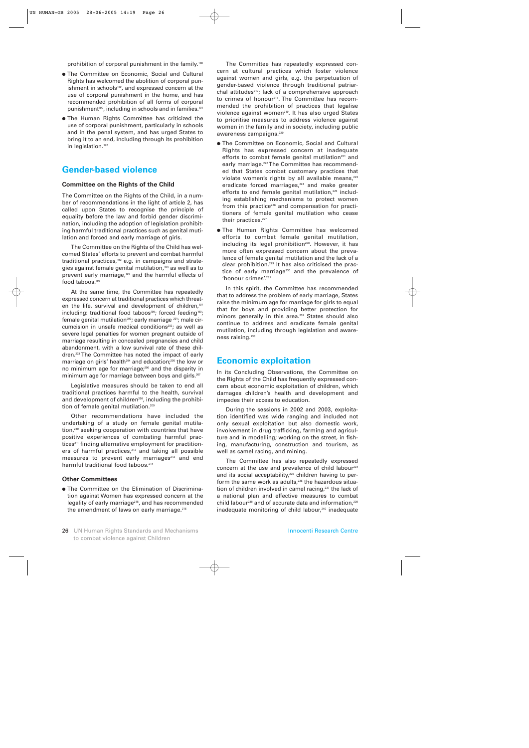prohibition of corporal punishment in the family.<sup>188</sup>

- The Committee on Economic, Social and Cultural Rights has welcomed the abolition of corporal punishment in schools<sup>189</sup>, and expressed concern at the use of corporal punishment in the home, and has recommended prohibition of all forms of corporal punishment<sup>190</sup>, including in schools and in families.<sup>191</sup>
- The Human Rights Committee has criticized the use of corporal punishment, particularly in schools and in the penal system, and has urged States to bring it to an end, including through its prohibition in legislation.<sup>192</sup>

## **Gender-based violence**

### **Committee on the Rights of the Child**

The Committee on the Rights of the Child, in a number of recommendations in the light of article 2, has called upon States to recognise the principle of equality before the law and forbid gender discrimination, including the adoption of legislation prohibiting harmful traditional practices such as genital mutilation and forced and early marriage of girls.

The Committee on the Rights of the Child has welcomed States' efforts to prevent and combat harmful traditional practices, $193$  e.g. in campaigns and strategies against female genital mutilation,<sup>194</sup> as well as to prevent early marriage,<sup>195</sup> and the harmful effects of food taboos.196

At the same time, the Committee has repeatedly expressed concern at traditional practices which threaten the life, survival and development of children,<sup>197</sup> including: traditional food taboos<sup>198</sup>; forced feeding<sup>199</sup>; female genital mutilation<sup>200</sup>; early marriage  $201$ ; male circumcision in unsafe medical conditions<sup>202</sup>; as well as severe legal penalties for women pregnant outside of marriage resulting in concealed pregnancies and child abandonment, with a low survival rate of these children.203 The Committee has noted the impact of early marriage on girls' health<sup>204</sup> and education;<sup>205</sup> the low or no minimum age for marriage;<sup>206</sup> and the disparity in minimum age for marriage between boys and girls.<sup>207</sup>

Legislative measures should be taken to end all traditional practices harmful to the health, survival and development of children<sup>208</sup>, including the prohibition of female genital mutilation.<sup>209</sup>

Other recommendations have included the undertaking of a study on female genital mutilation,210 seeking cooperation with countries that have positive experiences of combating harmful practices<sup>211</sup> finding alternative employment for practitioners of harmful practices, $212$  and taking all possible measures to prevent early marriages<sup>213</sup> and end harmful traditional food taboos.<sup>214</sup>

#### **Other Committees**

● The Committee on the Elimination of Discrimination against Women has expressed concern at the legality of early marriage<sup>215</sup>, and has recommended the amendment of laws on early marriage.<sup>216</sup>

The Committee has repeatedly expressed concern at cultural practices which foster violence against women and girls, e.g. the perpetuation of gender-based violence through traditional patriarchal attitudes<sup>217</sup>; lack of a comprehensive approach to crimes of honour<sup>218</sup>. The Committee has recommended the prohibition of practices that legalise violence against women<sup>219</sup>. It has also urged States to prioritise measures to address violence against women in the family and in society, including public awareness campaigns.220

- **The Committee on Economic, Social and Cultural** Rights has expressed concern at inadequate efforts to combat female genital mutilation<sup>221</sup> and early marriage.<sup>222</sup>The Committee has recommended that States combat customary practices that violate women's rights by all available means,<sup>223</sup> eradicate forced marriages, $224$  and make greater efforts to end female genital mutilation,<sup>225</sup> including establishing mechanisms to protect women from this practice<sup>226</sup> and compensation for practitioners of female genital mutilation who cease their practices.<sup>227</sup>
- The Human Rights Committee has welcomed efforts to combat female genital mutilation, including its legal prohibition<sup>228</sup>. However, it has more often expressed concern about the prevalence of female genital mutilation and the lack of a clear prohibition.229 It has also criticised the practice of early marriage<sup>230</sup> and the prevalence of 'honour crimes'.231

In this spirit, the Committee has recommended that to address the problem of early marriage, States raise the minimum age for marriage for girls to equal that for boys and providing better protection for minors generally in this area.<sup>232</sup> States should also continue to address and eradicate female genital mutilation, including through legislation and awareness raising.<sup>233</sup>

## **Economic exploitation**

In its Concluding Observations, the Committee on the Rights of the Child has frequently expressed concern about economic exploitation of children, which damages children's health and development and impedes their access to education.

During the sessions in 2002 and 2003, exploitation identified was wide ranging and included not only sexual exploitation but also domestic work, involvement in drug trafficking, farming and agriculture and in modelling; working on the street, in fishing, manufacturing, construction and tourism, as well as camel racing, and mining.

The Committee has also repeatedly expressed concern at the use and prevalence of child labour<sup>234</sup> and its social acceptability,<sup>235</sup> children having to perform the same work as adults, $236$  the hazardous situation of children involved in camel racing,<sup>237</sup> the lack of a national plan and effective measures to combat child labour<sup>238</sup> and of accurate data and information,<sup>239</sup> inadequate monitoring of child labour,<sup>240</sup> inadequate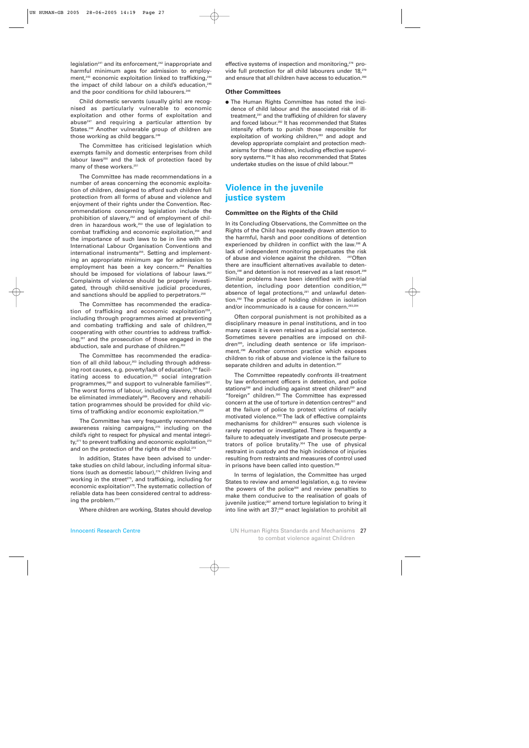legislation<sup>241</sup> and its enforcement,<sup>242</sup> inappropriate and harmful minimum ages for admission to employment,<sup>243</sup> economic exploitation linked to trafficking,<sup>244</sup> the impact of child labour on a child's education, $245$ and the poor conditions for child labourers.<sup>246</sup>

Child domestic servants (usually girls) are recognised as particularly vulnerable to economic exploitation and other forms of exploitation and abuse<sup>247</sup> and requiring a particular attention by States.<sup>248</sup> Another vulnerable group of children are those working as child beggars.<sup>249</sup>

The Committee has criticised legislation which exempts family and domestic enterprises from child labour laws<sup>250</sup> and the lack of protection faced by many of these workers.<sup>251</sup>

The Committee has made recommendations in a number of areas concerning the economic exploitation of children, designed to afford such children full protection from all forms of abuse and violence and enjoyment of their rights under the Convention. Recommendations concerning legislation include the prohibition of slavery,<sup>252</sup> and of employment of children in hazardous work,<sup>253</sup> the use of legislation to combat trafficking and economic exploitation,<sup>254</sup> and the importance of such laws to be in line with the International Labour Organisation Conventions and international instruments<sup>255</sup>. Setting and implementing an appropriate minimum age for admission to employment has been a key concern.<sup>256</sup> Penalties should be imposed for violations of labour laws.<sup>257</sup> Complaints of violence should be properly investigated, through child-sensitive judicial procedures, and sanctions should be applied to perpetrators.<sup>258</sup>

The Committee has recommended the eradication of trafficking and economic exploitation<sup>259</sup>, including through programmes aimed at preventing and combating trafficking and sale of children,<sup>260</sup> cooperating with other countries to address trafficking,261 and the prosecution of those engaged in the abduction, sale and purchase of children.<sup>262</sup>

The Committee has recommended the eradication of all child labour,<sup>263</sup> including through addressing root causes, e.g. poverty/lack of education,<sup>264</sup> facilitating access to education,<sup>265</sup> social integration programmes,<sup>266</sup> and support to vulnerable families<sup>267</sup>. The worst forms of labour, including slavery, should be eliminated immediately<sup>268</sup>. Recovery and rehabilitation programmes should be provided for child victims of trafficking and/or economic exploitation.<sup>269</sup>

The Committee has very frequently recommended awareness raising campaigns,<sup>270</sup> including on the child's right to respect for physical and mental integri $tv<sub>1</sub><sup>271</sup>$  to prevent trafficking and economic exploitation, $272$ and on the protection of the rights of the child.<sup>273</sup>

In addition, States have been advised to undertake studies on child labour, including informal situations (such as domestic labour),<sup>274</sup> children living and working in the street $275$ , and trafficking, including for economic exploitation<sup>276</sup>. The systematic collection of reliable data has been considered central to addressing the problem.<sup>277</sup>

Where children are working, States should develop

effective systems of inspection and monitoring,<sup>278</sup> provide full protection for all child labourers under 18,279 and ensure that all children have access to education.<sup>280</sup>

## **Other Committees**

● The Human Rights Committee has noted the incidence of child labour and the associated risk of illtreatment,<sup>281</sup> and the trafficking of children for slavery and forced labour.282 It has recommended that States intensify efforts to punish those responsible for exploitation of working children,<sup>283</sup> and adopt and develop appropriate complaint and protection mechanisms for these children, including effective supervisory systems.<sup>284</sup> It has also recommended that States undertake studies on the issue of child labour.<sup>285</sup>

## **Violence in the juvenile justice system**

### **Committee on the Rights of the Child**

In its Concluding Observations, the Committee on the Rights of the Child has repeatedly drawn attention to the harmful, harsh and poor conditions of detention experienced by children in conflict with the law.<sup>286</sup> A lack of independent monitoring perpetuates the risk of abuse and violence against the children. <sup>287</sup>Often there are insufficient alternatives available to detention,<sup>288</sup> and detention is not reserved as a last resort.<sup>289</sup> Similar problems have been identified with pre-trial detention, including poor detention condition,<sup>290</sup> absence of legal protections,<sup>291</sup> and unlawful detention.292 The practice of holding children in isolation and/or incommunicado is a cause for concern.293,294

Often corporal punishment is not prohibited as a disciplinary measure in penal institutions, and in too many cases it is even retained as a judicial sentence. Sometimes severe penalties are imposed on children<sup>295</sup>, including death sentence or life imprisonment.296 Another common practice which exposes children to risk of abuse and violence is the failure to separate children and adults in detention.<sup>297</sup>

The Committee repeatedly confronts ill-treatment by law enforcement officers in detention, and police stations<sup>298</sup> and including against street children<sup>299</sup> and "foreign" children.300 The Committee has expressed concern at the use of torture in detention centres<sup>301</sup> and at the failure of police to protect victims of racially motivated violence.302 The lack of effective complaints mechanisms for children<sup>303</sup> ensures such violence is rarely reported or investigated. There is frequently a failure to adequately investigate and prosecute perpetrators of police brutality.304 The use of physical restraint in custody and the high incidence of injuries resulting from restraints and measures of control used in prisons have been called into question.<sup>305</sup>

In terms of legislation, the Committee has urged States to review and amend legislation, e.g. to review the powers of the police<sup>306</sup> and review penalties to make them conducive to the realisation of goals of juvenile justice;<sup>307</sup> amend torture legislation to bring it into line with art 37;<sup>308</sup> enact legislation to prohibit all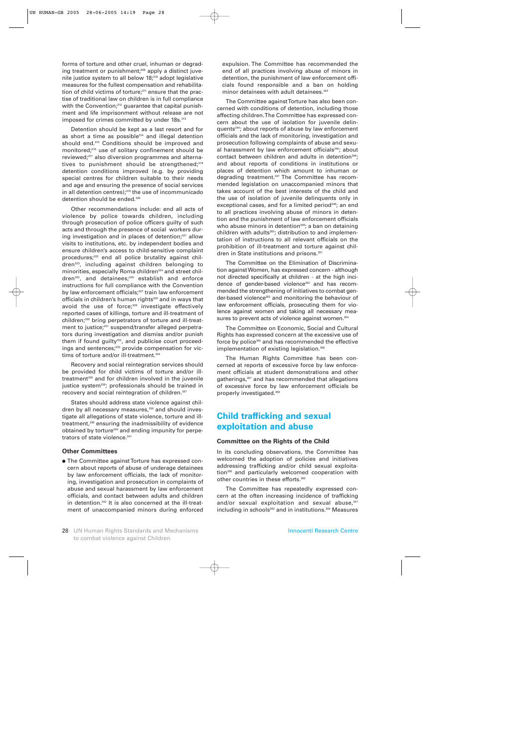forms of torture and other cruel, inhuman or degrading treatment or punishment;<sup>309</sup> apply a distinct juvenile justice system to all below 18;<sup>310</sup> adopt legislative measures for the fullest compensation and rehabilitation of child victims of torture;<sup>311</sup> ensure that the practise of traditional law on children is in full compliance with the Convention;<sup>312</sup> guarantee that capital punishment and life imprisonment without release are not imposed for crimes committed by under 18s.<sup>313</sup>

Detention should be kept as a last resort and for as short a time as possible<sup>314</sup> and illegal detention should end.315 Conditions should be improved and monitored;316 use of solitary confinement should be reviewed;317 also diversion programmes and alternatives to punishment should be strengthened;<sup>318</sup> detention conditions improved (e.g. by providing special centres for children suitable to their needs and age and ensuring the presence of social services in all detention centres);319 the use of incommunicado detention should be ended.<sup>320</sup>

Other recommendations include: end all acts of violence by police towards children, including through prosecution of police officers guilty of such acts and through the presence of social workers during investigation and in places of detention;<sup>321</sup> allow visits to institutions, etc. by independent bodies and ensure children's access to child-sensitive complaint procedures;<sup>322</sup> end all police brutality against children323, including against children belonging to minorities, especially Roma children<sup>324</sup> and street children<sup>325</sup>, and detainees;<sup>326</sup> establish and enforce instructions for full compliance with the Convention by law enforcement officials;<sup>327</sup> train law enforcement officials in children's human rights<sup>328</sup> and in ways that avoid the use of force; $329$  investigate effectively reported cases of killings, torture and ill-treatment of children;<sup>330</sup> bring perpetrators of torture and ill-treatment to justice;<sup>331</sup> suspend/transfer alleged perpetrators during investigation and dismiss and/or punish them if found guilty<sup>332</sup>, and publicise court proceedings and sentences;<sup>333</sup> provide compensation for victims of torture and/or ill-treatment.<sup>33</sup>

Recovery and social reintegration services should be provided for child victims of torture and/or illtreatment<sup>335</sup> and for children involved in the juvenile justice system<sup>336</sup>; professionals should be trained in recovery and social reintegration of children.<sup>337</sup>

States should address state violence against children by all necessary measures,<sup>338</sup> and should investigate all allegations of state violence, torture and illtreatment,339 ensuring the inadmissibility of evidence obtained by torture<sup>340</sup> and ending impunity for perpetrators of state violence.<sup>341</sup>

#### **Other Committees**

● The Committee against Torture has expressed concern about reports of abuse of underage detainees by law enforcement officials, the lack of monitoring, investigation and prosecution in complaints of abuse and sexual harassment by law enforcement officials, and contact between adults and children in detention.342 It is also concerned at the ill-treatment of unaccompanied minors during enforced

expulsion. The Committee has recommended the end of all practices involving abuse of minors in detention, the punishment of law enforcement officials found responsible and a ban on holding minor detainees with adult detainees.<sup>343</sup>

The Committee against Torture has also been concerned with conditions of detention, including those affecting children. The Committee has expressed concern about the use of isolation for juvenile delinquents344; about reports of abuse by law enforcement officials and the lack of monitoring, investigation and prosecution following complaints of abuse and sexual harassment by law enforcement officials<sup>345</sup>; about contact between children and adults in detention<sup>346</sup>; and about reports of conditions in institutions or places of detention which amount to inhuman or degrading treatment.<sup>347</sup> The Committee has recommended legislation on unaccompanied minors that takes account of the best interests of the child and the use of isolation of juvenile delinquents only in exceptional cases, and for a limited period<sup>348</sup>; an end to all practices involving abuse of minors in detention and the punishment of law enforcement officials who abuse minors in detention<sup>349</sup>; a ban on detaining children with adults<sup>350</sup>; distribution to and implementation of instructions to all relevant officials on the prohibition of ill-treatment and torture against children in State institutions and prisons.<sup>351</sup>

The Committee on the Elimination of Discrimination against Women, has expressed concern - although not directed specifically at children - at the high incidence of gender-based violence<sup>352</sup> and has recommended the strengthening of initiatives to combat gender-based violence<sup>353</sup> and monitoring the behaviour of law enforcement officials, prosecuting them for violence against women and taking all necessary measures to prevent acts of violence against women.<sup>354</sup>

The Committee on Economic, Social and Cultural Rights has expressed concern at the excessive use of force by police<sup>355</sup> and has recommended the effective implementation of existing legislation.<sup>356</sup>

The Human Rights Committee has been concerned at reports of excessive force by law enforcement officials at student demonstrations and other gatherings,<sup>357</sup> and has recommended that allegations of excessive force by law enforcement officials be properly investigated.358

## **Child trafficking and sexual exploitation and abuse**

#### **Committee on the Rights of the Child**

In its concluding observations, the Committee has welcomed the adoption of policies and initiatives addressing trafficking and/or child sexual exploitation359 and particularly welcomed cooperation with other countries in these efforts.<sup>360</sup>

The Committee has repeatedly expressed concern at the often increasing incidence of trafficking and/or sexual exploitation and sexual abuse,<sup>361</sup> including in schools<sup>362</sup> and in institutions.<sup>363</sup> Measures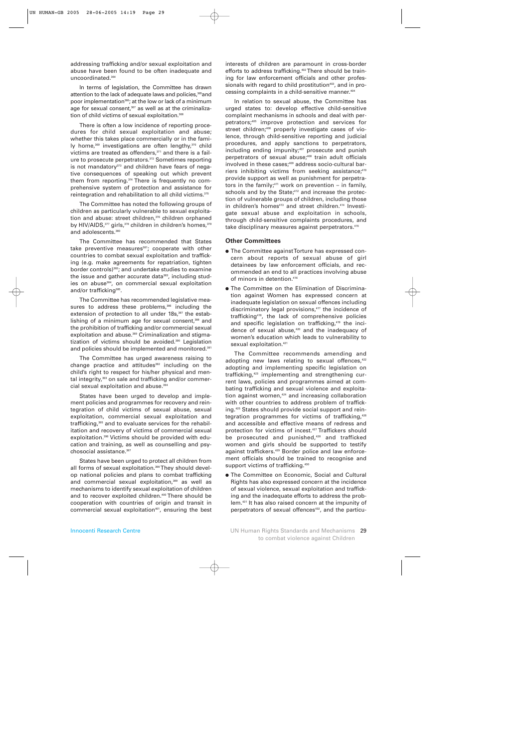addressing trafficking and/or sexual exploitation and abuse have been found to be often inadequate and uncoordinated.364

In terms of legislation, the Committee has drawn attention to the lack of adequate laws and policies,<sup>365</sup>and poor implementation<sup>366</sup>; at the low or lack of a minimum age for sexual consent, $367$  as well as at the criminalization of child victims of sexual exploitation.<sup>368</sup>

There is often a low incidence of reporting procedures for child sexual exploitation and abuse; whether this takes place commercially or in the family home, $369$  investigations are often lengthy, $370$  child victims are treated as offenders, $371$  and there is a failure to prosecute perpetrators.372 Sometimes reporting is not mandatory $373$  and children have fears of negative consequences of speaking out which prevent them from reporting.<sup>374</sup> There is frequently no comprehensive system of protection and assistance for reintegration and rehabilitation to all child victims.375

The Committee has noted the following groups of children as particularly vulnerable to sexual exploitation and abuse: street children,<sup>376</sup> children orphaned by HIV/AIDS, 377 girls, 378 children in children's homes, 379 and adolescents.<sup>380</sup>

The Committee has recommended that States take preventive measures<sup>381</sup>; cooperate with other countries to combat sexual exploitation and trafficking (e.g. make agreements for repatriation, tighten border controls)<sup>382</sup>; and undertake studies to examine the issue and gather accurate data<sup>383</sup>, including studies on abuse<sup>384</sup>, on commercial sexual exploitation and/or trafficking<sup>385</sup>.

The Committee has recommended legislative measures to address these problems,<sup>386</sup> including the extension of protection to all under 18s,<sup>387</sup> the establishing of a minimum age for sexual consent,<sup>388</sup> and the prohibition of trafficking and/or commercial sexual exploitation and abuse.<sup>389</sup> Criminalization and stigmatization of victims should be avoided.<sup>390</sup> Legislation and policies should be implemented and monitored.391

The Committee has urged awareness raising to change practice and attitudes<sup>392</sup> including on the child's right to respect for his/her physical and mental integrity,<sup>393</sup> on sale and trafficking and/or commercial sexual exploitation and abuse.<sup>394</sup>

States have been urged to develop and implement policies and programmes for recovery and reintegration of child victims of sexual abuse, sexual exploitation, commercial sexual exploitation and trafficking,<sup>395</sup> and to evaluate services for the rehabilitation and recovery of victims of commercial sexual exploitation.396 Victims should be provided with education and training, as well as counselling and psychosocial assistance.<sup>397</sup>

States have been urged to protect all children from all forms of sexual exploitation.<sup>398</sup> They should develop national policies and plans to combat trafficking and commercial sexual exploitation,<sup>399</sup> as well as mechanisms to identify sexual exploitation of children and to recover exploited children.<sup>400</sup> There should be cooperation with countries of origin and transit in commercial sexual exploitation<sup>401</sup>, ensuring the best

interests of children are paramount in cross-border efforts to address trafficking.<sup>402</sup> There should be training for law enforcement officials and other professionals with regard to child prostitution<sup>403</sup>, and in processing complaints in a child-sensitive manner.404

In relation to sexual abuse, the Committee has urged states to: develop effective child-sensitive complaint mechanisms in schools and deal with perpetrators;405 improve protection and services for street children;<sup>406</sup> properly investigate cases of violence, through child-sensitive reporting and judicial procedures, and apply sanctions to perpetrators, including ending impunity; $407$  prosecute and punish perpetrators of sexual abuse;<sup>408</sup> train adult officials involved in these cases;<sup>409</sup> address socio-cultural barriers inhibiting victims from seeking assistance;<sup>410</sup> provide support as well as punishment for perpetrators in the family;<sup>411</sup> work on prevention – in family, schools and by the State;<sup>412</sup> and increase the protection of vulnerable groups of children, including those in children's homes<sup>413</sup> and street children.<sup>414</sup> Investigate sexual abuse and exploitation in schools, through child-sensitive complaints procedures, and take disciplinary measures against perpetrators.<sup>415</sup>

## **Other Committees**

- The Committee against Torture has expressed concern about reports of sexual abuse of girl detainees by law enforcement officials, and recommended an end to all practices involving abuse of minors in detention.<sup>416</sup>
- The Committee on the Elimination of Discrimination against Women has expressed concern at inadequate legislation on sexual offences including discriminatory legal provisions,417 the incidence of trafficking418, the lack of comprehensive policies and specific legislation on trafficking,<sup>419</sup> the incidence of sexual abuse,<sup>420</sup> and the inadequacy of women's education which leads to vulnerability to sexual exploitation.<sup>421</sup>

The Committee recommends amending and adopting new laws relating to sexual offences,<sup>422</sup> adopting and implementing specific legislation on trafficking,423 implementing and strengthening current laws, policies and programmes aimed at combating trafficking and sexual violence and exploitation against women,<sup>424</sup> and increasing collaboration with other countries to address problem of trafficking.425 States should provide social support and reintegration programmes for victims of trafficking,<sup>426</sup> and accessible and effective means of redress and protection for victims of incest.427 Traffickers should be prosecuted and punished,<sup>428</sup> and trafficked women and girls should be supported to testify against traffickers.<sup>429</sup> Border police and law enforcement officials should be trained to recognise and support victims of trafficking.<sup>430</sup>

● The Committee on Economic, Social and Cultural Rights has also expressed concern at the incidence of sexual violence, sexual exploitation and trafficking and the inadequate efforts to address the problem.431 It has also raised concern at the impunity of perpetrators of sexual offences<sup>432</sup>, and the particu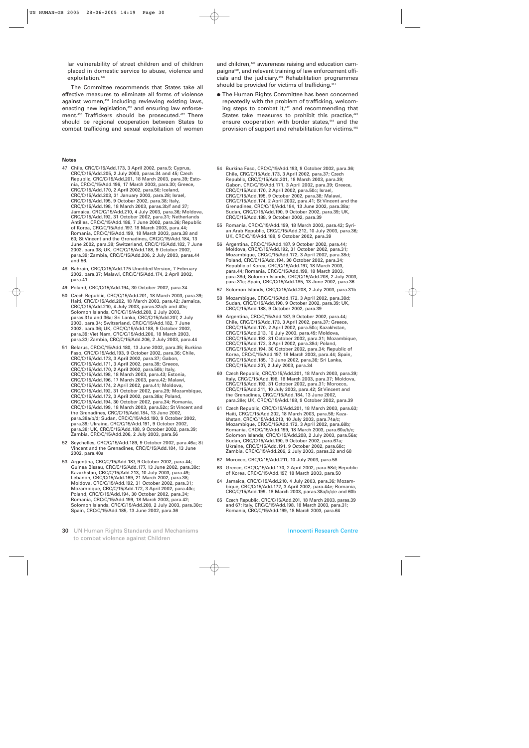lar vulnerability of street children and of children placed in domestic service to abuse, violence and exploitation.<sup>433</sup>

The Committee recommends that States take all effective measures to eliminate all forms of violence against women,<sup>434</sup> including reviewing existing laws, enacting new legislation,<sup>435</sup> and ensuring law enforcement.<sup>436</sup> Traffickers should be prosecuted.<sup>437</sup> There should be regional cooperation between States to combat trafficking and sexual exploitation of women

#### **Notes**

- 47 Chile, CRC/C/15/Add.173, 3 April 2002, para.5; Cyprus, CRC/C/15/Add.205, 2 July 2003, paras.34 and 45; Czech Republic, CRC/C/15/Add.201, 18 March 2003, para.39; Estonia, CRC/C/15/Add.196, 17 March 2003, para.30; Greece, CRC/C/15/Add.170, 2 April 2002, para.50; Iceland, CRC/C/15/Add.203, 31 January 2003, para.28; Israel, CRC/C/15/Add.195, 9 October 2002, para.38; Italy, CRC/C/15/Add.198, 18 March 2003, paras.3b/f and 37; Jamaica, CRC/C/15/Add.210, 4 July 2003, para.36; Moldova, CRC/C/15/Add.192, 31 October 2002, para.31; Netherlands Antilles, CRC/C/15/Add.186, 7 June 2002, para.36; Republic of Korea, CRC/C/15/Add.197, 18 March 2003, para.44; Romania, CRC/C/15/Add.199, 18 March 2003, para.38 and 60; St Vincent and the Grenadines, CRC/C/15/Add.184, 13 June 2002, para.38; Switzerland, CRC/C/15/Add.182, 7 June 2002, para.38; UK, CRC/C/15/Add.188, 9 October 2002, para.39; Zambia, CRC/C/15/Add.206, 2 July 2003, paras.44 and 56.
- 48 Bahrain, CRC/C/15/Add.175 Unedited Version, 7 February 2002, para.37; Malawi, CRC/C/15/Add.174, 2 April 2002, para.41
- 49 Poland, CRC/C/15/Add.194, 30 October 2002, para.34
- 50 Czech Republic, CRC/C/15/Add.201, 18 March 2003, para.39; Haiti, CRC/C/15/Add.202, 18 March 2003, para.42; Jamaica, CRC/C/15/Add.210, 4 July 2003, paras.32a/b and 40c; Solomon Islands, CRC/C/15/Add.208, 2 July 2003, paras.31a and 36a; Sri Lanka, CRC/C/15/Add.207, 2 July 2003, para.34; Switzerland, CRC/C/15/Add.182, 7 June 2002, para.36; UK, CRC/C/15/Add.188, 9 October 2002, para.39; Viet Nam, CRC/C/15/Add.200, 18 March 2003, para.33; Zambia, CRC/C/15/Add.206, 2 July 2003, para.44
- 51 Belarus, CRC/C/15/Add.180, 13 June 2002, para.35; Burkina Faso, CRC/C/15/Add.193, 9 October 2002, para.36; Chile, CRC/C/15/Add.173, 3 April 2002, para.37; Gabon, CRC/C/15/Add.171, 3 April 2002, para.39; Greece, CRC/C/15/Add.170, 2 April 2002, para.50b; Italy, CRC/C/15/Add.198, 18 March 2003, para.43; Estonia, CRC/C/15/Add.196, 17 March 2003, para.42; Malawi, CRC/C/15/Add.174, 2 April 2002, para.41; Moldova, CRC/C/15/Add.192, 31 October 2002, para.29; Mozambique, CRC/C/15/Add.172, 3 April 2002, para.38a; Poland, CRC/C/15/Add.194, 30 October 2002, para.34; Romania, CRC/C/15/Add.199, 18 March 2003, para.52c; St Vincent and the Grenadines, CRC/C/15/Add.184, 13 June 2002, para.38a/b/d; Sudan, CRC/C/15/Add.190, 9 October 2002, para.39; Ukraine, CRC/C/15/Add.191, 9 October 2002, para.38; UK, CRC/C/15/Add.188, 9 October 2002, para.39; Zambia, CRC/C/15/Add.206, 2 July 2003, para.56
- 52 Seychelles, CRC/C/15/Add.189, 9 October 2002, para.46a; St Vincent and the Grenadines, CRC/C/15/Add.184, 13 June 2002, para.40a
- 53 Argentina, CRC/C/15/Add.187, 9 October 2002, para.44; Guinea Bissau, CRC/C/15/Add.177, 13 June 2002, para.30c; Kazakhstan, CRC/C/15/Add.213, 10 July 2003, para.49; Lebanon, CRC/C/15/Add.169, 21 March 2002, para.38; Moldova, CRC/C/15/Add.192, 31 October 2002, para.31; Mozambique, CRC/C/15/Add.172, 3 April 2002, para.40c; Poland, CRC/C/15/Add.194, 30 October 2002, para.34; Romania, CRC/C/15/Add.199, 18 March 2003, para.42; Solomon Islands, CRC/C/15/Add.208, 2 July 2003, para.30c; Spain, CRC/C/15/Add.185, 13 June 2002, para.36
- 30 UN Human Rights Standards and Mechanisms to combat violence against Children

and children,<sup>438</sup> awareness raising and education campaigns<sup>439</sup>, and relevant training of law enforcement officials and the judiciary.<sup>440</sup> Rehabilitation programmes should be provided for victims of trafficking.<sup>441</sup>

- The Human Rights Committee has been concerned repeatedly with the problem of trafficking, welcoming steps to combat it,<sup>442</sup> and recommending that States take measures to prohibit this practice.<sup>443</sup> ensure cooperation with border states,<sup>444</sup> and the provision of support and rehabilitation for victims.445
- 54 Burkina Faso, CRC/C/15/Add.193, 9 October 2002, para.36; Chile, CRC/C/15/Add.173, 3 April 2002, para.37; Czech Republic, CRC/C/15/Add.201, 18 March 2003, para.39; Gabon, CRC/C/15/Add.171, 3 April 2002, para.39; Greece, CRC/C/15/Add.170, 2 April 2002, para.50c; Israel, CRC/C/15/Add.195, 9 October 2002, para.38; Malawi, CRC/C/15/Add.174, 2 April 2002, para.41; St Vincent and the Grenadines, CRC/C/15/Add.184, 13 June 2002, para.38a; Sudan, CRC/C/15/Add.190, 9 October 2002, para.39; UK, CRC/C/15/Add.188, 9 October 2002, para.39
- 55 Romania, CRC/C/15/Add.199, 18 March 2003, para.42; Syrian Arab Republic, CRC/C/15/Add.212, 10 July 2003, para.36; UK, CRC/C/15/Add.188, 9 October 2002, para.39
- 56 Argentina, CRC/C/15/Add.187, 9 October 2002, para.44; Moldova, CRC/C/15/Add.192, 31 October 2002, para.31; Mozambique, CRC/C/15/Add.172, 3 April 2002, para.38d; Poland, CRC/C/15/Add.194, 30 October 2002, para.34; Republic of Korea, CRC/C/15/Add.197, 18 March 2003, para.44; Romania, CRC/C/15/Add.199, 18 March 2003, para.38d; Solomon Islands, CRC/C/15/Add.208, 2 July 2003, para.31c; Spain, CRC/C/15/Add.185, 13 June 2002, para.36
- 57 Solomon Islands, CRC/C/15/Add.208, 2 July 2003, para.31b
- 58 Mozambique, CRC/C/15/Add.172, 3 April 2002, para.38d; Sudan, CRC/C/15/Add.190, 9 October 2002, para.39; UK, CRC/C/15/Add.188, 9 October 2002, para.39
- 59 Argentina, CRC/C/15/Add.187, 9 October 2002, para.44; Chile, CRC/C/15/Add.173, 3 April 2002, para.37; Greece, CRC/C/15/Add.170, 2 April 2002, para.50c; Kazakhstan, CRC/C/15/Add.213, 10 July 2003, para.49; Moldova, CRC/C/15/Add.192, 31 October 2002, para.31; Mozambique, CRC/C/15/Add.172, 3 April 2002, para.38d; Poland, CRC/C/15/Add.194, 30 October 2002, para.34; Republic of Korea, CRC/C/15/Add.197, 18 March 2003, para.44; Spain, CRC/C/15/Add.185, 13 June 2002, para.36; Sri Lanka, CRC/C/15/Add.207, 2 July 2003, para.34
- 60 Czech Republic, CRC/C/15/Add.201, 18 March 2003, para.39; Italy, CRC/C/15/Add.198, 18 March 2003, para.37; Moldova, CRC/C/15/Add.192, 31 October 2002, para.31; Morocco, CRC/C/15/Add.211, 10 July 2003, para.42; St Vincent and the Grenadines, CRC/C/15/Add.184, 13 June 2002, para.38e; UK, CRC/C/15/Add.188, 9 October 2002, para.39
- 61 Czech Republic, CRC/C/15/Add.201, 18 March 2003, para.63; Haiti, CRC/C/15/Add.202, 18 March 2003, para.58; Kazakhstan, CRC/C/15/Add.213, 10 July 2003, para.74a/c; Mozambique, CRC/C/15/Add.172, 3 April 2002, para.68b; Romania, CRC/C/15/Add.199, 18 March 2003, para.60a/b/c; Solomon Islands, CRC/C/15/Add.208, 2 July 2003, para.56a; Sudan, CRC/C/15/Add.190, 9 October 2002, para.67a; Ukraine, CRC/C/15/Add.191, 9 October 2002, para.68c; Zambia, CRC/C/15/Add.206, 2 July 2003, paras.32 and 68
- 62 Morocco, CRC/C/15/Add.211, 10 July 2003, para.58
- 63 Greece, CRC/C/15/Add.170, 2 April 2002, para.58d; Republic of Korea, CRC/C/15/Add.197, 18 March 2003, para.50
- 64 Jamaica, CRC/C/15/Add.210, 4 July 2003, para.36; Mozambique, CRC/C/15/Add.172, 3 April 2002, para.44e; Romania, CRC/C/15/Add.199, 18 March 2003, paras.38a/b/c/e and 60b
- 65 Czech Republic, CRC/C/15/Add.201, 18 March 2003, paras.39 and 67; Italy, CRC/C/15/Add.198, 18 March 2003, para.31; Romania, CRC/C/15/Add.199, 18 March 2003, para.64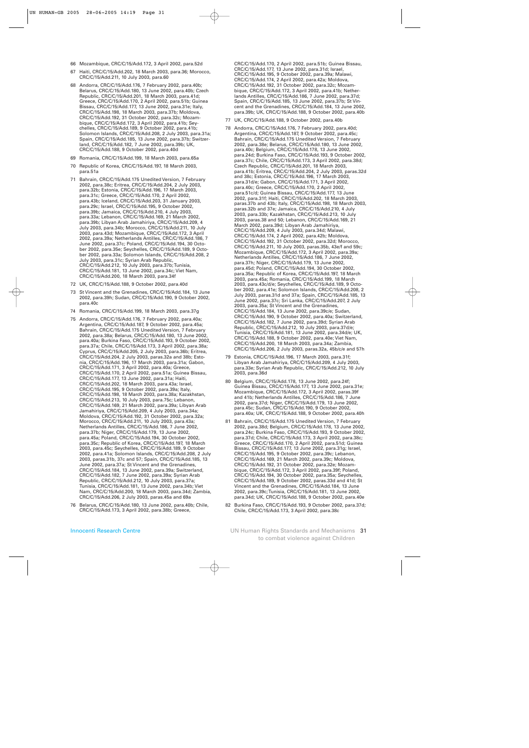- 66 Mozambique, CRC/C/15/Add.172, 3 April 2002, para.52d
- 67 Haiti, CRC/C/15/Add.202, 18 March 2003, para.36; Morocco, CRC/C/15/Add.211, 10 July 2003, para.60
- 68 Andorra, CRC/C/15/Add.176, 7 February 2002, para.40b; Belarus, CRC/C/15/Add.180, 13 June 2002, para.40b; Czech Republic, CRC/C/15/Add.201, 18 March 2003, para.41d; Greece, CRC/C/15/Add.170, 2 April 2002, para.51b; Guinea Bissau, CRC/C/15/Add.177, 13 June 2002, para.31e; Italy, CRC/C/15/Add.198, 18 March 2003, para.37b; Moldova, CRC/C/15/Add.192, 31 October 2002, para.32c; Mozambique, CRC/C/15/Add.172, 3 April 2002, para.41b; Seychelles, CRC/C/15/Add.189, 9 October 2002, para.41b; Solomon Islands, CRC/C/15/Add.208, 2 July 2003, para.31a; Spain, CRC/C/15/Add.185, 13 June 2002, para.37b; Switzerland, CRC/C/15/Add.182, 7 June 2002, para.39b; UK, CRC/C/15/Add.188, 9 October 2002, para.40d
- 69 Romania, CRC/C/15/Add.199, 18 March 2003, para.65a
- 70 Republic of Korea, CRC/C/15/Add.197, 18 March 2003, para.51a
- 71 Bahrain, CRC/C/15/Add.175 Unedited Version, 7 February 2002, para.38c; Eritrea, CRC/C/15/Add.204, 2 July 2003, para.32b; Estonia, CRC/C/15/Add.196, 17 March 2003, para.31c; Greece, CRC/C/15/Add.170, 2 April 2002, para.43b; Iceland, CRC/C/15/Add.203, 31 January 2003, para.29c; Israel, CRC/C/15/Add.195, 9 October 2002, para.39b; Jamaica, CRC/C/15/Add.210, 4 July 2003, para.33a; Lebanon, CRC/C/15/Add.169, 21 March 2002, para.39b; Libyan Arab Jamahiriya, CRC/C/15/Add.209, 4 July 2003, para.34b; Morocco, CRC/C/15/Add.211, 10 July 2003, para.43d; Mozambique, CRC/C/15/Add.172, 3 April 2002, para.39a; Netherlands Antilles, CRC/C/15/Add.186, 7 June 2002, para.37c; Poland, CRC/C/15/Add.194, 30 October 2002, para.35e; Seychelles, CRC/C/15/Add.189, 9 October 2002, para.33a; Solomon Islands, CRC/C/15/Add.208, 2 July 2003, para.31c; Syrian Arab Republic, CRC/C/15/Add.212, 10 July 2003, para.37b; Tunisia, CRC/C/15/Add.181, 13 June 2002, para.34c; Viet Nam, CRC/C/15/Add.200, 18 March 2003, para.34f
- 72 UK, CRC/C/15/Add.188, 9 October 2002, para.40d
- 73 St Vincent and the Grenadines, CRC/C/15/Add.184, 13 June 2002, para.39h; Sudan, CRC/C/15/Add.190, 9 October 2002, para.40c
- 74 Romania, CRC/C/15/Add.199, 18 March 2003, para.37g
- 75 Andorra, CRC/C/15/Add.176, 7 February 2002, para.40a; Argentina, CRC/C/15/Add.187, 9 October 2002, para.45a; Bahrain, CRC/C/15/Add.175 Unedited Version, 7 February 2002, para.38a; Belarus, CRC/C/15/Add.180, 13 June 2002, para.40a; Burkina Faso, CRC/C/15/Add.193, 9 October 2002, para.37a; Chile, CRC/C/15/Add.173, 3 April 2002, para.38a; Cyprus, CRC/C/15/Add.205, 2 July 2003, para.36b; Eritrea, CRC/C/15/Add.204, 2 July 2003, paras.32a and 38b; Estonia, CRC/C/15/Add.196, 17 March 2003, para.31a; Gabon, CRC/C/15/Add.171, 3 April 2002, para.40a; Greece, CRC/C/15/Add.170, 2 April 2002, para.51a; Guinea Bissau, CRC/C/15/Add.177, 13 June 2002, para.31a; Haiti, CRC/C/15/Add.202, 18 March 2003, para.43a; Israel, CRC/C/15/Add.195, 9 October 2002, para.39a; Italy, CRC/C/15/Add.198, 18 March 2003, para.38a; Kazakhstan, CRC/C/15/Add.213, 10 July 2003, para.75c; Lebanon, CRC/C/15/Add.169, 21 March 2002, para.39a; Libyan Arab Jamahiriya, CRC/C/15/Add.209, 4 July 2003, para.34a; Moldova, CRC/C/15/Add.192, 31 October 2002, para.32a; Morocco, CRC/C/15/Add.211, 10 July 2003, para.43a; Netherlands Antilles, CRC/C/15/Add.186, 7 June 2002, para.37b; Niger, CRC/C/15/Add.179, 13 June 2002, para.45a; Poland, CRC/C/15/Add.194, 30 October 2002, para.35c; Republic of Korea, CRC/C/15/Add.197, 18 March 2003, para.45c; Seychelles, CRC/C/15/Add.189, 9 October 2002, para.41a; Solomon Islands, CRC/C/15/Add.208, 2 July 2003, paras.31b, 37c and 57; Spain, CRC/C/15/Add.185, 13 June 2002, para.37a; St Vincent and the Grenadines, CRC/C/15/Add.184, 13 June 2002, para.39a; Switzerland, CRC/C/15/Add.182, 7 June 2002, para.39a; Syrian Arab Republic, CRC/C/15/Add.212, 10 July 2003, para.37a; Tunisia, CRC/C/15/Add.181, 13 June 2002, para.34b; Viet Nam, CRC/C/15/Add.200, 18 March 2003, para.34d; Zambia, CRC/C/15/Add.206, 2 July 2003, paras.45a and 69a
- 76 Belarus, CRC/C/15/Add.180, 13 June 2002, para.40b; Chile, CRC/C/15/Add.173, 3 April 2002, para.38b; Greece,

CRC/C/15/Add.170, 2 April 2002, para.51b; Guinea Bissau, CRC/C/15/Add.177, 13 June 2002, para.31d; Israel, CRC/C/15/Add.195, 9 October 2002, para.39a; Malawi, CRC/C/15/Add.174, 2 April 2002, para.42a; Moldova, CRC/C/15/Add.192, 31 October 2002, para.32c; Mozambique, CRC/C/15/Add.172, 3 April 2002, para.41b; Netherlands Antilles, CRC/C/15/Add.186, 7 June 2002, para.37d; Spain, CRC/C/15/Add.185, 13 June 2002, para.37b; St Vincent and the Grenadines, CRC/C/15/Add.184, 13 June 2002, para.39b; UK, CRC/C/15/Add.188, 9 October 2002, para.40b

- 77 UK, CRC/C/15/Add.188, 9 October 2002, para.40b
- 78 Andorra, CRC/C/15/Add.176, 7 February 2002, para.40d; Argentina, CRC/C/15/Add.187, 9 October 2002, para.45c; Bahrain, CRC/C/15/Add.175 Unedited Version, 7 February 2002, para.38e; Belarus, CRC/C/15/Add.180, 13 June 2002, para.40c; Belgium, CRC/C/15/Add.178, 13 June 2002, para.24d; Burkina Faso, CRC/C/15/Add.193, 9 October 2002, para.37c; Chile, CRC/C/15/Add.173, 3 April 2002, para.38d; Czech Republic, CRC/C/15/Add.201, 18 March 2003, para.41b; Eritrea, CRC/C/15/Add.204, 2 July 2003, paras.32d and 38c; Estonia, CRC/C/15/Add.196, 17 March 2003, para.31d/e; Gabon, CRC/C/15/Add.171, 3 April 2002, para.40c; Greece, CRC/C/15/Add.170, 2 April 2002, para.51c/d; Guinea Bissau, CRC/C/15/Add.177, 13 June 2002, para.31f; Haiti, CRC/C/15/Add.202, 18 March 2003, paras.37b and 43b; Italy, CRC/C/15/Add.198, 18 March 2003, paras.32b and 37e; Jamaica, CRC/C/15/Add.210, 4 July 2003, para.33b; Kazakhstan, CRC/C/15/Add.213, 10 July 2003, paras.38 and 50; Lebanon, CRC/C/15/Add.169, 21 March 2002, para.39d; Libyan Arab Jamahiriya, CRC/C/15/Add.209, 4 July 2003, para.34d; Malawi, CRC/C/15/Add.174, 2 April 2002, para.42b; Moldova, CRC/C/15/Add.192, 31 October 2002, para.32d; Morocco, CRC/C/15/Add.211, 10 July 2003, paras.35b, 43e/f and 59c; Mozambique, CRC/C/15/Add.172, 3 April 2002, para.39a; Netherlands Antilles, CRC/C/15/Add.186, 7 June 2002, para.37h; Niger, CRC/C/15/Add.179, 13 June 2002, para.45d; Poland, CRC/C/15/Add.194, 30 October 2002, para.35a; Republic of Korea, CRC/C/15/Add.197, 18 March 2003, para.45a; Romania, CRC/C/15/Add.199, 18 March 2003, para.43c/d/e; Seychelles, CRC/C/15/Add.189, 9 October 2002, para.41e; Solomon Islands, CRC/C/15/Add.208, 2 July 2003, paras.31d and 37a; Spain, CRC/C/15/Add.185, 13 June 2002, para.37c; Sri Lanka, CRC/C/15/Add.207, 2 July 2003, para.35a; St Vincent and the Grenadines, CRC/C/15/Add.184, 13 June 2002, para.39c/e; Sudan, CRC/C/15/Add.190, 9 October 2002, para.40a; Switzerland, CRC/C/15/Add.182, 7 June 2002, para.39d; Syrian Arab Republic, CRC/C/15/Add.212, 10 July 2003, para.37d/e; Tunisia, CRC/C/15/Add.181, 13 June 2002, para.34d/e; UK, CRC/C/15/Add.188, 9 October 2002, para.40e; Viet Nam, CRC/C/15/Add.200, 18 March 2003, para.34a; Zambia, CRC/C/15/Add.206, 2 July 2003, paras.32a, 45b/c/e and 57h
- 79 Estonia, CRC/C/15/Add.196, 17 March 2003, para.31f; Libyan Arab Jamahiriya, CRC/C/15/Add.209, 4 July 2003, para.33e; Syrian Arab Republic, CRC/C/15/Add.212, 10 July 2003, para.36d
- 80 Belgium, CRC/C/15/Add.178, 13 June 2002, para.24f; Guinea Bissau, CRC/C/15/Add.177, 13 June 2002, para.31e; Mozambique, CRC/C/15/Add.172, 3 April 2002, paras.39f and 41b; Netherlands Antilles, CRC/C/15/Add.186, 7 June 2002, para.37d; Niger, CRC/C/15/Add.179, 13 June 2002, para.45c; Sudan, CRC/C/15/Add.190, 9 October 2002, para.40a; UK, CRC/C/15/Add.188, 9 October 2002, para.40h
- 81 Bahrain, CRC/C/15/Add.175 Unedited Version, 7 February 2002, para.38d; Belgium, CRC/C/15/Add.178, 13 June 2002, para.24c; Burkina Faso, CRC/C/15/Add.193, 9 October 2002, para.37d; Chile, CRC/C/15/Add.173, 3 April 2002, para.38c; Greece, CRC/C/15/Add.170, 2 April 2002, para.51d; Guinea Bissau, CRC/C/15/Add.177, 13 June 2002, para.31g; Israel, CRC/C/15/Add.195, 9 October 2002, para.39c; Lebanon, CRC/C/15/Add.169, 21 March 2002, para.39c; Moldova, CRC/C/15/Add.192, 31 October 2002, para.32e; Mozambique, CRC/C/15/Add.172, 3 April 2002, para.39f; Poland, CRC/C/15/Add.194, 30 October 2002, para.35a; Seychelles, CRC/C/15/Add.189, 9 October 2002, paras.33d and 41d; St Vincent and the Grenadines, CRC/C/15/Add.184, 13 June 2002, para.39c; Tunisia, CRC/C/15/Add.181, 13 June 2002, para.34d; UK, CRC/C/15/Add.188, 9 October 2002, para.40e
- 82 Burkina Faso, CRC/C/15/Add.193, 9 October 2002, para.37d; Chile, CRC/C/15/Add.173, 3 April 2002, para.38c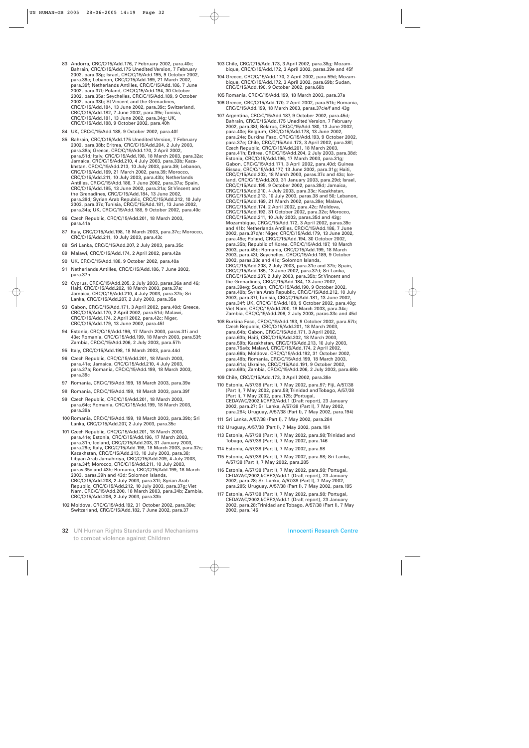- 83 Andorra, CRC/C/15/Add.176, 7 February 2002, para.40c; Bahrain, CRC/C/15/Add.175 Unedited Version, 7 February 2002, para.38g; Israel, CRC/C/15/Add.195, 9 October 2002, para.39e; Lebanon, CRC/C/15/Add.169, 21 March 2002, para.39f; Netherlands Antilles, CRC/C/15/Add.186, 7 June 2002, para.37f; Poland, CRC/C/15/Add.194, 30 October 2002, para.35a; Seychelles, CRC/C/15/Add.189, 9 October 2002, para.33b; St Vincent and the Grenadines, CRC/C/15/Add.184, 13 June 2002, para.39c; Switzerland, CRC/C/15/Add.182, 7 June 2002, para.39c; Tunisia, CRC/C/15/Add.181, 13 June 2002, para.34g; UK, CRC/C/15/Add.188, 9 October 2002, para.40h
- 84 UK, CRC/C/15/Add.188, 9 October 2002, para.40f
- 85 Bahrain, CRC/C/15/Add.175 Unedited Version, 7 February 2002, para.38b; Eritrea, CRC/C/15/Add.204, 2 July 2003, para.38a; Greece, CRC/C/15/Add.170, 2 April 2002, para.51d; Italy, CRC/C/15/Add.198, 18 March 2003, para.32a; Jamaica, CRC/C/15/Add.210, 4 July 2003, para.33b; Kazakhstan, CRC/C/15/Add.213, 10 July 2003, para.39; Lebanon, CRC/C/15/Add.169, 21 March 2002, para.39; Morocco, CRC/C/15/Add.211, 10 July 2003, para.43b; Netherlands Antilles, CRC/C/15/Add.186, 7 June 2002, para.37a; Spain, CRC/C/15/Add.185, 13 June 2002, para.31a; St Vincent and the Grenadines, CRC/C/15/Add.184, 13 June 2002, para.39d; Syrian Arab Republic, CRC/C/15/Add.212, 10 July 2003, para.37c; Tunisia, CRC/C/15/Add.181, 13 June 2002, para.34a; UK, CRC/C/15/Add.188, 9 October 2002, para.40c
- 86 Czech Republic, CRC/C/15/Add.201, 18 March 2003, para.41a
- 87 Italy, CRC/C/15/Add.198, 18 March 2003, para.37c; Morocco, CRC/C/15/Add.211, 10 July 2003, para.43c
- 88 Sri Lanka, CRC/C/15/Add.207, 2 July 2003, para.35c
- 89 Malawi, CRC/C/15/Add.174, 2 April 2002, para.42a
- 90 UK, CRC/C/15/Add.188, 9 October 2002, para.40a
- 91 Netherlands Antilles, CRC/C/15/Add.186, 7 June 2002, para.37h
- 92 Cyprus, CRC/C/15/Add.205, 2 July 2003, paras.36a and 46; Haiti, CRC/C/15/Add.202, 18 March 2003, para.37a; Jamaica, CRC/C/15/Add.210, 4 July 2003, para.37b; Sri Lanka, CRC/C/15/Add.207, 2 July 2003, para.35a
- 93 Gabon, CRC/C/15/Add.171, 3 April 2002, para.40d; Greece, CRC/C/15/Add.170, 2 April 2002, para.51d; Malawi, CRC/C/15/Add.174, 2 April 2002, para.42c; Niger, CRC/C/15/Add.179, 13 June 2002, para.45f
- 94 Estonia, CRC/C/15/Add.196, 17 March 2003, paras.31i and 43e; Romania, CRC/C/15/Add.199, 18 March 2003, para.53f; Zambia, CRC/C/15/Add.206, 2 July 2003, para.57h
- 95 Italy, CRC/C/15/Add.198, 18 March 2003, para.44d
- 96 Czech Republic, CRC/C/15/Add.201, 18 March 2003, para.41e; Jamaica, CRC/C/15/Add.210, 4 July 2003, para.37a; Romania, CRC/C/15/Add.199, 18 March 2003, para.39c
- 97 Romania, CRC/C/15/Add.199, 18 March 2003, para.39e
- 98 Romania, CRC/C/15/Add.199, 18 March 2003, para.39f
- 99 Czech Republic, CRC/C/15/Add.201, 18 March 2003, para.64c; Romania, CRC/C/15/Add.199, 18 March 2003, para.39a
- 100 Romania, CRC/C/15/Add.199, 18 March 2003, para.39b; Sri Lanka, CRC/C/15/Add.207, 2 July 2003, para.35c
- 101 Czech Republic, CRC/C/15/Add.201, 18 March 2003, para.41e; Estonia, CRC/C/15/Add.196, 17 March 2003, para.31h; Iceland, CRC/C/15/Add.203, 31 January 2003, para.29e; Italy, CRC/C/15/Add.198, 18 March 2003, para.32c; Kazakhstan, CRC/C/15/Add.213, 10 July 2003, para.38; Libyan Arab Jamahiriya, CRC/C/15/Add.209, 4 July 2003, para.34f; Morocco, CRC/C/15/Add.211, 10 July 2003, paras.35c and 43h; Romania, CRC/C/15/Add.199, 18 March 2003, paras.39h and 43d; Solomon Islands, CRC/C/15/Add.208, 2 July 2003, para.31f; Syrian Arab Republic, CRC/C/15/Add.212, 10 July 2003, para.37g; Viet Nam, CRC/C/15/Add.200, 18 March 2003, para.34b; Zambia, CRC/C/15/Add.206, 2 July 2003, para.33b
- 102 Moldova, CRC/C/15/Add.192, 31 October 2002, para.30e; Switzerland, CRC/C/15/Add.182, 7 June 2002, para.37
- 32 UN Human Rights Standards and Mechanisms to combat violence against Children
- 103 Chile, CRC/C/15/Add.173, 3 April 2002, para.38g; Mozambique, CRC/C/15/Add.172, 3 April 2002, paras.39e and 45f
- 104 Greece, CRC/C/15/Add.170, 2 April 2002, para.59d; Mozambique, CRC/C/15/Add.172, 3 April 2002, para.69b; Sudan, CRC/C/15/Add.190, 9 October 2002, para.68b
- 105 Romania, CRC/C/15/Add.199, 18 March 2003, para.37a
- 106 Greece, CRC/C/15/Add.170, 2 April 2002, para.51b; Romania, CRC/C/15/Add.199, 18 March 2003, paras.37c/e/f and 43g
- 107 Argentina, CRC/C/15/Add.187, 9 October 2002, para.45d; Bahrain, CRC/C/15/Add.175 Unedited Version, 7 February 2002, para.38f; Belarus, CRC/C/15/Add.180, 13 June 2002, para.40e; Belgium, CRC/C/15/Add.178, 13 June 2002, para.24e; Burkina Faso, CRC/C/15/Add.193, 9 October 2002, para.37e; Chile, CRC/C/15/Add.173, 3 April 2002, para.38f; Czech Republic, CRC/C/15/Add.201, 18 March 2003, para.41h; Eritrea, CRC/C/15/Add.204, 2 July 2003, para.38d; Estonia, CRC/C/15/Add.196, 17 March 2003, para.31g; Gabon, CRC/C/15/Add.171, 3 April 2002, para.40d; Guinea Bissau, CRC/C/15/Add.177, 13 June 2002, para.31g; Haiti, CRC/C/15/Add.202, 18 March 2003, paras.37c and 43c; Iceland, CRC/C/15/Add.203, 31 January 2003, para.29d; Israel, CRC/C/15/Add.195, 9 October 2002, para.39d; Jamaica, CRC/C/15/Add.210, 4 July 2003, para.33c; Kazakhstan, CRC/C/15/Add.213, 10 July 2003, paras.38 and 50; Lebanon, CRC/C/15/Add.169, 21 March 2002, para.39e; Malawi, CRC/C/15/Add.174, 2 April 2002, para.42c; Moldova, CRC/C/15/Add.192, 31 October 2002, para.32e; Morocco, CRC/C/15/Add.211, 10 July 2003, paras.35d and 43g; Mozambique, CRC/C/15/Add.172, 3 April 2002, paras.39c and 41b; Netherlands Antilles, CRC/C/15/Add.186, 7 June 2002, para.37d/e; Niger, CRC/C/15/Add.179, 13 June 2002, para.45e; Poland, CRC/C/15/Add.194, 30 October 2002, para.35b; Republic of Korea, CRC/C/15/Add.197, 18 March 2003, para.45b; Romania, CRC/C/15/Add.199, 18 March 2003, para.43f; Seychelles, CRC/C/15/Add.189, 9 October 2002, paras.33c and 41c; Solomon Islands, CRC/C/15/Add.208, 2 July 2003, para.31e and 37b; Spain, CRC/C/15/Add.185, 13 June 2002, para.37d; Sri Lanka, CRC/C/15/Add.207, 2 July 2003, para.35b; St Vincent and the Grenadines, CRC/C/15/Add.184, 13 June 2002, para.39e/g; Sudan, CRC/C/15/Add.190, 9 October 2002, para.40b; Syrian Arab Republic, CRC/C/15/Add.212, 10 July 2003, para.37f; Tunisia, CRC/C/15/Add.181, 13 June 2002, para.34f; UK, CRC/C/15/Add.188, 9 October 2002, para.40g; Viet Nam, CRC/C/15/Add.200, 18 March 2003, para.34c; Zambia, CRC/C/15/Add.206, 2 July 2003, paras.33c and 45d
- 108 Burkina Faso, CRC/C/15/Add.193, 9 October 2002, para.57b; Czech Republic, CRC/C/15/Add.201, 18 March 2003, para.64b; Gabon, CRC/C/15/Add.171, 3 April 2002, para.63b; Haiti, CRC/C/15/Add.202, 18 March 2003, para.59b; Kazakhstan, CRC/C/15/Add.213, 10 July 2003, para.75a/b; Malawi, CRC/C/15/Add.174, 2 April 2002, para.66b; Moldova, CRC/C/15/Add.192, 31 October 2002, para.48b; Romania, CRC/C/15/Add.199, 18 March 2003, para.61a; Ukraine, CRC/C/15/Add.191, 9 October 2002, para.69b; Zambia, CRC/C/15/Add.206, 2 July 2003, para.69b
- 109 Chile, CRC/C/15/Add.173, 3 April 2002, para.38e
- 110 Estonia, A/57/38 (Part I), 7 May 2002, para.97; Fiji, A/57/38 (Part I), 7 May 2002, para.58; Trinidad and Tobago, A/57/38 (Part I), 7 May 2002, para.125; (Portugal, CEDAW/C/2002,I/CRP.3/Add.1 (Draft report), 23 January 2002, para.27; Sri Lanka, A/57/38 (Part I), 7 May 2002, para.284; Uruguay, A/57/38 (Part I), 7 May 2002, para.194)
- 111 Sri Lanka, A/57/38 (Part I), 7 May 2002, para.284
- 112 Uruguay, A/57/38 (Part I), 7 May 2002, para.194
- 113 Estonia, A/57/38 (Part I), 7 May 2002, para.98; Trinidad and Tobago, A/57/38 (Part I), 7 May 2002, para.146
- 114 Estonia, A/57/38 (Part I), 7 May 2002, para.98
- 115 Estonia, A/57/38 (Part I), 7 May 2002, para.98; Sri Lanka, A/57/38 (Part I), 7 May 2002, para.285
- 116 Estonia, A/57/38 (Part I), 7 May 2002, para.98; Portugal, CEDAW/C/2002,I/CRP.3/Add.1 (Draft report), 23 January 2002, para.28; Sri Lanka, A/57/38 (Part I), 7 May 2002, para.285; Uruguay, A/57/38 (Part I), 7 May 2002, para.195
- 117 Estonia, A/57/38 (Part I), 7 May 2002, para.98; Portugal, CEDAW/C/2002,I/CRP.3/Add.1 (Draft report), 23 January 2002, para.28; Trinidad and Tobago, A/57/38 (Part I), 7 May 2002, para.146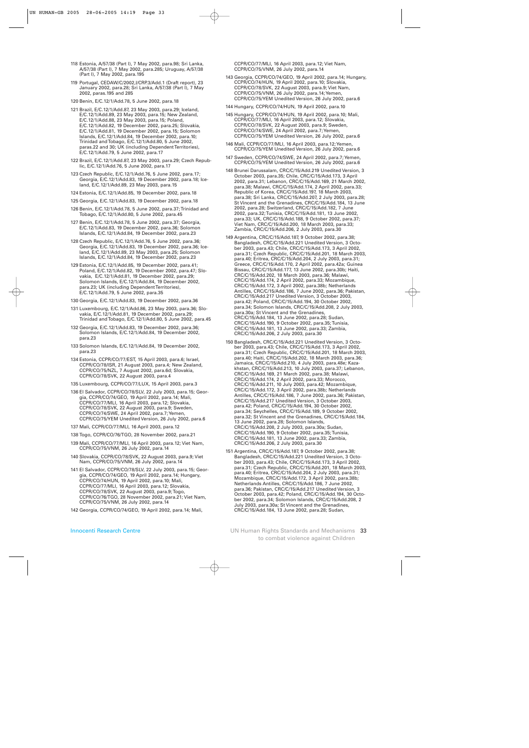- 118 Estonia, A/57/38 (Part I), 7 May 2002, para.98; Sri Lanka, A/57/38 (Part I), 7 May 2002, para.285; Uruguay, A/57/38 (Part I), 7 May 2002, para.195
- 119 Portugal, CEDAW/C/2002,I/CRP.3/Add.1 (Draft report), 23 January 2002, para.28; Sri Lanka, A/57/38 (Part I), 7 May 2002, paras.195 and 285

120 Benin, E/C.12/1/Add.78, 5 June 2002, para.18

- 121 Brazil, E/C.12/1/Add.87, 23 May 2003, para.29; Iceland, E/C.12/1/Add.89, 23 May 2003, para.15; New Zealand, E/C.12/1/Add.88, 23 May 2003, para.15; Poland, E/C.12/1/Add.82, 19 December 2002, para.25; Slovakia, E/C.12/1/Add.81, 19 December 2002, para.15; Solomon Islands, E/C.12/1/Add.84, 19 December 2002, para.10; Trinidad and Tobago, E/C.12/1/Add.80, 5 June 2002, paras.22 and 30; UK (including Dependent Territories), E/C.12/1/Add.79, 5 June 2002, para.17
- 122 Brazil, E/C.12/1/Add.87, 23 May 2003, para.29; Czech Republic, E/C.12/1/Add.76, 5 June 2002, para.17
- 123 Czech Republic, E/C.12/1/Add.76, 5 June 2002, para.17; Georgia, E/C.12/1/Add.83, 19 December 2002, para.18; Iceland, E/C.12/1/Add.89, 23 May 2003, para.15
- 124 Estonia, E/C.12/1/Add.85, 19 December 2002, para.18
- 125 Georgia, E/C.12/1/Add.83, 19 December 2002, para.18
- 126 Benin, E/C.12/1/Add.78, 5 June 2002, para.37; Trinidad and Tobago, E/C.12/1/Add.80, 5 June 2002, para.45
- 127 Benin, E/C.12/1/Add.78, 5 June 2002, para.37; Georgia, E/C.12/1/Add.83, 19 December 2002, para.36; Solomon Islands, E/C.12/1/Add.84, 19 December 2002, para.23
- 128 Czech Republic, E/C.12/1/Add.76, 5 June 2002, para.36; Georgia, E/C.12/1/Add.83, 19 December 2002, para.36; Iceland, E/C.12/1/Add.89, 23 May 2003, para.25; Solomon Islands, E/C.12/1/Add.84, 19 December 2002, para.23
- 129 Estonia, E/C.12/1/Add.85, 19 December 2002, para.41; Poland, E/C.12/1/Add.82, 19 December 2002, para.47; Slovakia, E/C.12/1/Add.81, 19 December 2002, para.29; Solomon Islands, E/C.12/1/Add.84, 19 December 2002, para.23; UK (including Dependent Territories), E/C.12/1/Add.79, 5 June 2002, para.35
- 130 Georgia, E/C.12/1/Add.83, 19 December 2002, para.36
- 131 Luxembourg, E/C.12/1/Add.86, 23 May 2003, para.36; Slovakia, E/C.12/1/Add.81, 19 December 2002, para.29; Trinidad and Tobago, E/C.12/1/Add.80, 5 June 2002, para.45
- 132 Georgia, E/C.12/1/Add.83, 19 December 2002, para.36; Solomon Islands, E/C.12/1/Add.84, 19 December 2002, para.23
- 133 Solomon Islands, E/C.12/1/Add.84, 19 December 2002, para.23
- 134 Estonia, CCPR/CO/77/EST, 15 April 2003, para.6; Israel, CCPR/CO/78/ISR, 21 August 2003, para.4; New Zealand, CCPR/CO/75/NZL, 7 August 2002, para.6d; Slovakia, CCPR/CO/78/SVK, 22 August 2003, para.4
- 135 Luxembourg, CCPR/CO/77/LUX, 15 April 2003, para.3
- 136 El Salvador, CCPR/CO/78/SLV, 22 July 2003, para.15; Georgia, CCPR/CO/74/GEO, 19 April 2002, para.14; Mali, CCPR/CO/77/MLI, 16 April 2003, para.12; Slovakia, CCPR/CO/78/SVK, 22 August 2003, para.9; Sweden, CCPR/CO/74/SWE, 24 April 2002, para.7; Yemen, CCPR/CO/75/YEM Unedited Version, 26 July 2002, para.6
- 137 Mali, CCPR/CO/77/MLI, 16 April 2003, para.12
- 138 Togo, CCPR/CO/76/TGO, 28 November 2002, para.21
- 139 Mali, CCPR/CO/77/MLI, 16 April 2003, para.12; Viet Nam, CCPR/CO/75/VNM, 26 July 2002, para.14
- 140 Slovakia, CCPR/CO/78/SVK, 22 August 2003, para.9; Viet Nam, CCPR/CO/75/VNM, 26 July 2002, para.14
- 141 El Salvador, CCPR/CO/78/SLV, 22 July 2003, para.15; Georgia, CCPR/CO/74/GEO, 19 April 2002, para.14; Hungary, CCPR/CO/74/HUN, 19 April 2002, para.10; Mali, CCPR/CO/77/MLI, 16 April 2003, para.12; Slovakia, CCPR/CO/78/SVK, 22 August 2003, para.9; Togo, CCPR/CO/76/TGO, 28 November 2002, para.21; Viet Nam, CCPR/CO/75/VNM, 26 July 2002, para.14
- 142 Georgia, CCPR/CO/74/GEO, 19 April 2002, para.14; Mali,

CCPR/CO/77/MLI, 16 April 2003, para.12; Viet Nam, CCPR/CO/75/VNM, 26 July 2002, para.14

- 143 Georgia, CCPR/CO/74/GEO, 19 April 2002, para.14; Hungary, CCPR/CO/74/HUN, 19 April 2002, para.10; Slovakia, CCPR/CO/78/SVK, 22 August 2003, para.9; Viet Nam, CCPR/CO/75/VNM, 26 July 2002, para.14; Yemen, CCPR/CO/75/YEM Unedited Version, 26 July 2002, para.6
- 144 Hungary, CCPR/CO/74/HUN, 19 April 2002, para.10
- 145 Hungary, CCPR/CO/74/HUN, 19 April 2002, para.10; Mali, CCPR/CO/77/MLI, 16 April 2003, para.12; Slovakia, CCPR/CO/78/SVK, 22 August 2003, para.9; Sweden, CCPR/CO/74/SWE, 24 April 2002, para.7; Yemen, CCPR/CO/75/YEM Unedited Version, 26 July 2002, para.6
- 146 Mali, CCPR/CO/77/MLI, 16 April 2003, para.12; Yemen, CCPR/CO/75/YEM Unedited Version, 26 July 2002, para.6
- 147 Sweden, CCPR/CO/74/SWE, 24 April 2002, para.7; Yemen, CCPR/CO/75/YEM Unedited Version, 26 July 2002, para.6
- 148 Brunei Darussalam, CRC/C/15/Add.219 Unedited Version, 3 October 2003, para.35; Chile, CRC/C/15/Add.173, 3 April 2002, para.31; Lebanon, CRC/C/15/Add.169, 21 March 2002, para.38; Malawi, CRC/C/15/Add.174, 2 April 2002, para.33; Republic of Korea, CRC/C/15/Add.197, 18 March 2003, para.38; Sri Lanka, CRC/C/15/Add.207, 2 July 2003, para.28; St Vincent and the Grenadines, CRC/C/15/Add.184, 13 June 2002, para.28; Switzerland, CRC/C/15/Add.182, 7 June 2002, para.32; Tunisia, CRC/C/15/Add.181, 13 June 2002, para.33; UK, CRC/C/15/Add.188, 9 October 2002, para.37; Viet Nam, CRC/C/15/Add.200, 18 March 2003, para.33; Zambia, CRC/C/15/Add.206, 2 July 2003, para.30
- 149 Argentina, CRC/C/15/Add.187, 9 October 2002, para.38; Bangladesh, CRC/C/15/Add.221 Unedited Version, 3 October 2003, para.43; Chile, CRC/C/15/Add.173, 3 April 2002, para.31; Czech Republic, CRC/C/15/Add.201, 18 March 2003, para.40; Eritrea, CRC/C/15/Add.204, 2 July 2003, para.31; Greece, CRC/C/15/Add.170, 2 April 2002, para.42a; Guinea Bissau, CRC/C/15/Add.177, 13 June 2002, para.30b; Haiti, CRC/C/15/Add.202, 18 March 2003, para.36; Malawi, CRC/C/15/Add.174, 2 April 2002, para.33; Mozambique, CRC/C/15/Add.172, 3 April 2002, para.38b; Netherlands Antilles, CRC/C/15/Add.186, 7 June 2002, para.36; Pakistan, CRC/C/15/Add.217 Unedited Version, 3 October 2003, para.42; Poland, CRC/C/15/Add.194, 30 October 2002, para.34; Solomon Islands, CRC/C/15/Add.208, 2 July 2003, para.30a; St Vincent and the Grenadines, CRC/C/15/Add.184, 13 June 2002, para.28; Sudan, CRC/C/15/Add.190, 9 October 2002, para.35; Tunisia, CRC/C/15/Add.181, 13 June 2002, para.33; Zambia, CRC/C/15/Add.206, 2 July 2003, para.30
- 150 Bangladesh, CRC/C/15/Add.221 Unedited Version, 3 October 2003, para.43; Chile, CRC/C/15/Add.173, 3 April 2002, para.31; Czech Republic, CRC/C/15/Add.201, 18 March 2003, para.40; Haiti, CRC/C/15/Add.202, 18 March 2003, para.36; Jamaica, CRC/C/15/Add.210, 4 July 2003, para.48e; Kazakhstan, CRC/C/15/Add.213, 10 July 2003, para.37; Lebanon, CRC/C/15/Add.169, 21 March 2002, para.38; Malawi, CRC/C/15/Add.174, 2 April 2002, para.33; Morocco, CRC/C/15/Add.211, 10 July 2003, para.42; Mozambique, CRC/C/15/Add.172, 3 April 2002, para.38b; Netherlands Antilles, CRC/C/15/Add.186, 7 June 2002, para.36; Pakistan, CRC/C/15/Add.217 Unedited Version, 3 October 2003, para.42; Poland, CRC/C/15/Add.194, 30 October 2002, para.34; Seychelles, CRC/C/15/Add.189, 9 October 2002, para.32; St Vincent and the Grenadines, CRC/C/15/Add.184, 13 June 2002, para.28; Solomon Islands, CRC/C/15/Add.208, 2 July 2003, para.30a; Sudan, CRC/C/15/Add.190, 9 October 2002, para.35; Tunisia, CRC/C/15/Add.181, 13 June 2002, para.33; Zambia, CRC/C/15/Add.206, 2 July 2003, para.30
- 151 Argentina, CRC/C/15/Add.187, 9 October 2002, para.38; Bangladesh, CRC/C/15/Add.221 Unedited Version, 3 October 2003, para.43; Chile, CRC/C/15/Add.173, 3 April 2002, para.31; Czech Republic, CRC/C/15/Add.201, 18 March 2003, para.40; Eritrea, CRC/C/15/Add.204, 2 July 2003, para.31; Mozambique, CRC/C/15/Add.172, 3 April 2002, para.38b; Netherlands Antilles, CRC/C/15/Add.186, 7 June 2002, para.36; Pakistan, CRC/C/15/Add.217 Unedited Version, 3 October 2003, para.42; Poland, CRC/C/15/Add.194, 30 October 2002, para.34; Solomon Islands, CRC/C/15/Add.208, 2 July 2003, para.30a; St Vincent and the Grenadines, CRC/C/15/Add.184, 13 June 2002, para.28; Sudan,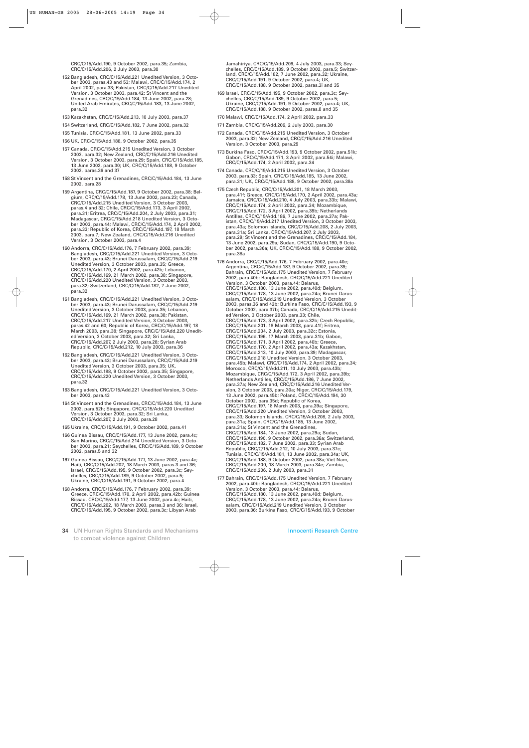CRC/C/15/Add.190, 9 October 2002, para.35; Zambia, CRC/C/15/Add.206, 2 July 2003, para.30

- 152 Bangladesh, CRC/C/15/Add.221 Unedited Version, 3 October 2003, paras.43 and 53; Malawi, CRC/C/15/Add.174, 2 April 2002, para.33; Pakistan, CRC/C/15/Add.217 Unedited Version, 3 October 2003, para.42; St Vincent and the Grenadines, CRC/C/15/Add.184, 13 June 2002, para.28; United Arab Emirates, CRC/C/15/Add.183, 13 June 2002, para.32
- 153 Kazakhstan, CRC/C/15/Add.213, 10 July 2003, para.37
- 154 Switzerland, CRC/C/15/Add.182, 7 June 2002, para.32
- 155 Tunisia, CRC/C/15/Add.181, 13 June 2002, para.33
- 156 UK, CRC/C/15/Add.188, 9 October 2002, para.35
- 157 Canada, CRC/C/15/Add.215 Unedited Version, 3 October 2003, para.32; New Zealand, CRC/C/15/Add.216 Unedited Version, 3 October 2003, para.29; Spain, CRC/C/15/Add.185, 13 June 2002, para.30; UK, CRC/C/15/Add.188, 9 October 2002, paras.36 and 37
- 158 St Vincent and the Grenadines, CRC/C/15/Add.184, 13 June 2002, para.28
- 159 Argentina, CRC/C/15/Add.187, 9 October 2002, para.38; Belgium, CRC/C/15/Add.178, 13 June 2002, para.23; Canada, CRC/C/15/Add.215 Unedited Version, 3 October 2003, paras.4 and 32; Chile, CRC/C/15/Add.173, 3 April 2002, para.31; Eritrea, CRC/C/15/Add.204, 2 July 2003, para.31; Madagascar, CRC/C/15/Add.218 Unedited Version, 3 October 2003, para.44; Malawi, CRC/C/15/Add.174, 2 April 2002, para.33; Republic of Korea, CRC/C/15/Add.197, 18 March 2003, para.7; New Zealand, CRC/C/15/Add.216 Unedited Version, 3 October 2003, para.4
- 160 Andorra, CRC/C/15/Add.176, 7 February 2002, para.39; Bangladesh, CRC/C/15/Add.221 Unedited Version, 3 October 2003, para.43; Brunei Darussalam, CRC/C/15/Add.219 Unedited Version, 3 October 2003, para.35; Greece, CRC/C/15/Add.170, 2 April 2002, para.42b; Lebanon, CRC/C/15/Add.169, 21 March 2002, para.38; Singapore, CRC/C/15/Add.220 Unedited Version, 3 October 2003, para.32; Switzerland, CRC/C/15/Add.182, 7 June 2002, para.32
- 161 Bangladesh, CRC/C/15/Add.221 Unedited Version, 3 October 2003, para.43; Brunei Darussalam, CRC/C/15/Add.219 Unedited Version, 3 October 2003, para.35; Lebanon, CRC/C/15/Add.169, 21 March 2002, para.38; Pakistan, CRC/C/15/Add.217 Unedited Version, 3 October 2003, paras.42 and 60; Republic of Korea, CRC/C/15/Add.197, 18 March 2003, para.38; Singapore, CRC/C/15/Add.220 Unedited Version, 3 October 2003, para.32; Sri Lanka, CRC/C/15/Add.207, 2 July 2003, para.28; Syrian Arab Republic, CRC/C/15/Add.212, 10 July 2003, para.36
- 162 Bangladesh, CRC/C/15/Add.221 Unedited Version, 3 October 2003, para.43; Brunei Darussalam, CRC/C/15/Add.219 Unedited Version, 3 October 2003, para.35; UK, CRC/C/15/Add.188, 9 October 2002, para.35; Singapore, CRC/C/15/Add.220 Unedited Version, 3 October 2003, para.32
- 163 Bangladesh, CRC/C/15/Add.221 Unedited Version, 3 October 2003, para.43
- 164 St Vincent and the Grenadines, CRC/C/15/Add.184, 13 June 2002, para.52h; Singapore, CRC/C/15/Add.220 Unedited Version, 3 October 2003, para.32; Sri Lanka, CRC/C/15/Add.207, 2 July 2003, para.28
- 165 Ukraine, CRC/C/15/Add.191, 9 October 2002, para.41
- 166 Guinea Bissau, CRC/C/15/Add.177, 13 June 2002, para.4c; San Marino, CRC/C/15/Add.214 Unedited Version, 3 October 2003, para.21; Seychelles, CRC/C/15/Add.189, 9 October 2002, paras.5 and 32
- 167 Guinea Bissau, CRC/C/15/Add.177, 13 June 2002, para.4c; Haiti, CRC/C/15/Add.202, 18 March 2003, paras.3 and 36; Israel, CRC/C/15/Add.195, 9 October 2002, para.3c; Seychelles, CRC/C/15/Add.189, 9 October 2002, para.5; Ukraine, CRC/C/15/Add.191, 9 October 2002, para.4
- 168 Andorra, CRC/C/15/Add.176, 7 February 2002, para.39; Greece, CRC/C/15/Add.170, 2 April 2002, para.42b; Guinea Bissau, CRC/C/15/Add.177, 13 June 2002, para.4c; Haiti, CRC/C/15/Add.202, 18 March 2003, paras.3 and 36; Israel, CRC/C/15/Add.195, 9 October 2002, para.3c; Libyan Arab
- 34 UN Human Rights Standards and Mechanisms to combat violence against Children

Jamahiriya, CRC/C/15/Add.209, 4 July 2003, para.33; Seychelles, CRC/C/15/Add.189, 9 October 2002, para.5; Switzerland, CRC/C/15/Add.182, 7 June 2002, para.32; Ukraine, CRC/C/15/Add.191, 9 October 2002, para.4; UK, CRC/C/15/Add.188, 9 October 2002, paras.3i and 35

- 169 Israel, CRC/C/15/Add.195, 9 October 2002, para.3c; Seychelles, CRC/C/15/Add.189, 9 October 2002, para.5; Ukraine, CRC/C/15/Add.191, 9 October 2002, para.4; UK, CRC/C/15/Add.188, 9 October 2002, paras.8 and 35
- 170 Malawi, CRC/C/15/Add.174, 2 April 2002, para.33
- 171 Zambia, CRC/C/15/Add.206, 2 July 2003, para.30
- 172 Canada, CRC/C/15/Add.215 Unedited Version, 3 October 2003, para.32; New Zealand, CRC/C/15/Add.216 Unedited Version, 3 October 2003, para.29
- 173 Burkina Faso, CRC/C/15/Add.193, 9 October 2002, para.51k; Gabon, CRC/C/15/Add.171, 3 April 2002, para.54i; Malawi, CRC/C/15/Add.174, 2 April 2002, para.34
- 174 Canada, CRC/C/15/Add.215 Unedited Version, 3 October 2003, para.33; Spain, CRC/C/15/Add.185, 13 June 2002, para.31; UK, CRC/C/15/Add.188, 9 October 2002, para.38a
- 175 Czech Republic, CRC/C/15/Add.201, 18 March 2003, para.41f; Greece, CRC/C/15/Add.170, 2 April 2002, para.43a; Jamaica, CRC/C/15/Add.210, 4 July 2003, para.33b; Malawi, CRC/C/15/Add.174, 2 April 2002, para.34; Mozambique, CRC/C/15/Add.172, 3 April 2002, para.39b; Netherlands Antilles, CRC/C/15/Add.186, 7 June 2002, para.37a; Pakistan, CRC/C/15/Add.217 Unedited Version, 3 October 2003, para.43a; Solomon Islands, CRC/C/15/Add.208, 2 July 2003, para.31a; Sri Lanka, CRC/C/15/Add.207, 2 July 2003, para.29; St Vincent and the Grenadines, CRC/C/15/Add.184, 13 June 2002, para.29a; Sudan, CRC/C/15/Add.190, 9 October 2002, para.36a; UK, CRC/C/15/Add.188, 9 October 2002, para.38a
- 176 Andorra, CRC/C/15/Add.176, 7 February 2002, para.40e; Argentina, CRC/C/15/Add.187, 9 October 2002, para.39; Bahrain, CRC/C/15/Add.175 Unedited Version, 7 February 2002, para.40b; Bangladesh, CRC/C/15/Add.221 Unedited Version, 3 October 2003, para.44; Belarus, CRC/C/15/Add.180, 13 June 2002, para.40d; Belgium, CRC/C/15/Add.178, 13 June 2002, para.24a; Brunei Darussalam, CRC/C/15/Add.219 Unedited Version, 3 October 2003, paras.36 and 42b; Burkina Faso, CRC/C/15/Add.193, 9 October 2002, para.37b; Canada, CRC/C/15/Add.215 Unedited Version, 3 October 2003, para.33; Chile, CRC/C/15/Add.173, 3 April 2002, para.32b; Czech Republic, CRC/C/15/Add.201, 18 March 2003, para.41f; Eritrea, CRC/C/15/Add.204, 2 July 2003, para.32c; Estonia, CRC/C/15/Add.196, 17 March 2003, para.31b; Gabon, CRC/C/15/Add.171, 3 April 2002, para.40b; Greece, CRC/C/15/Add.170, 2 April 2002, para.43a; Kazakhstan, CRC/C/15/Add.213, 10 July 2003, para.39; Madagascar, CRC/C/15/Add.218 Unedited Version, 3 October 2003, para.45b; Malawi, CRC/C/15/Add.174, 2 April 2002, para.34; Morocco, CRC/C/15/Add.211, 10 July 2003, para.43b; Mozambique, CRC/C/15/Add.172, 3 April 2002, para.39b; Netherlands Antilles, CRC/C/15/Add.186, 7 June 2002, para.37a; New Zealand, CRC/C/15/Add.216 Unedited Version, 3 October 2003, para.30a; Niger, CRC/C/15/Add.179, 13 June 2002, para.45b; Poland, CRC/C/15/Add.194, 30 October 2002, para.35d; Republic of Korea, CRC/C/15/Add.197, 18 March 2003, para.39a; Singapore, CRC/C/15/Add.220 Unedited Version, 3 October 2003, para.33; Solomon Islands, CRC/C/15/Add.208, 2 July 2003, para.31a; Spain, CRC/C/15/Add.185, 13 June 2002, para.31a; St Vincent and the Grenadines, CRC/C/15/Add.184, 13 June 2002, para.29a; Sudan, CRC/C/15/Add.190, 9 October 2002, para.36a; Switzerland, CRC/C/15/Add.182, 7 June 2002, para.33; Syrian Arab Republic, CRC/C/15/Add.212, 10 July 2003, para.37c; Tunisia, CRC/C/15/Add.181, 13 June 2002, para.34a; UK, CRC/C/15/Add.188, 9 October 2002, para.38a; Viet Nam, CRC/C/15/Add.200, 18 March 2003, para.34e; Zambia, CRC/C/15/Add.206, 2 July 2003, para.31
- 177 Bahrain, CRC/C/15/Add.175 Unedited Version, 7 February 2002, para.40b; Bangladesh, CRC/C/15/Add.221 Unedited Version, 3 October 2003, para.44; Belarus, CRC/C/15/Add.180, 13 June 2002, para.40d; Belgium, CRC/C/15/Add.178, 13 June 2002, para.24a; Brunei Darussalam, CRC/C/15/Add.219 Unedited Version, 3 October 2003, para.36; Burkina Faso, CRC/C/15/Add.193, 9 October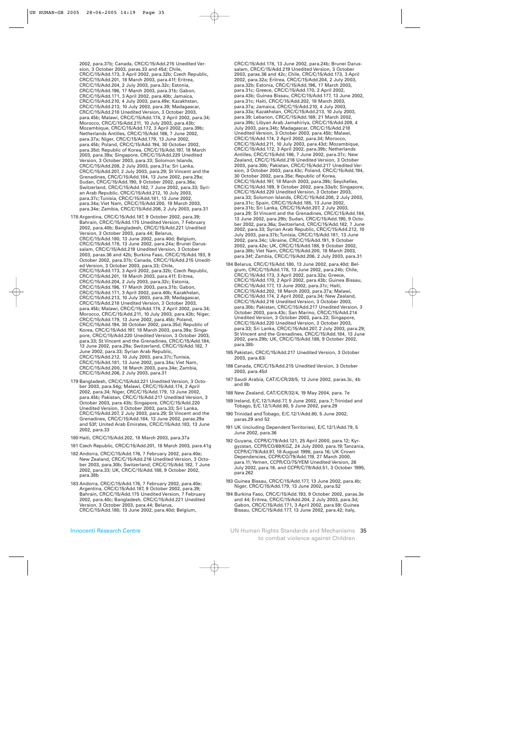2002, para.37b; Canada, CRC/C/15/Add.215 Unedited Version, 3 October 2003, paras.33 and 45d; Chile, CRC/C/15/Add.173, 3 April 2002, para.32b; Czech Republic, CRC/C/15/Add.201, 18 March 2003, para.41f; Eritrea, CRC/C/15/Add.204, 2 July 2003, para.32c; Estonia, CRC/C/15/Add.196, 17 March 2003, para.31b; Gabon, CRC/C/15/Add.171, 3 April 2002, para.40b; Jamaica, CRC/C/15/Add.210, 4 July 2003, para.49e; Kazakhstan, CRC/C/15/Add.213, 10 July 2003, para.39; Madagascar, CRC/C/15/Add.218 Unedited Version, 3 October 2003, para.45b; Malawi, CRC/C/15/Add.174, 2 April 2002, para.34; Morocco, CRC/C/15/Add.211, 10 July 2003, para.43b; Mozambique, CRC/C/15/Add.172, 3 April 2002, para.39b; Netherlands Antilles, CRC/C/15/Add.186, 7 June 2002, para.37a; Niger, CRC/C/15/Add.179, 13 June 2002, para.45b; Poland, CRC/C/15/Add.194, 30 October 2002, para.35d; Republic of Korea, CRC/C/15/Add.197, 18 March 2003, para.39a; Singapore, CRC/C/15/Add.220 Unedited Version, 3 October 2003, para.33; Solomon Islands, CRC/C/15/Add.208, 2 July 2003, para.31a; Sri Lanka, CRC/C/15/Add.207, 2 July 2003, para.29; St Vincent and the Grenadines, CRC/C/15/Add.184, 13 June 2002, para.29a; Sudan, CRC/C/15/Add.190, 9 October 2002, para.36a; Switzerland, CRC/C/15/Add.182, 7 June 2002, para.33; Syrian Arab Republic, CRC/C/15/Add.212, 10 July 2003, para.37c; Tunisia, CRC/C/15/Add.181, 13 June 2002, para.34a; Viet Nam, CRC/C/15/Add.200, 18 March 2003, para.34e; Zambia, CRC/C/15/Add.206, 2 July 2003, para.31

- 178 Argentina, CRC/C/15/Add.187, 9 October 2002, para.39; Bahrain, CRC/C/15/Add.175 Unedited Version, 7 February 2002, para.40b; Bangladesh, CRC/C/15/Add.221 Unedited Version, 3 October 2003, para.44; Belarus, CRC/C/15/Add.180, 13 June 2002, para.40d; Belgium, CRC/C/15/Add.178, 13 June 2002, para.24a; Brunei Darussalam, CRC/C/15/Add.219 Unedited Version, 3 October 2003, paras.36 and 42b; Burkina Faso, CRC/C/15/Add.193, 9 October 2002, para.37b; Canada, CRC/C/15/Add.215 Unedited Version, 3 October 2003, para.33; Chile, CRC/C/15/Add.173, 3 April 2002, para.32b; Czech Republic, CRC/C/15/Add.201, 18 March 2003, para.41f; Eritrea, CRC/C/15/Add.204, 2 July 2003, para.32c; Estonia, CRC/C/15/Add.196, 17 March 2003, para.31b; Gabon, CRC/C/15/Add.171, 3 April 2002, para.40b; Kazakhstan, CRC/C/15/Add.213, 10 July 2003, para.39; Madagascar, CRC/C/15/Add.218 Unedited Version, 3 October 2003, para.45b; Malawi, CRC/C/15/Add.174, 2 April 2002, para.34; Morocco, CRC/C/15/Add.211, 10 July 2003, para.43b; Niger, CRC/C/15/Add.179, 13 June 2002, para.45b; Poland, CRC/C/15/Add.194, 30 October 2002, para.35d; Republic of Korea, CRC/C/15/Add.197, 18 March 2003, para.39a; Singapore, CRC/C/15/Add.220 Unedited Version, 3 October 2003, para.33; St Vincent and the Grenadines, CRC/C/15/Add.184, 13 June 2002, para.29a; Switzerland, CRC/C/15/Add.182, 7 June 2002, para.33; Syrian Arab Republic, CRC/C/15/Add.212, 10 July 2003, para.37c; Tunisia, CRC/C/15/Add.181, 13 June 2002, para.34a; Viet Nam, CRC/C/15/Add.200, 18 March 2003, para.34e; Zambia, CRC/C/15/Add.206, 2 July 2003, para.31
- 179 Bangladesh, CRC/C/15/Add.221 Unedited Version, 3 October 2003, para.54g; Malawi, CRC/C/15/Add.174, 2 April 2002, para.34; Niger, CRC/C/15/Add.179, 13 June 2002, para.45b; Pakistan, CRC/C/15/Add.217 Unedited Version, 3 October 2003, para.43b; Singapore, CRC/C/15/Add.220 Unedited Version, 3 October 2003, para.33; Sri Lanka, CRC/C/15/Add.207, 2 July 2003, para.29; St Vincent and the Grenadines, CRC/C/15/Add.184, 13 June 2002, paras.29a and 53f; United Arab Emirates, CRC/C/15/Add.183, 13 June 2002, para.33
- 180 Haiti, CRC/C/15/Add.202, 18 March 2003, para.37a
- 181 Czech Republic, CRC/C/15/Add.201, 18 March 2003, para.41g
- 182 Andorra, CRC/C/15/Add.176, 7 February 2002, para.40e; New Zealand, CRC/C/15/Add.216 Unedited Version, 3 October 2003, para.30b; Switzerland, CRC/C/15/Add.182, 7 June 2002, para.33; UK, CRC/C/15/Add.188, 9 October 2002, para.38b
- 183 Andorra, CRC/C/15/Add.176, 7 February 2002, para.40e; Argentina, CRC/C/15/Add.187, 9 October 2002, para.39; Bahrain, CRC/C/15/Add.175 Unedited Version, 7 February 2002, para.40c; Bangladesh, CRC/C/15/Add.221 Unedited Version, 3 October 2003, para.44; Belarus, CRC/C/15/Add.180, 13 June 2002, para.40d; Belgium,

Innocenti Research Centre

CRC/C/15/Add.178, 13 June 2002, para.24b; Brunei Darussalam, CRC/C/15/Add.219 Unedited Version, 3 October 2003, paras.36 and 42c; Chile, CRC/C/15/Add.173, 3 April 2002, para.32a; Eritrea, CRC/C/15/Add.204, 2 July 2003, para.32b; Estonia, CRC/C/15/Add.196, 17 March 2003, para.31c; Greece, CRC/C/15/Add.170, 2 April 2002, para.43b; Guinea Bissau, CRC/C/15/Add.177, 13 June 2002, para.31c; Haiti, CRC/C/15/Add.202, 18 March 2003, para.37a; Jamaica, CRC/C/15/Add.210, 4 July 2003, para.33a; Kazakhstan, CRC/C/15/Add.213, 10 July 2003, para.39; Lebanon, CRC/C/15/Add.169, 21 March 2002, para.39b; Libyan Arab Jamahiriya, CRC/C/15/Add.209, 4 July 2003, para.34b; Madagascar, CRC/C/15/Add.218 Unedited Version, 3 October 2003, para.45b; Malawi, CRC/C/15/Add.174, 2 April 2002, para.34; Morocco, CRC/C/15/Add.211, 10 July 2003, para.43d; Mozambique, CRC/C/15/Add.172, 3 April 2002, para.39b; Netherlands Antilles, CRC/C/15/Add.186, 7 June 2002, para.37c; New Zealand, CRC/C/15/Add.216 Unedited Version, 3 October 2003, para.30b; Pakistan, CRC/C/15/Add.217 Unedited Version, 3 October 2003, para.43c; Poland, CRC/C/15/Add.194, 30 October 2002, para.35e; Republic of Korea, CRC/C/15/Add.197, 18 March 2003, para.39b; Seychelles, CRC/C/15/Add.189, 9 October 2002, para.33a/b; Singapore, CRC/C/15/Add.220 Unedited Version, 3 October 2003, para.33; Solomon Islands, CRC/C/15/Add.208, 2 July 2003, para.31c; Spain, CRC/C/15/Add.185, 13 June 2002, para.31b; Sri Lanka, CRC/C/15/Add.207, 2 July 2003, para.29; St Vincent and the Grenadines, CRC/C/15/Add.184, 13 June 2002, para.29b; Sudan, CRC/C/15/Add.190, 9 October 2002, para.36a; Switzerland, CRC/C/15/Add.182, 7 June 2002, para.33; Syrian Arab Republic, CRC/C/15/Add.212, 10 July 2003, para.37b; Tunisia, CRC/C/15/Add.181, 13 June 2002, para.34c; Ukraine, CRC/C/15/Add.191, 9 October 2002, para.42e; UK, CRC/C/15/Add.188, 9 October 2002, para.38b; Viet Nam, CRC/C/15/Add.200, 18 March 2003, para.34f; Zambia, CRC/C/15/Add.206, 2 July 2003, para.31

- 184 Belarus, CRC/C/15/Add.180, 13 June 2002, para.40d; Belgium, CRC/C/15/Add.178, 13 June 2002, para.24b; Chile, CRC/C/15/Add.173, 3 April 2002, para.32a; Greece, CRC/C/15/Add.170, 2 April 2002, para.43b; Guinea Bissau, CRC/C/15/Add.177, 13 June 2002, para.31c; Haiti, CRC/C/15/Add.202, 18 March 2003, para.37a; Malawi, CRC/C/15/Add.174, 2 April 2002, para.34; New Zealand, CRC/C/15/Add.216 Unedited Version, 3 October 2003, para.30b; Pakistan, CRC/C/15/Add.217 Unedited Version, 3 October 2003, para.43c; San Marino, CRC/C/15/Add.214 Unedited Version, 3 October 2003, para.22; Singapore, CRC/C/15/Add.220 Unedited Version, 3 October 2003, para.33; Sri Lanka, CRC/C/15/Add.207, 2 July 2003, para.29; St Vincent and the Grenadines, CRC/C/15/Add.184, 13 June 2002, para.29b; UK, CRC/C/15/Add.188, 9 October 2002, para.38b
- 185 Pakistan, CRC/C/15/Add.217 Unedited Version, 3 October 2003, para.63i
- 186 Canada, CRC/C/15/Add.215 Unedited Version, 3 October 2003, para.45d
- 187 Saudi Arabia, CAT/C/CR/28/5, 12 June 2002, paras.3c, 4b and 8b
- 188 New Zealand, CAT/C/CR/32/4, 19 May 2004, para. 7e
- 189 Ireland, E/C.12/1/Add.77, 5 June 2002, para.7; Trinidad and Tobago, E/C.12/1/Add.80, 5 June 2002, para.29
- 190 Trinidad and Tobago, E/C.12/1/Add.80, 5 June 2002, paras.29 and 52
- 191 UK (including Dependent Territories), E/C.12/1/Add.79, 5 June 2002, para.36
- 192 Guyana, CCPR/C/79/Add.121, 25 April 2000, para.12; Kyrgyzstan, CCPR/CO/69/KGZ, 24 July 2000, para.19; Tanzania, CCPR/C/79/Add.97, 18 August 1998, para.16; UK Crown Dependencies, CCPR/CO/79/Add.119, 27 March 2000, para.11; Yemen, CCPR/CO/75/YEM Unedited Version, 26 July 2002, para.16. and CCPR/C/79/Add.51, 3 October 1995, para.262
- 193 Guinea Bissau, CRC/C/15/Add.177, 13 June 2002, para.4b; Niger, CRC/C/15/Add.179, 13 June 2002, para.52
- 194 Burkina Faso, CRC/C/15/Add.193, 9 October 2002, paras.3e and 44; Eritrea, CRC/C/15/Add.204, 2 July 2003, para.3d; Gabon, CRC/C/15/Add.171, 3 April 2002, para.59; Guinea Bissau, CRC/C/15/Add.177, 13 June 2002, para.42; Italy,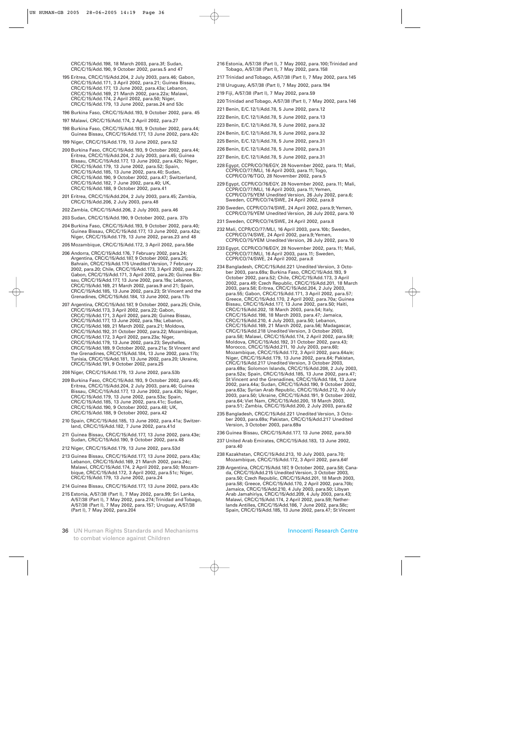CRC/C/15/Add.198, 18 March 2003, para.3f; Sudan, CRC/C/15/Add.190, 9 October 2002, paras.5 and 47

- 195 Eritrea, CRC/C/15/Add.204, 2 July 2003, para.46; Gabon, CRC/C/15/Add.171, 3 April 2002, para.21; Guinea Bissau, CRC/C/15/Add.177, 13 June 2002, para.43a; Lebanon, CRC/C/15/Add.169, 21 March 2002, para.22a; Malawi, CRC/C/15/Add.174, 2 April 2002, para.50; Niger, CRC/C/15/Add.179, 13 June 2002, paras.24 and 53c
- 196 Burkina Faso, CRC/C/15/Add.193, 9 October 2002, para. 45
- 197 Malawi, CRC/C/15/Add.174, 2 April 2002, para.27
- 198 Burkina Faso, CRC/C/15/Add.193, 9 October 2002, para.44; Guinea Bissau, CRC/C/15/Add.177, 13 June 2002, para.42c
- 199 Niger, CRC/C/15/Add.179, 13 June 2002, para.52
- 200 Burkina Faso, CRC/C/15/Add.193, 9 October 2002, para.44; Eritrea, CRC/C/15/Add.204, 2 July 2003, para.45; Guinea Bissau, CRC/C/15/Add.177, 13 June 2002, para.42b; Niger, CRC/C/15/Add.179, 13 June 2002, para.52; Spain, CRC/C/15/Add.185, 13 June 2002, para.40; Sudan, CRC/C/15/Add.190, 9 October 2002, para.47; Switzerland, CRC/C/15/Add.182, 7 June 2002, para.40; UK, CRC/C/15/Add.188, 9 October 2002, para.41
- 201 Eritrea, CRC/C/15/Add.204, 2 July 2003, para.45; Zambia, CRC/C/15/Add.206, 2 July 2003, para.48
- 202 Zambia, CRC/C/15/Add.206, 2 July 2003, para.46
- 203 Sudan, CRC/C/15/Add.190, 9 October 2002, para. 37b
- 204 Burkina Faso, CRC/C/15/Add.193, 9 October 2002, para.40; Guinea Bissau, CRC/C/15/Add.177, 13 June 2002, para.42a; Niger, CRC/C/15/Add.179, 13 June 2002, paras.23 and 48
- 205 Mozambique, CRC/C/15/Add.172, 3 April 2002, para.56e
- 206 Andorra, CRC/C/15/Add.176, 7 February 2002, para.24; Argentina, CRC/C/15/Add.187, 9 October 2002, para.25; Bahrain, CRC/C/15/Add.175 Unedited Version, 7 February 2002, para.20; Chile, CRC/C/15/Add.173, 3 April 2002, para.22; Gabon, CRC/C/15/Add.171, 3 April 2002, para.20; Guinea Bissau, CRC/C/15/Add.177, 13 June 2002, para.19a; Lebanon, CRC/C/15/Add.169, 21 March 2002, paras.9 and 21; Spain, CRC/C/15/Add.185, 13 June 2002, para.23; St Vincent and the Grenadines, CRC/C/15/Add.184, 13 June 2002, para.17b
- 207 Argentina, CRC/C/15/Add.187, 9 October 2002, para.25; Chile, CRC/C/15/Add.173, 3 April 2002, para.22; Gabon, CRC/C/15/Add.171, 3 April 2002, para.20; Guinea Bissau, CRC/C/15/Add.177, 13 June 2002, para.19a; Lebanon, CRC/C/15/Add.169, 21 March 2002, para.21; Moldova, CRC/C/15/Add.192, 31 October 2002, para.22; Mozambique, CRC/C/15/Add.172, 3 April 2002, para.23a; Niger, CRC/C/15/Add.179, 13 June 2002, para.23; Seychelles, CRC/C/15/Add.189, 9 October 2002, para.21a; St Vincent and the Grenadines, CRC/C/15/Add.184, 13 June 2002, para.17b; Tunisia, CRC/C/15/Add.181, 13 June 2002, para.20; Ukraine, CRC/C/15/Add.191, 9 October 2002, para.25
- 208 Niger, CRC/C/15/Add.179, 13 June 2002, para.53b
- 209 Burkina Faso, CRC/C/15/Add.193, 9 October 2002, para.45; Eritrea, CRC/C/15/Add.204, 2 July 2003, para.46; Guinea Bissau, CRC/C/15/Add.177, 13 June 2002, para.43b; Niger, CRC/C/15/Add.179, 13 June 2002, para.53a; Spain, CRC/C/15/Add.185, 13 June 2002, para.41c; Sudan, CRC/C/15/Add.190, 9 October 2002, para.48; UK, CRC/C/15/Add.188, 9 October 2002, para.42
- 210 Spain, CRC/C/15/Add.185, 13 June 2002, para.41a; Switzerland, CRC/C/15/Add.182, 7 June 2002, para.41d
- 211 Guinea Bissau, CRC/C/15/Add.177, 13 June 2002, para.43e; Sudan, CRC/C/15/Add.190, 9 October 2002, para.48
- 212 Niger, CRC/C/15/Add.179, 13 June 2002, para.53d
- 213 Guinea Bissau, CRC/C/15/Add.177, 13 June 2002, para.43a; Lebanon, CRC/C/15/Add.169, 21 March 2002, para.24c; Malawi, CRC/C/15/Add.174, 2 April 2002, para.50; Mozambique, CRC/C/15/Add.172, 3 April 2002, para.51c; Niger, CRC/C/15/Add.179, 13 June 2002, para.24
- 214 Guinea Bissau, CRC/C/15/Add.177, 13 June 2002, para.43c
- 215 Estonia, A/57/38 (Part I), 7 May 2002, para.99; Sri Lanka, A/57/38 (Part I), 7 May 2002, para.274; Trinidad and Tobago, A/57/38 (Part I), 7 May 2002, para.157; Uruguay, A/57/38 (Part I), 7 May 2002, para.204
- 36 UN Human Rights Standards and Mechanisms to combat violence against Children
- 216 Estonia, A/57/38 (Part I), 7 May 2002, para.100; Trinidad and Tobago, A/57/38 (Part I), 7 May 2002, para.158
- 217 Trinidad and Tobago, A/57/38 (Part I), 7 May 2002, para.145
- 218 Uruguay, A/57/38 (Part I), 7 May 2002, para.194
- 219 Fiji, A/57/38 (Part I), 7 May 2002, para.59
- 220 Trinidad and Tobago, A/57/38 (Part I), 7 May 2002, para.146
- 221 Benin, E/C.12/1/Add.78, 5 June 2002, para.12
- 222 Benin, E/C.12/1/Add.78, 5 June 2002, para.13
- 223 Benin, E/C.12/1/Add.78, 5 June 2002, para.32
- 224 Benin, E/C.12/1/Add.78, 5 June 2002, para.32
- 225 Benin, E/C.12/1/Add.78, 5 June 2002, para.31
- 226 Benin, E/C.12/1/Add.78, 5 June 2002, para.31
- 227 Benin, E/C.12/1/Add.78, 5 June 2002, para.31
- 228 Egypt, CCPR/CO/76/EGY, 28 November 2002, para.11; Mali, CCPR/CO/77/MLI, 16 April 2003, para.11; Togo, CCPR/CO/76/TGO, 28 November 2002, para.5
- 229 Egypt, CCPR/CO/76/EGY, 28 November 2002, para.11; Mali, CCPR/CO/77/MLI, 16 April 2003, para.11; Yemen, CCPR/CO/75/YEM Unedited Version, 26 July 2002, para.6; Sweden, CCPR/CO/74/SWE, 24 April 2002, para.8
- 230 Sweden, CCPR/CO/74/SWE, 24 April 2002, para.9; Yemen, CCPR/CO/75/YEM Unedited Version, 26 July 2002, para.10
- 231 Sweden, CCPR/CO/74/SWE, 24 April 2002, para.8
- 232 Mali, CCPR/CO/77/MLI, 16 April 2003, para.10b; Sweden, CCPR/CO/74/SWE, 24 April 2002, para.9; Yemen, CCPR/CO/75/YEM Unedited Version, 26 July 2002, para.10
- 233 Egypt, CCPR/CO/76/EGY, 28 November 2002, para.11; Mali, CCPR/CO/77/MLI, 16 April 2003, para.11; Sweden, CCPR/CO/74/SWE, 24 April 2002, para.8
- 234 Bangladesh, CRC/C/15/Add.221 Unedited Version, 3 October 2003, para.69a; Burkina Faso, CRC/C/15/Add.193, 9 October 2002, para.52; Chile, CRC/C/15/Add.173, 3 April 2002, para.49; Czech Republic, CRC/C/15/Add.201, 18 March 2003, para.58; Eritrea, CRC/C/15/Add.204, 2 July 2003, para.55; Gabon, CRC/C/15/Add.171, 3 April 2002, para.57; Greece, CRC/C/15/Add.170, 2 April 2002, para.70a; Guinea Bissau, CRC/C/15/Add.177, 13 June 2002, para.50; Haiti, CRC/C/15/Add.202, 18 March 2003, para.54; Italy, CRC/C/15/Add.198, 18 March 2003, para.47; Jamaica, CRC/C/15/Add.210, 4 July 2003, para.50; Lebanon, CRC/C/15/Add.169, 21 March 2002, para.56; Madagascar, CRC/C/15/Add.218 Unedited Version, 3 October 2003, para.58; Malawi, CRC/C/15/Add.174, 2 April 2002, para.59; Moldova, CRC/C/15/Add.192, 31 October 2002, para.43; Morocco, CRC/C/15/Add.211, 10 July 2003, para.60; Mozambique, CRC/C/15/Add.172, 3 April 2002, para.64a/e; Niger, CRC/C/15/Add.179, 13 June 2002, para.64; Pakistan, CRC/C/15/Add.217 Unedited Version, 3 October 2003, para.69a; Solomon Islands, CRC/C/15/Add.208, 2 July 2003, para.52a; Spain, CRC/C/15/Add.185, 13 June 2002, para.47; St Vincent and the Grenadines, CRC/C/15/Add.184, 13 June 2002, para.44a; Sudan, CRC/C/15/Add.190, 9 October 2002, para.63a; Syrian Arab Republic, CRC/C/15/Add.212, 10 July 2003, para.50; Ukraine, CRC/C/15/Add.191, 9 October 2002, para.64; Viet Nam, CRC/C/15/Add.200, 18 March 2003, para.51; Zambia, CRC/C/15/Add.200, 2 July 2003, para.62
- 235 Bangladesh, CRC/C/15/Add.221 Unedited Version, 3 October 2003, para.69a; Pakistan, CRC/C/15/Add.217 Unedited Version, 3 October 2003, para.69a
- 236 Guinea Bissau, CRC/C/15/Add.177, 13 June 2002, para.50
- 237 United Arab Emirates, CRC/C/15/Add.183, 13 June 2002, para.40
- 238 Kazakhstan, CRC/C/15/Add.213, 10 July 2003, para.70; Mozambique, CRC/C/15/Add.172, 3 April 2002, para.64f
- 239 Argentina, CRC/C/15/Add.187, 9 October 2002, para.58; Canada, CRC/C/15/Add.215 Unedited Version, 3 October 2003, para.50; Czech Republic, CRC/C/15/Add.201, 18 March 2003, para.58; Greece, CRC/C/15/Add.170, 2 April 2002, para.70b; Jamaica, CRC/C/15/Add.210, 4 July 2003, para.50; Libyan Arab Jamahiriya, CRC/C/15/Add.209, 4 July 2003, para.43; Malawi, CRC/C/15/Add.174, 2 April 2002, para.59; Netherlands Antilles, CRC/C/15/Add.186, 7 June 2002, para.58c; Spain, CRC/C/15/Add.185, 13 June 2002, para.47; St Vincent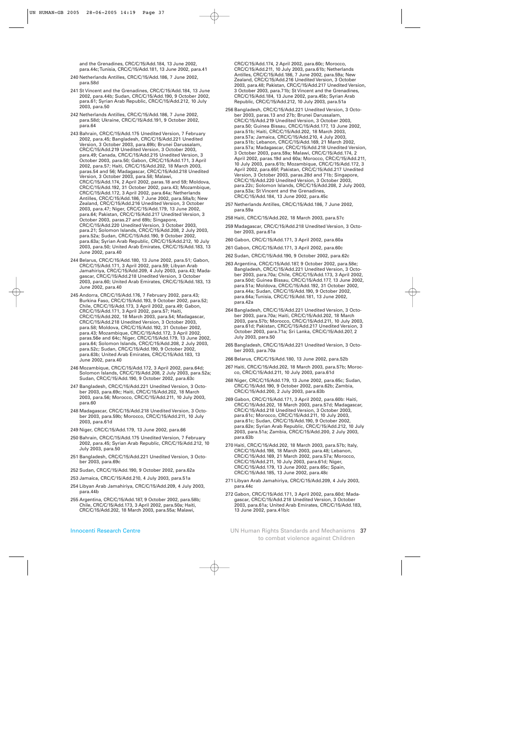and the Grenadines, CRC/C/15/Add.184, 13 June 2002, para.44c; Tunisia, CRC/C/15/Add.181, 13 June 2002, para.41

- 240 Netherlands Antilles, CRC/C/15/Add.186, 7 June 2002, para.58d
- 241 St Vincent and the Grenadines, CRC/C/15/Add.184, 13 June 2002, para.44b; Sudan, CRC/C/15/Add.190, 9 October 2002, para.61; Syrian Arab Republic, CRC/C/15/Add.212, 10 July 2003, para.50
- 242 Netherlands Antilles, CRC/C/15/Add.186, 7 June 2002, para.58d; Ukraine, CRC/C/15/Add.191, 9 October 2002, para.64
- 243 Bahrain, CRC/C/15/Add.175 Unedited Version, 7 February 2002, para.45; Bangladesh, CRC/C/15/Add.221 Unedited Version, 3 October 2003, para.69b; Brunei Darussalam, CRC/C/15/Add.219 Unedited Version, 3 October 2003, para.49; Canada, CRC/C/15/Add.215 Unedited Version, 3 October 2003, para.50; Gabon, CRC/C/15/Add.171, 3 April 2002, para.57; Haiti, CRC/C/15/Add.202, 18 March 2003, paras.54 and 56; Madagascar, CRC/C/15/Add.218 Unedited Version, 3 October 2003, para.58; Malawi, CRC/C/15/Add.174, 2 April 2002, paras.18 and 59; Moldova, CRC/C/15/Add.192, 31 October 2002, para.43; Mozambique, CRC/C/15/Add.172, 3 April 2002, para.64a; Netherlands Antilles, CRC/C/15/Add.186, 7 June 2002, para.58a/b; New Zealand, CRC/C/15/Add.216 Unedited Version, 3 October 2003, para.47; Niger, CRC/C/15/Add.179, 13 June 2002, para.64; Pakistan, CRC/C/15/Add.217 Unedited Version, 3 October 2003, paras.27 and 69b; Singapore, CRC/C/15/Add.220 Unedited Version, 3 October 2003, para.21; Solomon Islands, CRC/C/15/Add.208, 2 July 2003, para.52a; Sudan, CRC/C/15/Add.190, 9 October 2002, para.63a; Syrian Arab Republic, CRC/C/15/Add.212, 10 July 2003, para.50; United Arab Emirates, CRC/C/15/Add.183, 13 June 2002, para.40
- 244 Belarus, CRC/C/15/Add.180, 13 June 2002, para.51; Gabon, CRC/C/15/Add.171, 3 April 2002, para.59; Libyan Arab Jamahiriya, CRC/C/15/Add.209, 4 July 2003, para.43; Madagascar, CRC/C/15/Add.218 Unedited Version, 3 October 2003, para.60; United Arab Emirates, CRC/C/15/Add.183, 13 June 2002, para.40
- 245 Andorra, CRC/C/15/Add.176, 7 February 2002, para.43; Burkina Faso, CRC/C/15/Add.193, 9 October 2002, para.52; Chile, CRC/C/15/Add.173, 3 April 2002, para.49; Gabon, CRC/C/15/Add.171, 3 April 2002, para.57; Haiti, CRC/C/15/Add.202, 18 March 2003, para.54; Madagascar, CRC/C/15/Add.218 Unedited Version, 3 October 2003, para.58; Moldova, CRC/C/15/Add.192, 31 October 2002, para.43; Mozambique, CRC/C/15/Add.172, 3 April 2002, paras.56e and 64c; Niger, CRC/C/15/Add.179, 13 June 2002, para.64; Solomon Islands, CRC/C/15/Add.208, 2 July 2003, para.52c; Sudan, CRC/C/15/Add.190, 9 October 2002, para.63b; United Arab Emirates, CRC/C/15/Add.183, 13 June 2002, para.40
- 246 Mozambique, CRC/C/15/Add.172, 3 April 2002, para.64d; Solomon Islands, CRC/C/15/Add.208, 2 July 2003, para.52a; Sudan, CRC/C/15/Add.190, 9 October 2002, para.63c
- 247 Bangladesh, CRC/C/15/Add.221 Unedited Version, 3 October 2003, para.69c; Haiti, CRC/C/15/Add.202, 18 March 2003, para.56; Morocco, CRC/C/15/Add.211, 10 July 2003, para.60
- 248 Madagascar, CRC/C/15/Add.218 Unedited Version, 3 October 2003, para.59b; Morocco, CRC/C/15/Add.211, 10 July 2003, para.61d
- 249 Niger, CRC/C/15/Add.179, 13 June 2002, para.66
- 250 Bahrain, CRC/C/15/Add.175 Unedited Version, 7 February 2002, para.45; Syrian Arab Republic, CRC/C/15/Add.212, 10 July 2003, para.50
- 251 Bangladesh, CRC/C/15/Add.221 Unedited Version, 3 October 2003, para.69c
- 252 Sudan, CRC/C/15/Add.190, 9 October 2002, para.62a
- 253 Jamaica, CRC/C/15/Add.210, 4 July 2003, para.51a
- 254 Libyan Arab Jamahiriya, CRC/C/15/Add.209, 4 July 2003, para.44b
- 255 Argentina, CRC/C/15/Add.187, 9 October 2002, para.58b; Chile, CRC/C/15/Add.173, 3 April 2002, para.50a; Haiti, CRC/C/15/Add.202, 18 March 2003, para.55a; Malawi,

CRC/C/15/Add.174, 2 April 2002, para.60c; Morocco, CRC/C/15/Add.211, 10 July 2003, para.61b; Netherlands Antilles, CRC/C/15/Add.186, 7 June 2002, para.59a; New Zealand, CRC/C/15/Add.216 Unedited Version, 3 October 2003, para.48; Pakistan, CRC/C/15/Add.217 Unedited Version, 3 October 2003, para.71b; St Vincent and the Grenadines, CRC/C/15/Add.184, 13 June 2002, para.45b; Syrian Arab Republic, CRC/C/15/Add.212, 10 July 2003, para.51a

- 256 Bangladesh, CRC/C/15/Add.221 Unedited Version, 3 October 2003, paras.13 and 27b; Brunei Darussalam, CRC/C/15/Add.219 Unedited Version, 3 October 2003, para.50; Guinea Bissau, CRC/C/15/Add.177, 13 June 2002, para.51b; Haiti, CRC/C/15/Add.202, 18 March 2003, para.57a; Jamaica, CRC/C/15/Add.210, 4 July 2003, para.51b; Lebanon, CRC/C/15/Add.169, 21 March 2002, para.57a; Madagascar, CRC/C/15/Add.218 Unedited Version, 3 October 2003, para.59a; Malawi, CRC/C/15/Add.174, 2 April 2002, paras.19d and 60a; Morocco, CRC/C/15/Add.211, 10 July 2003, para.61b; Mozambique, CRC/C/15/Add.172, 3 April 2002, para.65f; Pakistan, CRC/C/15/Add.217 Unedited Version, 3 October 2003, paras.28d and 71b; Singapore, CRC/C/15/Add.220 Unedited Version, 3 October 2003, para.22c; Solomon Islands, CRC/C/15/Add.208, 2 July 2003, para.53a; St Vincent and the Grenadines, CRC/C/15/Add.184, 13 June 2002, para.45c
- 257 Netherlands Antilles, CRC/C/15/Add.186, 7 June 2002, para.59a
- 258 Haiti, CRC/C/15/Add.202, 18 March 2003, para.57c
- 259 Madagascar, CRC/C/15/Add.218 Unedited Version, 3 October 2003, para.61a
- 260 Gabon, CRC/C/15/Add.171, 3 April 2002, para.60a
- 261 Gabon, CRC/C/15/Add.171, 3 April 2002, para.60c
- 262 Sudan, CRC/C/15/Add.190, 9 October 2002, para.62c
- 263 Argentina, CRC/C/15/Add.187, 9 October 2002, para.58e; Bangladesh, CRC/C/15/Add.221 Unedited Version, 3 October 2003, para.70a; Chile, CRC/C/15/Add.173, 3 April 2002, para.50d; Guinea Bissau, CRC/C/15/Add.177, 13 June 2002, para.51a; Moldova, CRC/C/15/Add.192, 31 October 2002, para.44a; Sudan, CRC/C/15/Add.190, 9 October 2002, para.64a; Tunisia, CRC/C/15/Add.181, 13 June 2002, para.42a
- 264 Bangladesh, CRC/C/15/Add.221 Unedited Version, 3 October 2003, para.70a; Haiti, CRC/C/15/Add.202, 18 March 2003, para.57b; Morocco, CRC/C/15/Add.211, 10 July 2003, para.61d; Pakistan, CRC/C/15/Add.217 Unedited Version, 3 October 2003, para.71a; Sri Lanka, CRC/C/15/Add.207, 2 July 2003, para.50
- 265 Bangladesh, CRC/C/15/Add.221 Unedited Version, 3 October 2003, para.70a
- 266 Belarus, CRC/C/15/Add.180, 13 June 2002, para.52b
- 267 Haiti, CRC/C/15/Add.202, 18 March 2003, para.57b; Morocco, CRC/C/15/Add.211, 10 July 2003, para.61d
- 268 Niger, CRC/C/15/Add.179, 13 June 2002, para.65c; Sudan, CRC/C/15/Add.190, 9 October 2002, para.62b; Zambia, CRC/C/15/Add.200, 2 July 2003, para.63b
- 269 Gabon, CRC/C/15/Add.171, 3 April 2002, para.60b: Haiti, CRC/C/15/Add.202, 18 March 2003, para.57d; Madagascar, CRC/C/15/Add.218 Unedited Version, 3 October 2003, para.61c; Morocco, CRC/C/15/Add.211, 10 July 2003, para.61c; Sudan, CRC/C/15/Add.190, 9 October 2002, para.62e; Syrian Arab Republic, CRC/C/15/Add.212, 10 July 2003, para.51a; Zambia, CRC/C/15/Add.200, 2 July 2003, para.63b
- 270 Haiti, CRC/C/15/Add.202, 18 March 2003, para.57b; Italy, CRC/C/15/Add.198, 18 March 2003, para.48; Lebanon, CRC/C/15/Add.169, 21 March 2002, para.57a; Morocco, CRC/C/15/Add.211, 10 July 2003, para.61d; Niger, CRC/C/15/Add.179, 13 June 2002, para.65c; Spain, CRC/C/15/Add.185, 13 June 2002, para.48c
- 271 Libyan Arab Jamahiriya, CRC/C/15/Add.209, 4 July 2003, para.44c
- 272 Gabon, CRC/C/15/Add.171, 3 April 2002, para.60d; Madagascar, CRC/C/15/Add.218 Unedited Version, 3 October 2003, para.61a; United Arab Emirates, CRC/C/15/Add.183, 13 June 2002, para.41b/c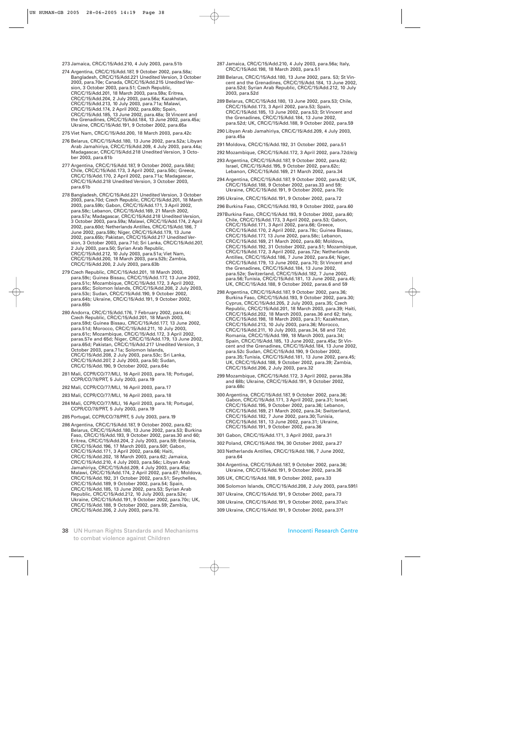#### 273 Jamaica, CRC/C/15/Add.210, 4 July 2003, para.51b

- 274 Argentina, CRC/C/15/Add.187, 9 October 2002, para.58a; Bangladesh, CRC/C/15/Add.221 Unedited Version, 3 October 2003, para.70e; Canada, CRC/C/15/Add.215 Unedited Version, 3 October 2003, para.51; Czech Republic, CRC/C/15/Add.201, 18 March 2003, para.59a; Eritrea, CRC/C/15/Add.204, 2 July 2003, para.56a; Kazakhstan, CRC/C/15/Add.213, 10 July 2003, para.71a; Malawi, CRC/C/15/Add.174, 2 April 2002, para.60b; Spain, CRC/C/15/Add.185, 13 June 2002, para.48a; St Vincent and the Grenadines, CRC/C/15/Add.184, 13 June 2002, para.45a; Ukraine, CRC/C/15/Add.191, 9 October 2002, para.65a
- 275 Viet Nam, CRC/C/15/Add.200, 18 March 2003, para.42c
- 276 Belarus, CRC/C/15/Add.180, 13 June 2002, para.52a; Libyan Arab Jamahiriya, CRC/C/15/Add.209, 4 July 2003, para.44a; Madagascar, CRC/C/15/Add.218 Unedited Version, 3 October 2003, para.61b
- 277 Argentina, CRC/C/15/Add.187, 9 October 2002, para.58d; Chile, CRC/C/15/Add.173, 3 April 2002, para.50c; Greece, CRC/C/15/Add.170, 2 April 2002, para.71a; Madagascar, CRC/C/15/Add.218 Unedited Version, 3 October 2003, para.61b
- 278 Bangladesh, CRC/C/15/Add.221 Unedited Version, 3 October 2003, para.70d; Czech Republic, CRC/C/15/Add.201, 18 March 2003, para.59b; Gabon, CRC/C/15/Add.171, 3 April 2002, para.58c; Lebanon, CRC/C/15/Add.169, 21 March 2002, para.57a; Madagascar, CRC/C/15/Add.218 Unedited Version, 3 October 2003, para.59a; Malawi, CRC/C/15/Add.174, 2 April 2002, para.60d; Netherlands Antilles, CRC/C/15/Add.186, 7 June 2002, para.59b; Niger, CRC/C/15/Add.179, 13 June 2002, para.65b; Pakistan, CRC/C/15/Add.217 Unedited Version, 3 October 2003, para.71d; Sri Lanka, CRC/C/15/Add.207, 2 July 2003, para.50; Syrian Arab Republic, CRC/C/15/Add.212, 10 July 2003, para.51a; Viet Nam, CRC/C/15/Add.200, 18 March 2003, para.52b; Zambia, CRC/C/15/Add.200, 2 July 2003, para.63b
- 279 Czech Republic, CRC/C/15/Add.201, 18 March 2003, para.59c; Guinea Bissau, CRC/C/15/Add.177, 13 June 2002, para.51c; Mozambique, CRC/C/15/Add.172, 3 April 2002, para.65c; Solomon Islands, CRC/C/15/Add.208, 2 July 2003, para.53c; Sudan, CRC/C/15/Add.190, 9 October 2002, para.64b; Ukraine, CRC/C/15/Add.191, 9 October 2002, para.65b
- 280 Andorra, CRC/C/15/Add.176, 7 February 2002, para.44; Czech Republic, CRC/C/15/Add.201, 18 March 2003, para.59d; Guinea Bissau, CRC/C/15/Add.177, 13 June 2002, para.51d; Morocco, CRC/C/15/Add.211, 10 July 2003, para.61c; Mozambique, CRC/C/15/Add.172, 3 April 2002, paras.57e and 65d; Niger, CRC/C/15/Add.179, 13 June 2002, para.65d; Pakistan, CRC/C/15/Add.217 Unedited Version, 3 October 2003, para.71a; Solomon Islands, CRC/C/15/Add.208, 2 July 2003, para.53c; Sri Lanka, CRC/C/15/Add.207, 2 July 2003, para.50; Sudan, CRC/C/15/Add.190, 9 October 2002, para.64c
- 281 Mali, CCPR/CO/77/MLI, 16 April 2003, para.18; Portugal, CCPR/CO/78/PRT, 5 July 2003, para.19
- 282 Mali, CCPR/CO/77/MLI, 16 April 2003, para.17
- 283 Mali, CCPR/CO/77/MLI, 16 April 2003, para.18
- 284 Mali, CCPR/CO/77/MLI, 16 April 2003, para.18; Portugal, CCPR/CO/78/PRT, 5 July 2003, para.19
- 285 Portugal, CCPR/CO/78/PRT, 5 July 2003, para.19
- 286 Argentina, CRC/C/15/Add.187, 9 October 2002, para.62; Belarus, CRC/C/15/Add.180, 13 June 2002, para.53; Burkina Faso, CRC/C/15/Add.193, 9 October 2002, paras.30 and 60; Eritrea, CRC/C/15/Add.204, 2 July 2003, para.59; Estonia, CRC/C/15/Add.196, 17 March 2003, para.50f; Gabon, CRC/C/15/Add.171, 3 April 2002, para.66; Haiti, CRC/C/15/Add.202, 18 March 2003, para.62; Jamaica, CRC/C/15/Add.210, 4 July 2003, para.56c; Libyan Arab Jamahiriya, CRC/C/15/Add.209, 4 July 2003, para.45a; Malawi, CRC/C/15/Add.174, 2 April 2002, para.67; Moldova, CRC/C/15/Add.192, 31 October 2002, para.51; Seychelles, CRC/C/15/Add.189, 9 October 2002, para.54; Spain, CRC/C/15/Add.185, 13 June 2002, para.53; Syrian Arab Republic, CRC/C/15/Add.212, 10 July 2003, para.52e; Ukraine, CRC/C/15/Add.191, 9 October 2002, para.70c; UK, CRC/C/15/Add.188, 9 October 2002, para.59; Zambia, CRC/C/15/Add.206, 2 July 2003, para.70.
- 287 Jamaica, CRC/C/15/Add.210, 4 July 2003, para.56a; Italy, CRC/C/15/Add.198, 18 March 2003, para.51
- 288 Belarus, CRC/C/15/Add.180, 13 June 2002, para. 53; St Vincent and the Grenadines, CRC/C/15/Add.184, 13 June 2002, para.52d; Syrian Arab Republic, CRC/C/15/Add.212, 10 July 2003, para.52d
- 289 Belarus, CRC/C/15/Add.180, 13 June 2002, para.53; Chile, CRC/C/15/Add.173, 3 April 2002, para.53; Spain, CRC/C/15/Add.185, 13 June 2002, para.53; St Vincent and the Grenadines, CRC/C/15/Add.184, 13 June 2002, para.52d; UK, CRC/C/15/Add.188, 9 October 2002, para.59
- 290 Libyan Arab Jamahiriya, CRC/C/15/Add.209, 4 July 2003, para.45a
- 291 Moldova, CRC/C/15/Add.192, 31 October 2002, para.51
- 292 Mozambique, CRC/C/15/Add.172, 3 April 2002, para.72d/e/g
- 293 Argentina, CRC/C/15/Add.187, 9 October 2002, para.62; Israel, CRC/C/15/Add.195, 9 October 2002, para.62c; Lebanon, CRC/C/15/Add.169, 21 March 2002, para.34
- 294 Argentina, CRC/C/15/Add.187, 9 October 2002, para.62; UK, CRC/C/15/Add.188, 9 October 2002, paras.33 and 59; Ukraine, CRC/C/15/Add.191, 9 October 2002, para.70c
- 295 Ukraine, CRC/C/15/Add.191, 9 October 2002, para.72
- 296 Burkina Faso, CRC/C/15/Add.193, 9 October 2002, para.60
- 297Burkina Faso, CRC/C/15/Add.193, 9 October 2002, para.60; Chile, CRC/C/15/Add.173, 3 April 2002, para.53; Gabon, CRC/C/15/Add.171, 3 April 2002, para.66; Greece, CRC/C/15/Add.170, 2 April 2002, para.78c; Guinea Bissau, CRC/C/15/Add.177, 13 June 2002, para.58c; Lebanon, CRC/C/15/Add.169, 21 March 2002, para.60; Moldova, CRC/C/15/Add.192, 31 October 2002, para.51; Mozambique, CRC/C/15/Add.172, 3 April 2002, paras.72e; Netherlands Antilles, CRC/C/15/Add.186, 7 June 2002, para.64; Niger, CRC/C/15/Add.179, 13 June 2002, para.70; St Vincent and the Grenadines, CRC/C/15/Add.184, 13 June 2002, para.52e; Switzerland, CRC/C/15/Add.182, 7 June 2002, para.56; Tunisia, CRC/C/15/Add.181, 13 June 2002, para.45; UK, CRC/C/15/Add.188, 9 October 2002, paras.6 and 59
- 298 Argentina, CRC/C/15/Add.187, 9 October 2002, para.36; Burkina Faso, CRC/C/15/Add.193, 9 October 2002, para.30; Cyprus, CRC/C/15/Add.205, 2 July 2003, para.35; Czech Republic, CRC/C/15/Add.201, 18 March 2003, para.39; Haiti, CRC/C/15/Add.202, 18 March 2003, paras.36 and 62; Italy, CRC/C/15/Add.198, 18 March 2003, para.31; Kazakhstan, CRC/C/15/Add.213, 10 July 2003, para.36; Morocco, CRC/C/15/Add.211, 10 July 2003, paras.34, 58 and 72d; Romania, CRC/C/15/Add.199, 18 March 2003, para.34; Spain, CRC/C/15/Add.185, 13 June 2002, para.45a; St Vincent and the Grenadines, CRC/C/15/Add.184, 13 June 2002, para.52c Sudan, CRC/C/15/Add.190, 9 October 2002, para.35; Tunisia, CRC/C/15/Add.181, 13 June 2002, para.45; UK, CRC/C/15/Add.188, 9 October 2002, para.39; Zambia, CRC/C/15/Add.206, 2 July 2003, para.32
- 299 Mozambique, CRC/C/15/Add.172, 3 April 2002, paras.38a and 68b; Ukraine, CRC/C/15/Add.191, 9 October 2002, para.68c
- 300 Argentina, CRC/C/15/Add.187, 9 October 2002, para.36; Gabon, CRC/C/15/Add.171, 3 April 2002, para.31; Israel, CRC/C/15/Add.195, 9 October 2002, para.36; Lebanon, CRC/C/15/Add.169, 21 March 2002, para.34; Switzerland, CRC/C/15/Add.182, 7 June 2002, para.30; Tunisia, CRC/C/15/Add.181, 13 June 2002, para.31; Ukraine, CRC/C/15/Add.191, 9 October 2002, para.36
- 301 Gabon, CRC/C/15/Add.171, 3 April 2002, para.31
- 302 Poland, CRC/C/15/Add.194, 30 October 2002, para.27
- 303 Netherlands Antilles, CRC/C/15/Add.186, 7 June 2002, para.64
- 304 Argentina, CRC/C/15/Add.187, 9 October 2002, para.36; Ukraine, CRC/C/15/Add.191, 9 October 2002, para.36
- 305 UK, CRC/C/15/Add.188, 9 October 2002, para.33
- 306 Solomon Islands, CRC/C/15/Add.208, 2 July 2003, para.59f/i
- 307 Ukraine, CRC/C/15/Add.191, 9 October 2002, para.73
- 308 Ukraine, CRC/C/15/Add.191, 9 October 2002, para.37a/c
- 309 Ukraine, CRC/C/15/Add.191, 9 October 2002, para.37f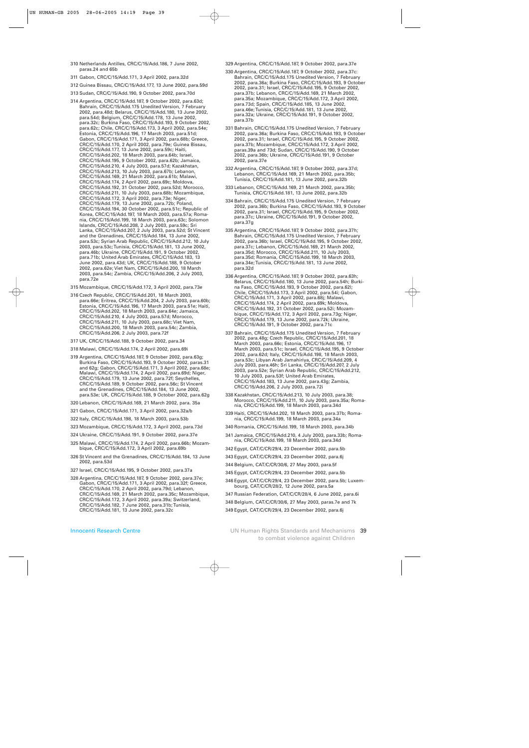- 310 Netherlands Antilles, CRC/C/15/Add.186, 7 June 2002, paras.24 and 65b
- 311 Gabon, CRC/C/15/Add.171, 3 April 2002, para.32d
- 312 Guinea Bissau, CRC/C/15/Add.177, 13 June 2002, para.59d
- 313 Sudan, CRC/C/15/Add.190, 9 October 2002, para.70d
- 314 Argentina, CRC/C/15/Add.187, 9 October 2002, para.63d; Bahrain, CRC/C/15/Add.175 Unedited Version, 7 February 2002, para.48d; Belarus, CRC/C/15/Add.180, 13 June 2002, para.54d; Belgium, CRC/C/15/Add.178, 13 June 2002, para.32c; Burkina Faso, CRC/C/15/Add.193, 9 October 2002, para.62c; Chile, CRC/C/15/Add.173, 3 April 2002, para.54e; Estonia, CRC/C/15/Add.196, 17 March 2003, para.51d; Gabon, CRC/C/15/Add.171, 3 April 2002, para.68b; Greece, CRC/C/15/Add.170, 2 April 2002, para.79e; Guinea Bissau, CRC/C/15/Add.177, 13 June 2002, para.59c; Haiti, CRC/C/15/Add.202, 18 March 2003, para.64b; Israel, CRC/C/15/Add.195, 9 October 2002, para.62b; Jamaica, CRC/C/15/Add.210, 4 July 2003, para.57d; Kazakhstan, CRC/C/15/Add.213, 10 July 2003, para.67b; Lebanon, CRC/C/15/Add.169, 21 March 2002, para.61b; Malawi, CRC/C/15/Add.174, 2 April 2002, para.69c; Moldova, CRC/C/15/Add.192, 31 October 2002, para.52d; Morocco, CRC/C/15/Add.211, 10 July 2003, para.68b; Mozambique, CRC/C/15/Add.172, 3 April 2002, para.73e; Niger, CRC/C/15/Add.179, 13 June 2002, para.72b; Poland, CRC/C/15/Add.194, 30 October 2002, para.51c; Republic of Korea, CRC/C/15/Add.197, 18 March 2003, para.57a; Romania, CRC/C/15/Add.199, 18 March 2003, para.63c; Solomon Islands, CRC/C/15/Add.208, 2 July 2003, para.59c; Sri Lanka, CRC/C/15/Add.207, 2 July 2003, para.52d; St Vincent and the Grenadines, CRC/C/15/Add.184, 13 June 2002, para.53c; Syrian Arab Republic, CRC/C/15/Add.212, 10 July 2003, para.53c; Tunisia, CRC/C/15/Add.181, 13 June 2002, para.46b; Ukraine, CRC/C/15/Add.191, 9 October 2002, para.71b; United Arab Emirates, CRC/C/15/Add.183, 13 June 2002, para.43d; UK, CRC/C/15/Add.188, 9 October 2002, para.62e; Viet Nam, CRC/C/15/Add.200, 18 March 2003, para.54c; Zambia, CRC/C/15/Add.206, 2 July 2003, para.72e
- 315 Mozambique, CRC/C/15/Add.172, 3 April 2002, para.73e
- 316 Czech Republic, CRC/C/15/Add.201, 18 March 2003, para.66e; Eritrea, CRC/C/15/Add.204, 2 July 2003, para.60b; Estonia, CRC/C/15/Add.196, 17 March 2003, para.51e; Haiti, CRC/C/15/Add.202, 18 March 2003, para.64e; Jamaica, CRC/C/15/Add.210, 4 July 2003, para.57d; Morocco, CRC/C/15/Add.211, 10 July 2003, para.68c; Viet Nam, CRC/C/15/Add.200, 18 March 2003, para.54c; Zambia, CRC/C/15/Add.206, 2 July 2003, para.72f
- 317 UK, CRC/C/15/Add.188, 9 October 2002, para.34
- 318 Malawi, CRC/C/15/Add.174, 2 April 2002, para.69i
- 319 Argentina, CRC/C/15/Add.187, 9 October 2002, para.63g; Burkina Faso, CRC/C/15/Add.193, 9 October 2002, paras.31 and 62g; Gabon, CRC/C/15/Add.171, 3 April 2002, para.68e; Malawi, CRC/C/15/Add.174, 2 April 2002, para.69d; Niger, CRC/C/15/Add.179, 13 June 2002, para.72f; Seychelles, CRC/C/15/Add.189, 9 October 2002, para.56c; St Vincent and the Grenadines, CRC/C/15/Add.184, 13 June 2002, para.53e; UK, CRC/C/15/Add.188, 9 October 2002, para.62g
- 320 Lebanon, CRC/C/15/Add.169, 21 March 2002, para. 35a
- 321 Gabon, CRC/C/15/Add.171, 3 April 2002, para.32a/b
- 322 Italy, CRC/C/15/Add.198, 18 March 2003, para.53b
- 323 Mozambique, CRC/C/15/Add.172, 3 April 2002, para.73d
- 324 Ukraine, CRC/C/15/Add.191, 9 October 2002, para.37e
- 325 Malawi, CRC/C/15/Add.174, 2 April 2002, para.66b; Mozambique, CRC/C/15/Add.172, 3 April 2002, para.69b
- 326 St Vincent and the Grenadines, CRC/C/15/Add.184, 13 June 2002, para.53d
- 327 Israel, CRC/C/15/Add.195, 9 October 2002, para.37a
- 328 Argentina, CRC/C/15/Add.187, 9 October 2002, para.37e; Gabon, CRC/C/15/Add.171, 3 April 2002, para.32f; Greece, CRC/C/15/Add.170, 2 April 2002, para.79d; Lebanon, CRC/C/15/Add.169, 21 March 2002, para.35c; Mozambique, CRC/C/15/Add.172, 3 April 2002, para.39a; Switzerland, CRC/C/15/Add.182, 7 June 2002, para.31b; Tunisia, CRC/C/15/Add.181, 13 June 2002, para.32c
- 329 Argentina, CRC/C/15/Add.187, 9 October 2002, para.37e
- 330 Argentina, CRC/C/15/Add.187, 9 October 2002, para.37c: Bahrain, CRC/C/15/Add.175 Unedited Version, 7 February 2002, para.36a; Burkina Faso, CRC/C/15/Add.193, 9 October 2002, para.31; Israel, CRC/C/15/Add.195, 9 October 2002, para.37b; Lebanon, CRC/C/15/Add.169, 21 March 2002, para.35a; Mozambique, CRC/C/15/Add.172, 3 April 2002, para.73d; Spain, CRC/C/15/Add.185, 13 June 2002, para.46e; Tunisia, CRC/C/15/Add.181, 13 June 2002, para.32a; Ukraine, CRC/C/15/Add.191, 9 October 2002, para.37b
- 331 Bahrain, CRC/C/15/Add.175 Unedited Version, 7 February 2002, para.36a; Burkina Faso, CRC/C/15/Add.193, 9 October 2002, para.31; Israel, CRC/C/15/Add.195, 9 October 2002, para.37b; Mozambique, CRC/C/15/Add.172, 3 April 2002, paras.39a and 73d; Sudan, CRC/C/15/Add.190, 9 October 2002, para.36b; Ukraine, CRC/C/15/Add.191, 9 October 2002, para.37e
- 332 Argentina, CRC/C/15/Add.187, 9 October 2002, para.37d; Lebanon, CRC/C/15/Add.169, 21 March 2002, para.35b; Tunisia, CRC/C/15/Add.181, 13 June 2002, para.32b
- 333 Lebanon, CRC/C/15/Add.169, 21 March 2002, para.35b; Tunisia, CRC/C/15/Add.181, 13 June 2002, para.32b
- 334 Bahrain, CRC/C/15/Add.175 Unedited Version, 7 February 2002, para.36b; Burkina Faso, CRC/C/15/Add.193, 9 October 2002, para.31; Israel, CRC/C/15/Add.195, 9 October 2002, para.37c; Ukraine, CRC/C/15/Add.191, 9 October 2002, para.37g
- 335 Argentina, CRC/C/15/Add.187, 9 October 2002, para.37h; Bahrain, CRC/C/15/Add.175 Unedited Version, 7 February 2002, para.36b; Israel, CRC/C/15/Add.195, 9 October 2002, para.37c; Lebanon, CRC/C/15/Add.169, 21 March 2002, para.35d; Morocco, CRC/C/15/Add.211, 10 July 2003, para.35d; Romania, CRC/C/15/Add.199, 18 March 2003, para.34e; Tunisia, CRC/C/15/Add.181, 13 June 2002, para.32d
- 336 Argentina, CRC/C/15/Add.187, 9 October 2002, para.63h; Belarus, CRC/C/15/Add.180, 13 June 2002, para.54h; Burkina Faso, CRC/C/15/Add.193, 9 October 2002, para.62l; Chile, CRC/C/15/Add.173, 3 April 2002, para.54i; Gabon, CRC/C/15/Add.171, 3 April 2002, para.68j; Malawi, CRC/C/15/Add.174, 2 April 2002, para.69k; Moldova, CRC/C/15/Add.192, 31 October 2002, para.52i; Mozambique, CRC/C/15/Add.172, 3 April 2002, para.73g; Niger, CRC/C/15/Add.179, 13 June 2002, para.72k; Ukraine, CRC/C/15/Add.191, 9 October 2002, para.71c
- 337 Bahrain, CRC/C/15/Add.175 Unedited Version, 7 February 2002, para.48g; Czech Republic, CRC/C/15/Add.201, 18 March 2003, para.66c; Estonia, CRC/C/15/Add.196, 17 March 2003, para.51c; Israel, CRC/C/15/Add.195, 9 October 2002, para.62d; Italy, CRC/C/15/Add.198, 18 March 2003, para.53c; Libyan Arab Jamahiriya, CRC/C/15/Add.209, 4 July 2003, para.46h; Sri Lanka, CRC/C/15/Add.207, 2 July 2003, para.52e; Syrian Arab Republic, CRC/C/15/Add.212, 10 July 2003, para.53f; United Arab Emirates, CRC/C/15/Add.183, 13 June 2002, para.43g; Zambia, CRC/C/15/Add.206, 2 July 2003, para.72i
- 338 Kazakhstan, CRC/C/15/Add.213, 10 July 2003, para.38; Morocco, CRC/C/15/Add.211, 10 July 2003, para.35a; Romania, CRC/C/15/Add.199, 18 March 2003, para.34d
- 339 Haiti, CRC/C/15/Add.202, 18 March 2003, para.37b; Romania, CRC/C/15/Add.199, 18 March 2003, para.34a
- 340 Romania, CRC/C/15/Add.199, 18 March 2003, para.34b
- 341 Jamaica, CRC/C/15/Add.210, 4 July 2003, para.33b; Romania, CRC/C/15/Add.199, 18 March 2003, para.34d
- 342 Egypt, CAT/C/CR/29/4, 23 December 2002, para.5b
- 343 Egypt, CAT/C/CR/29/4, 23 December 2002, para.6j
- 344 Belgium, CAT/C/CR/30/6, 27 May 2003, para.5f
- 345 Egypt, CAT/C/CR/29/4, 23 December 2002, para.5b
- 346 Egypt, CAT/C/CR/29/4, 23 December 2002, para.5b; Luxembourg, CAT/C/CR/28/2, 12 June 2002, para.5a
- 347 Russian Federation, CAT/C/CR/28/4, 6 June 2002, para.6i
- 348 Belgium, CAT/C/CR/30/6, 27 May 2003, paras.7e and 7k

349 Egypt, CAT/C/CR/29/4, 23 December 2002, para.6j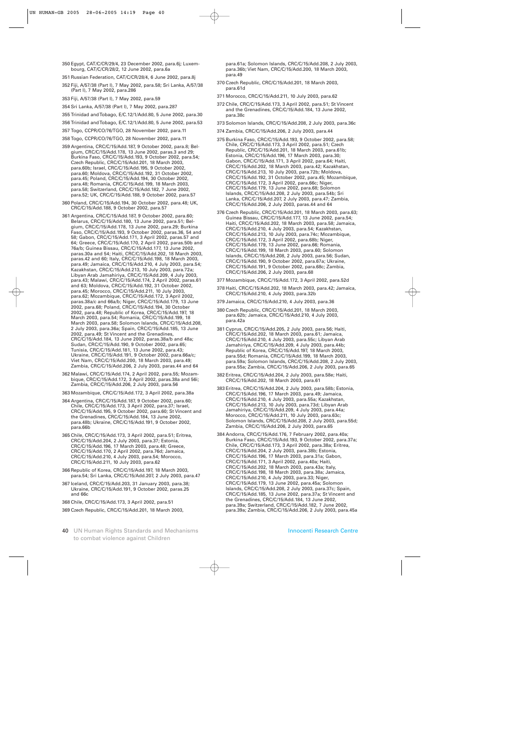- 350 Egypt, CAT/C/CR/29/4, 23 December 2002, para.6j; Luxembourg, CAT/C/CR/28/2, 12 June 2002, para.6a
- 351 Russian Federation, CAT/C/CR/28/4, 6 June 2002, para.8j
- 352 Fiji, A/57/38 (Part I), 7 May 2002, para.58; Sri Lanka, A/57/38 (Part I), 7 May 2002, para.286
- 353 Fiji, A/57/38 (Part I), 7 May 2002, para.59
- 354 Sri Lanka, A/57/38 (Part I), 7 May 2002, para.287
- 355 Trinidad and Tobago, E/C.12/1/Add.80, 5 June 2002, para.30
- 356 Trinidad and Tobago, E/C.12/1/Add.80, 5 June 2002, para.53
- 357 Togo, CCPR/CO/76/TGO, 28 November 2002, para.11
- 358 Togo, CCPR/CO/76/TGO, 28 November 2002, para.11
- 359 Argentina, CRC/C/15/Add.187, 9 October 2002, para.8; Belgium, CRC/C/15/Add.178, 13 June 2002, paras.3 and 29; Burkina Faso, CRC/C/15/Add.193, 9 October 2002, para.54; Czech Republic, CRC/C/15/Add.201, 18 March 2003, para.60b; Israel, CRC/C/15/Add.195, 9 October 2002, para.60; Moldova, CRC/C/15/Add.192, 31 October 2002, para.45; Poland, CRC/C/15/Add.194, 30 October 2002, para.48; Romania, CRC/C/15/Add.199, 18 March 2003, para.58; Switzerland, CRC/C/15/Add.182, 7 June 2002, para.52; UK, CRC/C/15/Add.188, 9 October 2002, para.57
- 360 Poland, CRC/C/15/Add.194, 30 October 2002, para.48; UK, CRC/C/15/Add.188, 9 October 2002, para.57
- 361 Argentina, CRC/C/15/Add.187, 9 October 2002, para.60; Belarus, CRC/C/15/Add.180, 13 June 2002, para.51; Belgium, CRC/C/15/Add.178, 13 June 2002, para.29; Burkina Faso, CRC/C/15/Add.193, 9 October 2002, paras.36, 54 and 58; Gabon, CRC/C/15/Add.171, 3 April 2002, paras.57 and 64; Greece, CRC/C/15/Add.170, 2 April 2002, paras.50b and 76a/b; Guinea Bissau, CRC/C/15/Add.177, 13 June 2002, paras.30a and 54; Haiti, CRC/C/15/Add.202, 18 March 2003, paras.42 and 60; Italy, CRC/C/15/Add.198, 18 March 2003, para.49; Jamaica, CRC/C/15/Add.210, 4 July 2003, para.54; Kazakhstan, CRC/C/15/Add.213, 10 July 2003, para.72a; Libyan Arab Jamahiriya, CRC/C/15/Add.209, 4 July 2003, para.43; Malawi, CRC/C/15/Add.174, 2 April 2002, paras.61 and 63; Moldova, CRC/C/15/Add.192, 31 October 2002, para.45; Morocco, CRC/C/15/Add.211, 10 July 2003, para.62; Mozambique, CRC/C/15/Add.172, 3 April 2002, paras.38a/c and 66a/b; Niger, CRC/C/15/Add.179, 13 June 2002, para.68; Poland, CRC/C/15/Add.194, 30 October 2002, para.48; Republic of Korea, CRC/C/15/Add.197, 18 March 2003, para.54; Romania, CRC/C/15/Add.199, 18 March 2003, para.58; Solomon Islands, CRC/C/15/Add.208, 2 July 2003, para.36a; Spain, CRC/C/15/Add.185, 13 June 2002, para.49; St Vincent and the Grenadines, CRC/C/15/Add.184, 13 June 2002, paras.38a/b and 48a; Sudan, CRC/C/15/Add.190, 9 October 2002, para.65; Tunisia, CRC/C/15/Add.181, 13 June 2002, para.43; Ukraine, CRC/C/15/Add.191, 9 October 2002, para.66a/c; Viet Nam, CRC/C/15/Add.200, 18 March 2003, para.49; Zambia, CRC/C/15/Add.206, 2 July 2003, paras.44 and 64
- 362 Malawi, CRC/C/15/Add.174, 2 April 2002, para.55; Mozambique, CRC/C/15/Add.172, 3 April 2002, paras.38a and 56i; Zambia, CRC/C/15/Add.206, 2 July 2003, para.56
- 363 Mozambique, CRC/C/15/Add.172, 3 April 2002, para.38a
- 364 Argentina, CRC/C/15/Add.187, 9 October 2002, para.60; Chile, CRC/C/15/Add.173, 3 April 2002, para.37; Israel, CRC/C/15/Add.195, 9 October 2002, para.60; St Vincent and the Grenadines, CRC/C/15/Add.184, 13 June 2002, para.48b; Ukraine, CRC/C/15/Add.191, 9 October 2002, para.66b
- 365 Chile, CRC/C/15/Add.173, 3 April 2002, para.51; Eritrea, CRC/C/15/Add.204, 2 July 2003, para.37; Estonia, CRC/C/15/Add.196, 17 March 2003, para.48; Greece, CRC/C/15/Add.170, 2 April 2002, para.76d; Jamaica, CRC/C/15/Add.210, 4 July 2003, para.54; Morocco, CRC/C/15/Add.211, 10 July 2003, para.62
- 366 Republic of Korea, CRC/C/15/Add.197, 18 March 2003, para.54; Sri Lanka, CRC/C/15/Add.207, 2 July 2003, para.47
- 367 Iceland, CRC/C/15/Add.203, 31 January 2003, para.38; Ukraine, CRC/C/15/Add.191, 9 October 2002, paras.25 and 66c
- 368 Chile, CRC/C/15/Add.173, 3 April 2002, para.51
- 369 Czech Republic, CRC/C/15/Add.201, 18 March 2003,
- 40 UN Human Rights Standards and Mechanisms to combat violence against Children

para.61a; Solomon Islands, CRC/C/15/Add.208, 2 July 2003, para.36b; Viet Nam, CRC/C/15/Add.200, 18 March 2003, para.49

- 370 Czech Republic, CRC/C/15/Add.201, 18 March 2003, para.61d
- 371 Morocco, CRC/C/15/Add.211, 10 July 2003, para.62
- 372 Chile, CRC/C/15/Add.173, 3 April 2002, para.51; St Vincent and the Grenadines, CRC/C/15/Add.184, 13 June 2002, para.38c
- 373 Solomon Islands, CRC/C/15/Add.208, 2 July 2003, para.36c
- 374 Zambia, CRC/C/15/Add.206, 2 July 2003, para.44
- 375 Burkina Faso, CRC/C/15/Add.193, 9 October 2002, para.58; Chile, CRC/C/15/Add.173, 3 April 2002, para.51; Czech Republic, CRC/C/15/Add.201, 18 March 2003, para.61b; Estonia, CRC/C/15/Add.196, 17 March 2003, para.30; Gabon, CRC/C/15/Add.171, 3 April 2002, para.64; Haiti, CRC/C/15/Add.202, 18 March 2003, para.42; Kazakhstan, CRC/C/15/Add.213, 10 July 2003, para.72b; Moldova, CRC/C/15/Add.192, 31 October 2002, para.45; Mozambique, CRC/C/15/Add.172, 3 April 2002, para.66c; Niger, CRC/C/15/Add.179, 13 June 2002, para.68; Solomon Islands, CRC/C/15/Add.208, 2 July 2003, para.54b; Sri Lanka, CRC/C/15/Add.207, 2 July 2003, para.47; Zambia, CRC/C/15/Add.206, 2 July 2003, paras.44 and 64
- 376 Czech Republic, CRC/C/15/Add.201, 18 March 2003, para.63; Guinea Bissau, CRC/C/15/Add.177, 13 June 2002, para.54; Haiti, CRC/C/15/Add.202, 18 March 2003, para.58; Jamaica, CRC/C/15/Add.210, 4 July 2003, para.54; Kazakhstan, CRC/C/15/Add.213, 10 July 2003, para.74c; Mozambique, CRC/C/15/Add.172, 3 April 2002, para.68b; Niger, CRC/C/15/Add.179, 13 June 2002, para.66; Romania, CRC/C/15/Add.199, 18 March 2003, para.60; Solomon Islands, CRC/C/15/Add.208, 2 July 2003, para.56; Sudan, CRC/C/15/Add.190, 9 October 2002, para.67a; Ukraine, CRC/C/15/Add.191, 9 October 2002, para.68c; Zambia, CRC/C/15/Add.206, 2 July 2003, para.68
- 377 Mozambique, CRC/C/15/Add.172, 3 April 2002, para.52d
- 378 Haiti, CRC/C/15/Add.202, 18 March 2003, para.42; Jamaica, CRC/C/15/Add.210, 4 July 2003, para.32b
- 379 Jamaica, CRC/C/15/Add.210, 4 July 2003, para.36
- 380 Czech Republic, CRC/C/15/Add.201, 18 March 2003, para.62b; Jamaica, CRC/C/15/Add.210, 4 July 2003, para.42a
- 381 Cyprus, CRC/C/15/Add.205, 2 July 2003, para.56; Haiti, CRC/C/15/Add.202, 18 March 2003, para.61; Jamaica, CRC/C/15/Add.210, 4 July 2003, para.55c; Libyan Arab Jamahiriya, CRC/C/15/Add.209, 4 July 2003, para.44b; Republic of Korea, CRC/C/15/Add.197, 18 March 2003, para.55d; Romania, CRC/C/15/Add.199, 18 March 2003, para.59a; Solomon Islands, CRC/C/15/Add.208, 2 July 2003, para.55a; Zambia, CRC/C/15/Add.206, 2 July 2003, para.65
- 382 Eritrea, CRC/C/15/Add.204, 2 July 2003, para.58e; Haiti, CRC/C/15/Add.202, 18 March 2003, para.61
- 383 Eritrea, CRC/C/15/Add.204, 2 July 2003, para.58b; Estonia, CRC/C/15/Add.196, 17 March 2003, para.49; Jamaica, CRC/C/15/Add.210, 4 July 2003, para.55a; Kazakhstan, CRC/C/15/Add.213, 10 July 2003, para.73d; Libyan Arab Jamahiriya, CRC/C/15/Add.209, 4 July 2003, para.44a; Morocco, CRC/C/15/Add.211, 10 July 2003, para.63c; Solomon Islands, CRC/C/15/Add.208, 2 July 2003, para.55d; Zambia, CRC/C/15/Add.206, 2 July 2003, para.65
- 384 Andorra, CRC/C/15/Add.176, 7 February 2002, para.40a; Burkina Faso, CRC/C/15/Add.193, 9 October 2002, para.37a; Chile, CRC/C/15/Add.173, 3 April 2002, para.38a; Eritrea, CRC/C/15/Add.204, 2 July 2003, para.38b; Estonia, CRC/C/15/Add.196, 17 March 2003, para.31a; Gabon, CRC/C/15/Add.171, 3 April 2002, para.40a; Haiti, CRC/C/15/Add.202, 18 March 2003, para.43a; Italy, CRC/C/15/Add.198, 18 March 2003, para.38a; Jamaica, CRC/C/15/Add.210, 4 July 2003, para.33; Niger, CRC/C/15/Add.179, 13 June 2002, para.45a; Solomon Islands, CRC/C/15/Add.208, 2 July 2003, para.37c; Spain, CRC/C/15/Add.185, 13 June 2002, para.37a; St Vincent and the Grenadines, CRC/C/15/Add.184, 13 June 2002, para.39a; Switzerland, CRC/C/15/Add.182, 7 June 2002, para.39a; Zambia, CRC/C/15/Add.206, 2 July 2003, para.45a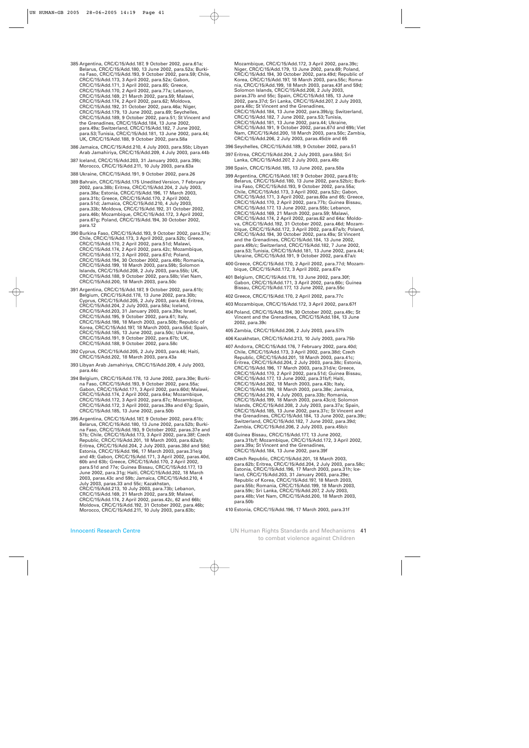385 Argentina, CRC/C/15/Add.187, 9 October 2002, para.61a; Belarus, CRC/C/15/Add.180, 13 June 2002, para.52a; Burkina Faso, CRC/C/15/Add.193, 9 October 2002, para.59; Chile, CRC/C/15/Add.173, 3 April 2002, para.52a; Gabon, CRC/C/15/Add.171, 3 April 2002, para.65; Greece, CRC/C/15/Add.170, 2 April 2002, para.77a; Lebanon, CRC/C/15/Add.169, 21 March 2002, para.59; Malawi, CRC/C/15/Add.174, 2 April 2002, para.62; Moldova, CRC/C/15/Add.192, 31 October 2002, para.46a; Niger, CRC/C/15/Add.179, 13 June 2002, para.69; Seychelles, CRC/C/15/Add.189, 9 October 2002, para.51; St Vincent and the Grenadines, CRC/C/15/Add.184, 13 June 2002, para.49a; Switzerland, CRC/C/15/Add.182, 7 June 2002, para.53; Tunisia, CRC/C/15/Add.181, 13 June 2002, para.44; UK, CRC/C/15/Add.188, 9 October 2002, para.58a

- 386 Jamaica, CRC/C/15/Add.210, 4 July 2003, para.55b; Libyan Arab Jamahiriya, CRC/C/15/Add.209, 4 July 2003, para.44b
- 387 Iceland, CRC/C/15/Add.203, 31 January 2003, para.39b; Morocco, CRC/C/15/Add.211, 10 July 2003, para.63a
- 388 Ukraine, CRC/C/15/Add.191, 9 October 2002, para.26
- 389 Bahrain, CRC/C/15/Add.175 Unedited Version, 7 February 2002, para.38b; Eritrea, CRC/C/15/Add.204, 2 July 2003, para.38a; Estonia, CRC/C/15/Add.196, 17 March 2003, para.31b; Greece, CRC/C/15/Add.170, 2 April 2002, para.51d; Jamaica, CRC/C/15/Add.210, 4 July 2003, para.33b; Moldova, CRC/C/15/Add.192, 31 October 2002, para.46b; Mozambique, CRC/C/15/Add.172, 3 April 2002, para.67g; Poland, CRC/C/15/Add.194, 30 October 2002, para.12
- 390 Burkina Faso, CRC/C/15/Add.193, 9 October 2002, para.37e; Chile, CRC/C/15/Add.173, 3 April 2002, para.52b; Greece, CRC/C/15/Add.170, 2 April 2002, para.51d; Malawi, CRC/C/15/Add.174, 2 April 2002, para.42c; Mozambique, CRC/C/15/Add.172, 3 April 2002, para.67d; Poland, CRC/C/15/Add.194, 30 October 2002, para.49b; Romania, CRC/C/15/Add.199, 18 March 2003, para.59b; Solomon Islands, CRC/C/15/Add.208, 2 July 2003, para.55b; UK, CRC/C/15/Add.188, 9 October 2002, para.58b; Viet Nam, CRC/C/15/Add.200, 18 March 2003, para.50c
- 391 Argentina, CRC/C/15/Add.187, 9 October 2002, para.61b; Belgium, CRC/C/15/Add.178, 13 June 2002, para.30b; Cyprus, CRC/C/15/Add.205, 2 July 2003, para.46; Eritrea, CRC/C/15/Add.204, 2 July 2003, para.58a; Iceland, CRC/C/15/Add.203, 31 January 2003, para.39a; Israel, CRC/C/15/Add.195, 9 October 2002, para.61; Italy, CRC/C/15/Add.198, 18 March 2003, para.50b; Republic of Korea, CRC/C/15/Add.197, 18 March 2003, para.55d; Spain, CRC/C/15/Add.185, 13 June 2002, para.50c; Ukraine, CRC/C/15/Add.191, 9 October 2002, para.67b; UK, CRC/C/15/Add.188, 9 October 2002, para.58c
- 392 Cyprus, CRC/C/15/Add.205, 2 July 2003, para.46; Haiti, CRC/C/15/Add.202, 18 March 2003, para.43a
- 393 Libyan Arab Jamahiriya, CRC/C/15/Add.209, 4 July 2003, para.44c
- 394 Belgium, CRC/C/15/Add.178, 13 June 2002, para.30e; Burkina Faso, CRC/C/15/Add.193, 9 October 2002, para.55a; Gabon, CRC/C/15/Add.171, 3 April 2002, para.60d; Malawi, CRC/C/15/Add.174, 2 April 2002, para.64a; Mozambique, CRC/C/15/Add.172, 3 April 2002, para.67c; Mozambique, CRC/C/15/Add.172, 3 April 2002, paras.39a and 67g; Spain, CRC/C/15/Add.185, 13 June 2002, para.50b

395 Argentina, CRC/C/15/Add.187, 9 October 2002, para.61b; Belarus, CRC/C/15/Add.180, 13 June 2002, para.52b; Burkina Faso, CRC/C/15/Add.193, 9 October 2002, paras.37e and 57b; Chile, CRC/C/15/Add.173, 3 April 2002, para.38f; Czech Republic, CRC/C/15/Add.201, 18 March 2003, para.62a/b; Eritrea, CRC/C/15/Add.204, 2 July 2003, paras.38d and 58d; Estonia, CRC/C/15/Add.196, 17 March 2003, paras.31e/g and 49; Gabon, CRC/C/15/Add.171, 3 April 2002, paras.40d, 60b and 63b; Greece, CRC/C/15/Add.170, 2 April 2002, para.51d and 77e; Guinea Bissau, CRC/C/15/Add.177, 13 June 2002, para.31g; Haiti, CRC/C/15/Add.202, 18 March 2003, paras.43c and 59b; Jamaica, CRC/C/15/Add.210, 4 July 2003, paras.33 and 55c; Kazakhstan, CRC/C/15/Add.213, 10 July 2003, para.73b; Lebanon, CRC/C/15/Add.169, 21 March 2002, para.59; Malawi, CRC/C/15/Add.174, 2 April 2002, paras.42c, 62 and 66b; Moldova, CRC/C/15/Add.192, 31 October 2002, para.46b; Morocco, CRC/C/15/Add.211, 10 July 2003, para.63b;

Mozambique, CRC/C/15/Add.172, 3 April 2002, para.39c; Niger, CRC/C/15/Add.179, 13 June 2002, para.69; Poland, CRC/C/15/Add.194, 30 October 2002, para.49d; Republic of Korea, CRC/C/15/Add.197, 18 March 2003, para.55c; Romania, CRC/C/15/Add.199, 18 March 2003, paras.43f and 59d; Solomon Islands, CRC/C/15/Add.208, 2 July 2003, paras.37b and 55c; Spain, CRC/C/15/Add.185, 13 June 2002, para.37d; Sri Lanka, CRC/C/15/Add.207, 2 July 2003, para.48c; St Vincent and the Grenadines, CRC/C/15/Add.184, 13 June 2002, para.39b/g; Switzerland, CRC/C/15/Add.182, 7 June 2002, para.53; Tunisia, CRC/C/15/Add.181, 13 June 2002, para.44; Ukraine, CRC/C/15/Add.191, 9 October 2002, paras.67d and 69b; Viet Nam, CRC/C/15/Add.200, 18 March 2003, para.50c; Zambia, CRC/C/15/Add.206, 2 July 2003, paras.45d/e and 65

- 396 Seychelles, CRC/C/15/Add.189, 9 October 2002, para.51
- 397 Eritrea, CRC/C/15/Add.204, 2 July 2003, para.58d; Sri Lanka, CRC/C/15/Add.207, 2 July 2003, para.48c
- 398 Spain, CRC/C/15/Add.185, 13 June 2002, para.50a
- 399 Argentina, CRC/C/15/Add.187, 9 October 2002, para.61b; Belarus, CRC/C/15/Add.180, 13 June 2002, para.52b/c; Burkina Faso, CRC/C/15/Add.193, 9 October 2002, para.55a; Chile, CRC/C/15/Add.173, 3 April 2002, para.52c; Gabon, CRC/C/15/Add.171, 3 April 2002, paras.60a and 65; Greece, CRC/C/15/Add.170, 2 April 2002, para.77b; Guinea Bissau, CRC/C/15/Add.177, 13 June 2002, para.55b; Lebanon, CRC/C/15/Add.169, 21 March 2002, para.59; Malawi, CRC/C/15/Add.174, 2 April 2002, paras.62 and 64a: Moldova, CRC/C/15/Add.192, 31 October 2002, para.46d; Mozambique, CRC/C/15/Add.172, 3 April 2002, para.67a/b; Poland, CRC/C/15/Add.194, 30 October 2002, para.49a; St Vincent and the Grenadines, CRC/C/15/Add.184, 13 June 2002, para.49b/c; Switzerland, CRC/C/15/Add.182, 7 June 2002, para.53; Tunisia, CRC/C/15/Add.181, 13 June 2002, para.44; Ukraine, CRC/C/15/Add.191, 9 October 2002, para.67a/c
- 400 Greece, CRC/C/15/Add.170, 2 April 2002, para.77d; Mozambique, CRC/C/15/Add.172, 3 April 2002, para.67e
- 401 Belgium, CRC/C/15/Add.178, 13 June 2002, para.30f; Gabon, CRC/C/15/Add.171, 3 April 2002, para.60c; Guinea Bissau, CRC/C/15/Add.177, 13 June 2002, para.55c
- 402 Greece, CRC/C/15/Add.170, 2 April 2002, para.77c
- 403 Mozambique, CRC/C/15/Add.172, 3 April 2002, para.67f
- 404 Poland, CRC/C/15/Add.194, 30 October 2002, para.49c; St Vincent and the Grenadines, CRC/C/15/Add.184, 13 June 2002, para.39c
- 405 Zambia, CRC/C/15/Add.206, 2 July 2003, para.57h
- 406 Kazakhstan, CRC/C/15/Add.213, 10 July 2003, para.75b
- 407 Andorra, CRC/C/15/Add.176, 7 February 2002, para.40d; Chile, CRC/C/15/Add.173, 3 April 2002, para.38d; Czech Republic, CRC/C/15/Add.201, 18 March 2003, para.41c; Eritrea, CRC/C/15/Add.204, 2 July 2003, para.38c; Estonia, CRC/C/15/Add.196, 17 March 2003, para.31d/e; Greece, CRC/C/15/Add.170, 2 April 2002, para.51d; Guinea Bissau, CRC/C/15/Add.177, 13 June 2002, para.31b/f; Haiti, CRC/C/15/Add.202, 18 March 2003, para.43b; Italy, CRC/C/15/Add.198, 18 March 2003, para.38e; Jamaica, CRC/C/15/Add.210, 4 July 2003, para.33b; Romania, CRC/C/15/Add.199, 18 March 2003, para.43c/d; Solomon Islands, CRC/C/15/Add.208, 2 July 2003, para.37a; Spain, CRC/C/15/Add.185, 13 June 2002, para.37c; St Vincent and the Grenadines, CRC/C/15/Add.184, 13 June 2002, para.39c; Switzerland, CRC/C/15/Add.182, 7 June 2002, para.39d; Zambia, CRC/C/15/Add.206, 2 July 2003, para.45b/c
- 408 Guinea Bissau, CRC/C/15/Add.177, 13 June 2002, para.31b/f; Mozambique, CRC/C/15/Add.172, 3 April 2002, para.39a; St Vincent and the Grenadines, CRC/C/15/Add.184, 13 June 2002, para.39f
- 409 Czech Republic, CRC/C/15/Add.201, 18 March 2003, para.62b; Eritrea, CRC/C/15/Add.204, 2 July 2003, para.58c; Estonia, CRC/C/15/Add.196, 17 March 2003, para.31h; Iceland, CRC/C/15/Add.203, 31 January 2003, para.29e; Republic of Korea, CRC/C/15/Add.197, 18 March 2003, para.55b; Romania, CRC/C/15/Add.199, 18 March 2003, para.59c; Sri Lanka, CRC/C/15/Add.207, 2 July 2003, para.48b; Viet Nam, CRC/C/15/Add.200, 18 March 2003, para.50b
- 410 Estonia, CRC/C/15/Add.196, 17 March 2003, para.31f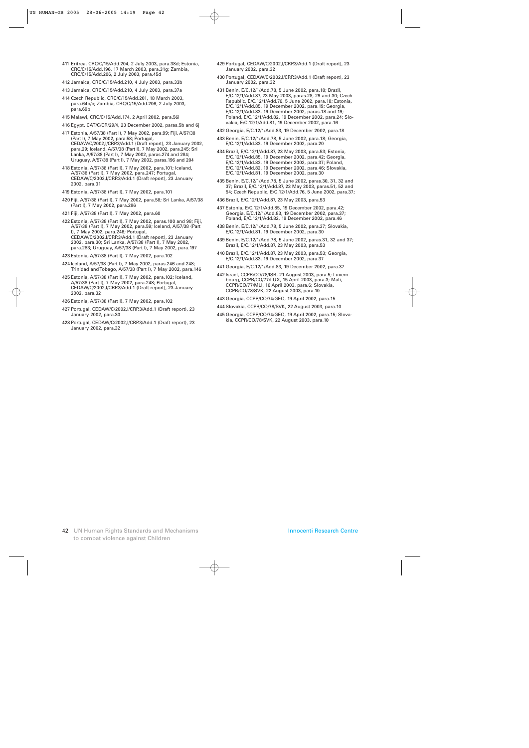- 411 Eritrea, CRC/C/15/Add.204, 2 July 2003, para.38d; Estonia, CRC/C/15/Add.196, 17 March 2003, para.31g; Zambia, CRC/C/15/Add.206, 2 July 2003, para.45d
- 412 Jamaica, CRC/C/15/Add.210, 4 July 2003, para.33b
- 413 Jamaica, CRC/C/15/Add.210, 4 July 2003, para.37a
- 414 Czech Republic, CRC/C/15/Add.201, 18 March 2003, para.64b/c; Zambia, CRC/C/15/Add.206, 2 July 2003, para.69b
- 415 Malawi, CRC/C/15/Add.174, 2 April 2002, para.56i
- 416 Egypt, CAT/C/CR/29/4, 23 December 2002, paras.5b and 6j
- 417 Estonia, A/57/38 (Part I), 7 May 2002, para.99; Fiji, A/57/38 (Part I), 7 May 2002, para.58; Portugal, CEDAW/C/2002,I/CRP.3/Add.1 (Draft report), 23 January 2002, para.29; Iceland, A/57/38 (Part I), 7 May 2002, para.245; Sri Lanka, A/57/38 (Part I), 7 May 2002, paras.274 and 284; Uruguay, A/57/38 (Part I), 7 May 2002, paras.196 and 204
- 418 Estonia, A/57/38 (Part I), 7 May 2002, para.101; Iceland, A/57/38 (Part I), 7 May 2002, para.247; Portugal, CEDAW/C/2002,I/CRP.3/Add.1 (Draft report), 23 January 2002, para.31
- 419 Estonia, A/57/38 (Part I), 7 May 2002, para.101
- 420 Fiji, A/57/38 (Part I), 7 May 2002, para.58; Sri Lanka, A/57/38 (Part I), 7 May 2002, para.286
- 421 Fiji, A/57/38 (Part I), 7 May 2002, para.60
- 422 Estonia, A/57/38 (Part I), 7 May 2002, paras.100 and 98; Fiji, A/57/38 (Part I), 7 May 2002, para.59; Iceland, A/57/38 (Part I), 7 May 2002, para.246; Portugal, CEDAW/C/2002,I/CRP.3/Add.1 (Draft report), 23 January 2002, para.30; Sri Lanka, A/57/38 (Part I), 7 May 2002, para.283; Uruguay, A/57/38 (Part I), 7 May 2002, para.197
- 423 Estonia, A/57/38 (Part I), 7 May 2002, para.102
- 424 Iceland, A/57/38 (Part I), 7 May 2002, paras.246 and 248; Trinidad and Tobago, A/57/38 (Part I), 7 May 2002, para.146
- 425 Estonia, A/57/38 (Part I), 7 May 2002, para.102; Iceland, A/57/38 (Part I), 7 May 2002, para.248; Portugal, CEDAW/C/2002,I/CRP.3/Add.1 (Draft report), 23 January 2002, para.32
- 426 Estonia, A/57/38 (Part I), 7 May 2002, para.102
- 427 Portugal, CEDAW/C/2002,I/CRP.3/Add.1 (Draft report), 23 January 2002, para.30
- 428 Portugal, CEDAW/C/2002,I/CRP.3/Add.1 (Draft report), 23 January 2002, para.32
- 429 Portugal, CEDAW/C/2002,I/CRP.3/Add.1 (Draft report), 23 January 2002, para.32
- 430 Portugal, CEDAW/C/2002,I/CRP.3/Add.1 (Draft report), 23 January 2002, para.32
- 431 Benin, E/C.12/1/Add.78, 5 June 2002, para.18; Brazil, E/C.12/1/Add.87, 23 May 2003, paras.28, 29 and 30; Czech Republic, E/C.12/1/Add.76, 5 June 2002, para.18; Estonia, E/C.12/1/Add.85, 19 December 2002, para.19; Georgia, E/C.12/1/Add.83, 19 December 2002, paras.18 and 19; Poland, E/C.12/1/Add.82, 19 December 2002, para.24; Slovakia, E/C.12/1/Add.81, 19 December 2002, para.16
- 432 Georgia, E/C.12/1/Add.83, 19 December 2002, para.18
- 433 Benin, E/C.12/1/Add.78, 5 June 2002, para.18; Georgia, E/C.12/1/Add.83, 19 December 2002, para.20
- 434 Brazil, E/C.12/1/Add.87, 23 May 2003, para.53; Estonia, E/C.12/1/Add.85, 19 December 2002, para.42; Georgia, E/C.12/1/Add.83, 19 December 2002, para.37; Poland, E/C.12/1/Add.82, 19 December 2002, para.46; Slovakia, E/C.12/1/Add.81, 19 December 2002, para.30
- 435 Benin, E/C.12/1/Add.78, 5 June 2002, paras.30, 31, 32 and 37; Brazil, E/C.12/1/Add.87, 23 May 2003, paras.51, 52 and 54; Czech Republic, E/C.12/1/Add.76, 5 June 2002, para.37;
- 436 Brazil, E/C.12/1/Add.87, 23 May 2003, para.53
- 437 Estonia, E/C.12/1/Add.85, 19 December 2002, para.42; Georgia, E/C.12/1/Add.83, 19 December 2002, para.37; Poland, E/C.12/1/Add.82, 19 December 2002, para.46
- 438 Benin, E/C.12/1/Add.78, 5 June 2002, para.37; Slovakia, E/C.12/1/Add.81, 19 December 2002, para.30
- 439 Benin, E/C.12/1/Add.78, 5 June 2002, paras.31, 32 and 37; Brazil, E/C.12/1/Add.87, 23 May 2003, para.53
- 440 Brazil, E/C.12/1/Add.87, 23 May 2003, para.53; Georgia, E/C.12/1/Add.83, 19 December 2002, para.37
- 441 Georgia, E/C.12/1/Add.83, 19 December 2002, para.37
- 442 Israel, CCPR/CO/78/ISR, 21 August 2003, para.5; Luxembourg, CCPR/CO/77/LUX, 15 April 2003, para.3; Mali, CCPR/CO/77/MLI, 16 April 2003, para.6; Slovakia, CCPR/CO/78/SVK, 22 August 2003, para.10
- 443 Georgia, CCPR/CO/74/GEO, 19 April 2002, para.15
- 444 Slovakia, CCPR/CO/78/SVK, 22 August 2003, para.10
- 445 Georgia, CCPR/CO/74/GEO, 19 April 2002, para.15; Slovakia, CCPR/CO/78/SVK, 22 August 2003, para.10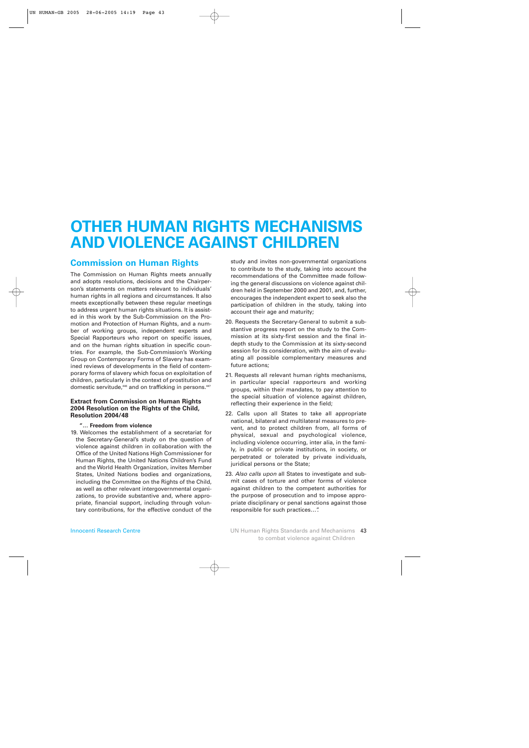## **OTHER HUMAN RIGHTS MECHANISMS AND VIOLENCE AGAINST CHILDREN**

## **Commission on Human Rights**

The Commission on Human Rights meets annually and adopts resolutions, decisions and the Chairperson's statements on matters relevant to individuals' human rights in all regions and circumstances. It also meets exceptionally between these regular meetings to address urgent human rights situations. It is assisted in this work by the Sub-Commission on the Promotion and Protection of Human Rights, and a number of working groups, independent experts and Special Rapporteurs who report on specific issues, and on the human rights situation in specific countries. For example, the Sub-Commission's Working Group on Contemporary Forms of Slavery has examined reviews of developments in the field of contemporary forms of slavery which focus on exploitation of children, particularly in the context of prostitution and domestic servitude,<sup>446</sup> and on trafficking in persons.<sup>447</sup>

## **Extract from Commission on Human Rights 2004 Resolution on the Rights of the Child, Resolution 2004/48**

## **"… Freedom from violence**

19. Welcomes the establishment of a secretariat for the Secretary-General's study on the question of violence against children in collaboration with the Office of the United Nations High Commissioner for Human Rights, the United Nations Children's Fund and the World Health Organization, invites Member States, United Nations bodies and organizations, including the Committee on the Rights of the Child, as well as other relevant intergovernmental organizations, to provide substantive and, where appropriate, financial support, including through voluntary contributions, for the effective conduct of the

study and invites non-governmental organizations to contribute to the study, taking into account the recommendations of the Committee made following the general discussions on violence against children held in September 2000 and 2001, and, further, encourages the independent expert to seek also the participation of children in the study, taking into account their age and maturity;

- 20. Requests the Secretary-General to submit a substantive progress report on the study to the Commission at its sixty-first session and the final indepth study to the Commission at its sixty-second session for its consideration, with the aim of evaluating all possible complementary measures and future actions;
- 21. Requests all relevant human rights mechanisms, in particular special rapporteurs and working groups, within their mandates, to pay attention to the special situation of violence against children, reflecting their experience in the field;
- 22. Calls upon all States to take all appropriate national, bilateral and multilateral measures to prevent, and to protect children from, all forms of physical, sexual and psychological violence, including violence occurring, inter alia, in the family, in public or private institutions, in society, or perpetrated or tolerated by private individuals, juridical persons or the State;
- 23. *Also calls upon* all States to investigate and submit cases of torture and other forms of violence against children to the competent authorities for the purpose of prosecution and to impose appropriate disciplinary or penal sanctions against those responsible for such practices…".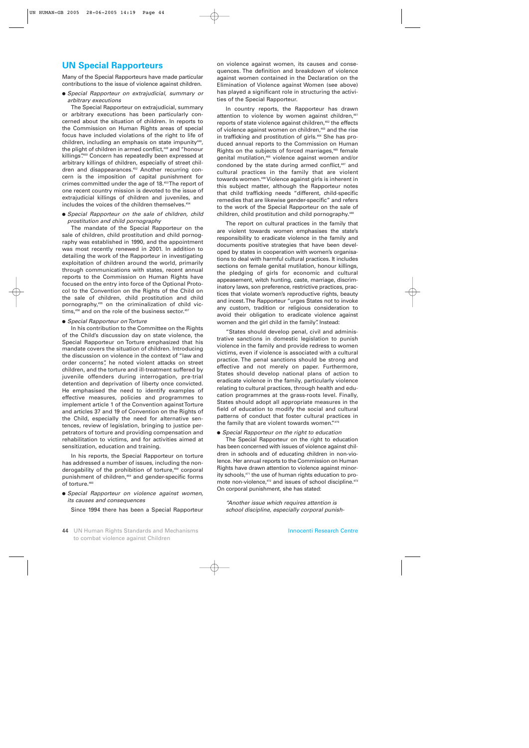## **UN Special Rapporteurs**

Many of the Special Rapporteurs have made particular contributions to the issue of violence against children.

● *Special Rapporteur on extrajudicial, summary or arbitrary executions*

The Special Rapporteur on extrajudicial, summary or arbitrary executions has been particularly concerned about the situation of children. In reports to the Commission on Human Rights areas of special focus have included violations of the right to life of children, including an emphasis on state impunity<sup>448</sup>, the plight of children in armed conflict,<sup>449</sup> and "honour killings". <sup>450</sup> Concern has repeatedly been expressed at arbitrary killings of children, especially of street children and disappearances.452 Another recurring concern is the imposition of capital punishment for crimes committed under the age of 18.453The report of one recent country mission is devoted to the issue of extrajudicial killings of children and juveniles, and includes the voices of the children themselves.<sup>454</sup>

● *Special Rapporteur on the sale of children, child prostitution and child pornography*

The mandate of the Special Rapporteur on the sale of children, child prostitution and child pornography was established in 1990, and the appointment was most recently renewed in 2001. In addition to detailing the work of the Rapporteur in investigating exploitation of children around the world, primarily through communications with states, recent annual reports to the Commission on Human Rights have focused on the entry into force of the Optional Protocol to the Convention on the Rights of the Child on the sale of children, child prostitution and child pornography,455 on the criminalization of child victims,<sup>456</sup> and on the role of the business sector.<sup>457</sup>

#### ● *Special Rapporteur on Torture*

In his contribution to the Committee on the Rights of the Child's discussion day on state violence, the Special Rapporteur on Torture emphasized that his mandate covers the situation of children. Introducing the discussion on violence in the context of "law and order concerns", he noted violent attacks on street children, and the torture and ill-treatment suffered by juvenile offenders during interrogation, pre-trial detention and deprivation of liberty once convicted. He emphasised the need to identify examples of effective measures, policies and programmes to implement article 1 of the Convention against Torture and articles 37 and 19 of Convention on the Rights of the Child, especially the need for alternative sentences, review of legislation, bringing to justice perpetrators of torture and providing compensation and rehabilitation to victims, and for activities aimed at sensitization, education and training.

In his reports, the Special Rapporteur on torture has addressed a number of issues, including the nonderogability of the prohibition of torture,<sup>458</sup> corporal punishment of children,<sup>459</sup> and gender-specific forms of torture.<sup>460</sup>

● *Special Rapporteur on violence against women, its causes and consequences*

Since 1994 there has been a Special Rapporteur

on violence against women, its causes and consequences. The definition and breakdown of violence against women contained in the Declaration on the Elimination of Violence against Women (see above) has played a significant role in structuring the activities of the Special Rapporteur.

In country reports, the Rapporteur has drawn attention to violence by women against children,<sup>461</sup> reports of state violence against children,<sup>462</sup> the effects of violence against women on children,<sup>463</sup> and the rise in trafficking and prostitution of girls.<sup>464</sup> She has produced annual reports to the Commission on Human Rights on the subjects of forced marriages,<sup>465</sup> female genital mutilation,<sup>466</sup> violence against women and/or condoned by the state during armed conflict,<sup>467</sup> and cultural practices in the family that are violent towards women.468Violence against girls is inherent in this subject matter, although the Rapporteur notes that child trafficking needs "different, child-specific remedies that are likewise gender-specific" and refers to the work of the Special Rapporteur on the sale of children, child prostitution and child pornography.<sup>469</sup>

The report on cultural practices in the family that are violent towards women emphasises the state's responsibility to eradicate violence in the family and documents positive strategies that have been developed by states in cooperation with women's organisations to deal with harmful cultural practices. It includes sections on female genital mutilation, honour killings, the pledging of girls for economic and cultural appeasement, witch hunting, caste, marriage, discriminatory laws, son preference, restrictive practices, practices that violate women's reproductive rights, beauty and incest. The Rapporteur "urges States not to invoke any custom, tradition or religious consideration to avoid their obligation to eradicate violence against women and the girl child in the family". Instead:

"States should develop penal, civil and administrative sanctions in domestic legislation to punish violence in the family and provide redress to women victims, even if violence is associated with a cultural practice. The penal sanctions should be strong and effective and not merely on paper. Furthermore, States should develop national plans of action to eradicate violence in the family, particularly violence relating to cultural practices, through health and education programmes at the grass-roots level. Finally, States should adopt all appropriate measures in the field of education to modify the social and cultural patterns of conduct that foster cultural practices in the family that are violent towards women."470

#### ● *Special Rapporteur on the right to education*

The Special Rapporteur on the right to education has been concerned with issues of violence against children in schools and of educating children in non-violence. Her annual reports to the Commission on Human Rights have drawn attention to violence against minority schools,471 the use of human rights education to promote non-violence,<sup>472</sup> and issues of school discipline.<sup>473</sup> On corporal punishment, she has stated:

*"Another issue which requires attention is school discipline, especially corporal punish-*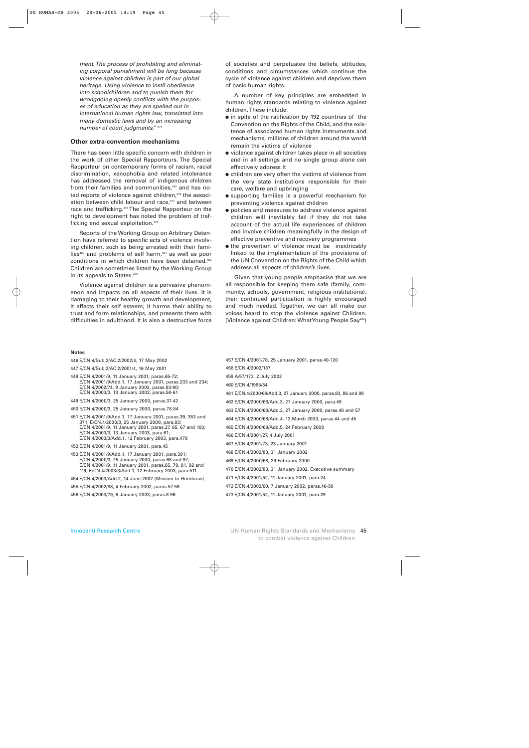*ment. The process of prohibiting and eliminating corporal punishment will be long because violence against children is part of our global heritage. Using violence to instil obedience into schoolchildren and to punish them for wrongdoing openly conflicts with the purposes of education as they are spelled out in international human rights law, translated into many domestic laws and by an increasing number of court judgments."* <sup>474</sup>

#### **Other extra-convention mechanisms**

There has been little specific concern with children in the work of other Special Rapporteurs. The Special Rapporteur on contemporary forms of racism, racial discrimination, xenophobia and related intolerance has addressed the removal of indigenous children from their families and communities,<sup>475</sup> and has noted reports of violence against children,<sup>476</sup> the association between child labour and race,<sup>477</sup> and between race and trafficking.<sup>478</sup> The Special Rapporteur on the right to development has noted the problem of trafficking and sexual exploitation.<sup>479</sup>

Reports of the Working Group on Arbitrary Detention have referred to specific acts of violence involving children, such as being arrested with their families<sup>480</sup> and problems of self harm,<sup>481</sup> as well as poor conditions in which children have been detained.482 Children are sometimes listed by the Working Group in its appeals to States.<sup>483</sup>

Violence against children is a pervasive phenomenon and impacts on all aspects of their lives. It is damaging to their healthy growth and development, it affects their self esteem; it harms their ability to trust and form relationships, and presents them with difficulties in adulthood. It is also a destructive force of societies and perpetuates the beliefs, attitudes, conditions and circumstances which continue the cycle of violence against children and deprives them of basic human rights.

A number of key principles are embedded in human rights standards relating to violence against children. These include:

- in spite of the ratification by 192 countries of the Convention on the Rights of the Child, and the existence of associated human rights instruments and mechanisms, millions of children around the world remain the victims of violence
- violence against children takes place in all societies and in all settings and no single group alone can effectively address it
- children are very often the victims of violence from the very state institutions responsible for their care, welfare and upbringing
- supporting families is a powerful mechanism for preventing violence against children
- policies and measures to address violence against children will inevitably fail if they do not take account of the actual life experiences of children and involve children meaningfully in the design of effective preventive and recovery programmes
- the prevention of violence must be inextricably linked to the implementation of the provisions of the UN Convention on the Rights of the Child which address all aspects of children's lives.

Given that young people emphasise that we are all responsible for keeping them safe (family, community, schools, government, religious institutions), their continued participation is highly encouraged and much needed. Together, we can all make our voices heard to stop the violence against Children. (Violence against Children: What Young People Say484)

#### **Notes**

| 446 E/CN.4/Sub.2/AC.2/2002/4, 17 May 2002 |  |  |  |
|-------------------------------------------|--|--|--|
|-------------------------------------------|--|--|--|

447 E/CN.4/Sub.2/AC.2/2001/4, 16 May 2001

448 E/CN.4/2001/9, 11 January 2001, paras.65-72; E/CN.4/2001/9/Add.1, 17 January 2001, paras.233 and 234; E/CN.4/2002/74, 9 January 2002, paras.83-90; E/CN.4/2003/3, 13 January 2003, paras.58-61

449 E/CN.4/2000/3, 25 January 2000, paras.37-42

450 E/CN.4/2000/3, 25 January 2000, paras.78-84

- 451 E/CN.4/2001/9/Add.1, 17 January 2001, paras.39, 353 and 371; E/CN.4/2000/3, 25 January 2000, para.93; E/CN.4/2001/9, 11 January 2001, paras.27, 65, 67 and 103; E/CN.4/2003/3, 13 January 2003, para.61; E/CN.4/2003/3/Add.1, 12 February 2003, para.479
- 452 E/CN.4/2001/9, 11 January 2001, para.45
- 453 E/CN.4/2001/9/Add.1, 17 January 2001, para.391; E/CN.4/2000/3, 25 January 2000, paras.68 and 97; E/CN.4/2001/9, 11 January 2001, paras.65, 79, 81, 92 and 119; E/CN.4/2003/3/Add.1, 12 February 2003, para.511
- 454 E/CN.4/2003/Add.2, 14 June 2002 (Mission to Honduras)
- 455 E/CN.4/2002/88, 4 February 2002, paras.57-59
- 456 E/CN.4/2003/79, 6 January 2003, paras.8-96
- 457 E/CN.4/2001/78, 25 January 2001, paras.40-120 458 E/CN.4/2002/137 459 A/57/173, 2 July 2002 460 E/CN.4/1995/34 461 E/CN.4/2000/68/Add.3, 27 January 2000, paras.83, 86 and 89 462 E/CN.4/2000/68/Add.3, 27 January 2000, para.49 463 E/CN.4/2000/68/Add.3, 27 January 2000, paras.48 and 57 464 E/CN.4/2000/68/Add.4, 13 March 2000, paras.44 and 45 465 E/CN.4/2000/68/Add.5, 24 February 2000 466 E/CN.4/2001/27, 4 July 2001 467 E/CN.4/2001/73, 23 January 2001 468 E/CN.4/2002/83, 31 January 2002 469 E/CN.4/2000/68, 29 February 2000 470 E/CN.4/2002/83, 31 January 2002, Executive summary 471 E/CN.4/2001/52, 11 January 2001, para.24 472 E/CN.4/2002/60, 7 January 2002, paras.46-50 473 E/CN.4/2001/52, 11 January 2001, para.29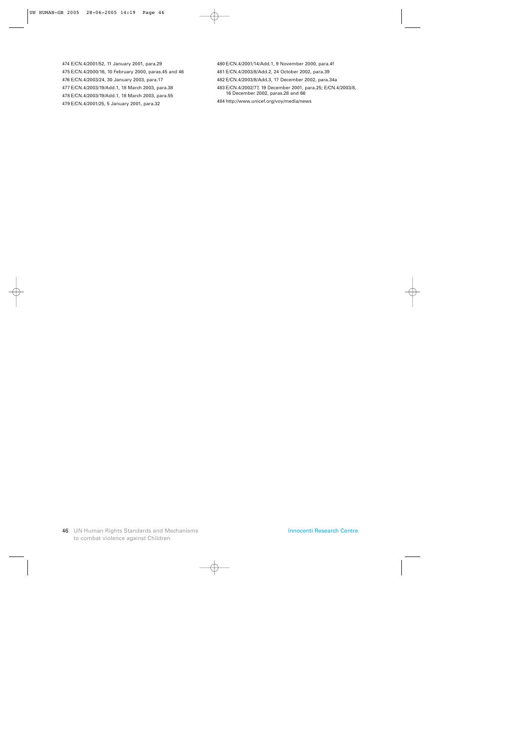474 E/CN.4/2001/52, 11 January 2001, para.29 475 E/CN.4/2000/16, 10 February 2000, paras.45 and 46 476 E/CN.4/2003/24, 30 January 2003, para.17 477 E/CN.4/2003/19/Add.1, 18 March 2003, para.38 478 E/CN.4/2003/19/Add.1, 18 March 2003, para.55 479 E/CN.4/2001/25, 5 January 2001, para.32

480 E/CN.4/2001/14/Add.1, 9 November 2000, para.4f

481 E/CN.4/2003/8/Add.2, 24 October 2002, para.39

- 482 E/CN.4/2003/8/Add.3, 17 December 2002, para.34a
- 483 E/CN.4/2002/77, 19 December 2001, para.25; E/CN.4/2003/8, 16 December 2002, paras.28 and 66
- 484 http://www.unicef.org/voy/media/news